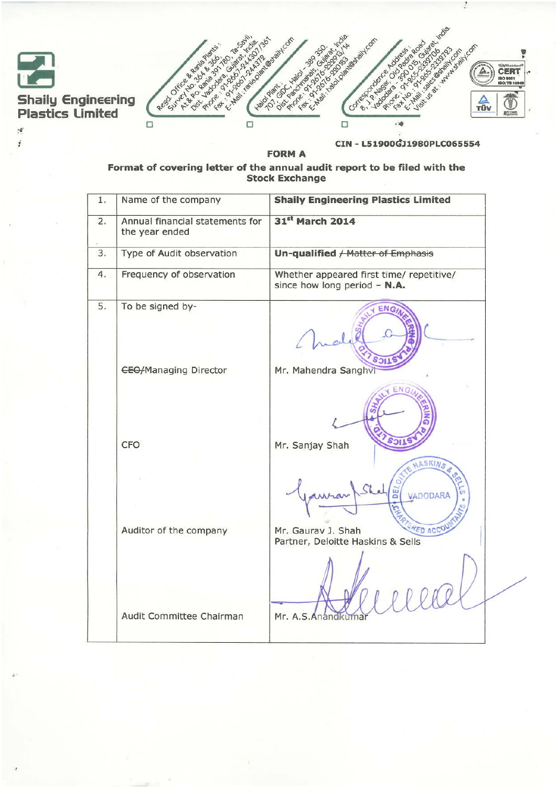

 $\dot{r}$ 

CIN - L51900GJ1980PLC065554

Format of covering letter of the annual audit report to be filed with the **Stock Exchange** 

**FORM A** 

| 1. | Name of the company                               | <b>Shaily Engineering Plastics Limited</b>                               |
|----|---------------------------------------------------|--------------------------------------------------------------------------|
| 2. | Annual financial statements for<br>the year ended | 31 <sup>st</sup> March 2014                                              |
| 3. | Type of Audit observation                         | Un-qualified / Matter of Emphasis                                        |
| 4. | Frequency of observation                          | Whether appeared first time/ repetitive/<br>since how long period - N.A. |
| 5. | To be signed by-                                  | ENG                                                                      |
|    | <b>CEO/Managing Director</b>                      | Mr. Mahendra Sanghvi                                                     |
|    |                                                   | ENG                                                                      |
|    | CFO                                               | Mr. Sanjay Shah                                                          |
|    |                                                   | HASKINS<br>DE<br>VADODARA                                                |
|    | Auditor of the company                            | RED ACCO<br>Mr. Gaurav J. Shah<br>Partner, Deloitte Haskins & Sells      |
|    | Audit Committee Chairman                          | Mr. A.S.                                                                 |
|    |                                                   |                                                                          |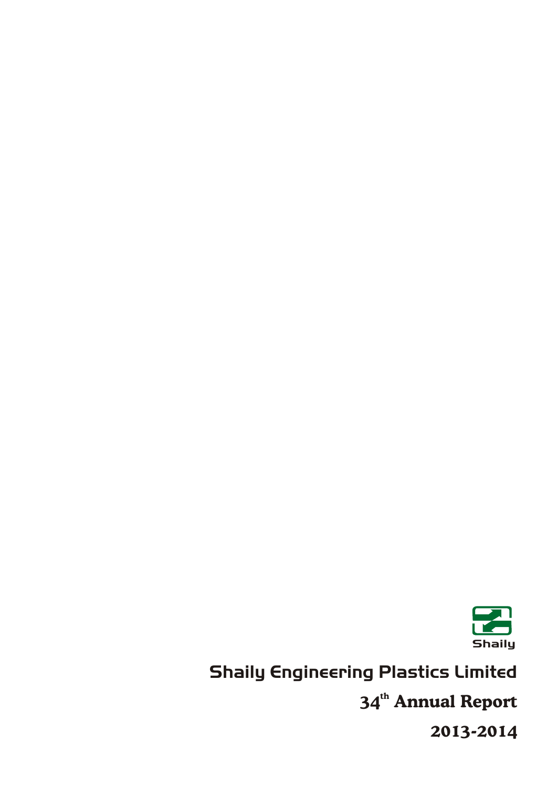**2013-2014**

**Shaily Engineering Plastics Limited**

**34<sup>th</sup> Annual Report** 

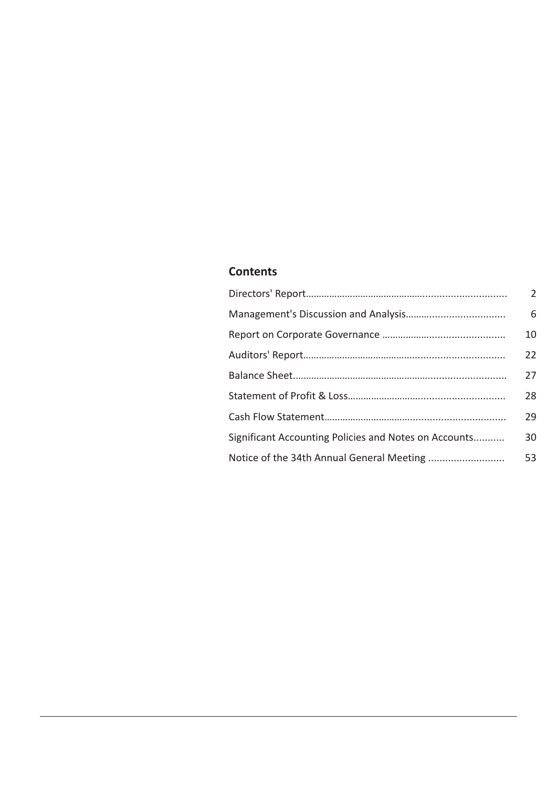## **Contents**

|                                                       | $\overline{2}$ |
|-------------------------------------------------------|----------------|
|                                                       | 6              |
|                                                       | 10             |
|                                                       | 22             |
|                                                       | 27             |
|                                                       | 28             |
|                                                       | 29             |
| Significant Accounting Policies and Notes on Accounts | 30             |
|                                                       | 53             |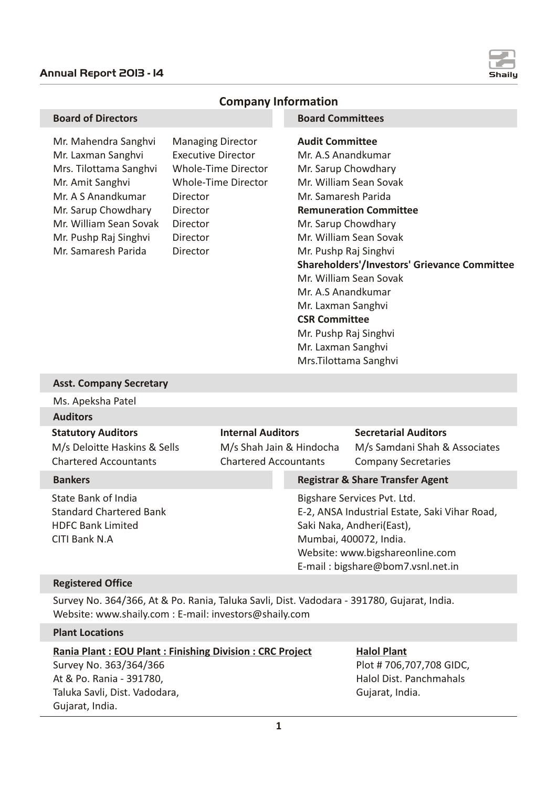

# **Company Information**

| <b>Board of Directors</b> |  |  |  |
|---------------------------|--|--|--|
|---------------------------|--|--|--|

Mr. Mahendra Sanghvi Managing Director Mr. Laxman Sanghvi Executive Director Mrs. Tilottama Sanghvi Whole-Time Director Mr. Amit Sanghvi Whole-Time Director Mr. A S Anandkumar Director Mr. Sarup Chowdhary Director Mr. William Sean Sovak Director Mr. Pushp Raj Singhvi Director Mr. Samaresh Parida Director

## **Board Committees**

**Audit Committee** Mr. A.S Anandkumar Mr. Sarup Chowdhary Mr. William Sean Sovak Mr. Samaresh Parida **Remuneration Committee** Mr. Sarup Chowdhary Mr. William Sean Sovak Mr. Pushp Raj Singhvi **Shareholders'/Investors' Grievance Committee** Mr. William Sean Sovak Mr. A.S Anandkumar Mr. Laxman Sanghvi **CSR Committee** Mr. Pushp Raj Singhvi Mr. Laxman Sanghvi Mrs.Tilottama Sanghvi

| <b>Asst. Company Secretary</b>                                                                     |                                                                                      |                                                                                                                                                                                                             |
|----------------------------------------------------------------------------------------------------|--------------------------------------------------------------------------------------|-------------------------------------------------------------------------------------------------------------------------------------------------------------------------------------------------------------|
| Ms. Apeksha Patel                                                                                  |                                                                                      |                                                                                                                                                                                                             |
| <b>Auditors</b>                                                                                    |                                                                                      |                                                                                                                                                                                                             |
| <b>Statutory Auditors</b><br>M/s Deloitte Haskins & Sells<br><b>Chartered Accountants</b>          | <b>Internal Auditors</b><br>M/s Shah Jain & Hindocha<br><b>Chartered Accountants</b> | <b>Secretarial Auditors</b><br>M/s Samdani Shah & Associates<br><b>Company Secretaries</b>                                                                                                                  |
| <b>Bankers</b>                                                                                     |                                                                                      | <b>Registrar &amp; Share Transfer Agent</b>                                                                                                                                                                 |
| State Bank of India<br><b>Standard Chartered Bank</b><br><b>HDFC Bank Limited</b><br>CITI Bank N.A |                                                                                      | Bigshare Services Pvt. Ltd.<br>E-2, ANSA Industrial Estate, Saki Vihar Road,<br>Saki Naka, Andheri(East),<br>Mumbai, 400072, India.<br>Website: www.bigshareonline.com<br>E-mail: bigshare@bom7.vsnl.net.in |

### **Registered Office**

Survey No. 364/366, At & Po. Rania, Taluka Savli, Dist. Vadodara - 391780, Gujarat, India. Website: www.shaily.com : E-mail: investors@shaily.com

### **Plant Locations**

| <b>Rania Plant: EOU Plant: Finishing Division: CRC Project</b> | <b>Halol Plant</b>      |
|----------------------------------------------------------------|-------------------------|
| Survey No. 363/364/366                                         | Plot #706,707,708 GIDC, |
| At & Po. Rania - 391780,                                       | Halol Dist. Panchmahals |
| Taluka Savli, Dist. Vadodara,                                  | Gujarat, India.         |
| Gujarat, India.                                                |                         |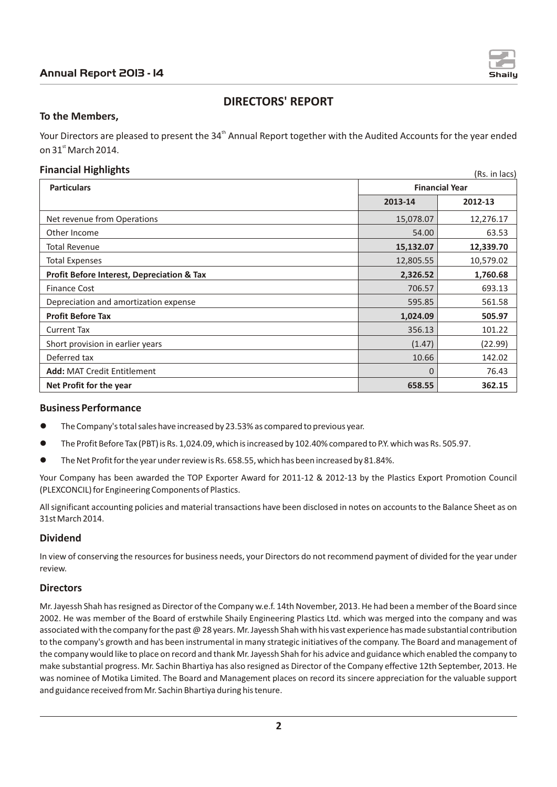

(Rs. in lacs)

## **DIRECTORS' REPORT**

## **To the Members,**

Your Directors are pleased to present the 34<sup>th</sup> Annual Report together with the Audited Accounts for the year ended on 31 $^{\text{st}}$  March 2014.

## **Financial Highlights**

| <b>Particulars</b>                                    | <b>Financial Year</b> |           |  |
|-------------------------------------------------------|-----------------------|-----------|--|
|                                                       | 2013-14               | 2012-13   |  |
| Net revenue from Operations                           | 15,078.07             | 12,276.17 |  |
| Other Income                                          | 54.00                 | 63.53     |  |
| <b>Total Revenue</b>                                  | 15,132.07             | 12,339.70 |  |
| <b>Total Expenses</b>                                 | 12,805.55             | 10,579.02 |  |
| <b>Profit Before Interest, Depreciation &amp; Tax</b> | 2,326.52              | 1,760.68  |  |
| <b>Finance Cost</b>                                   | 706.57                | 693.13    |  |
| Depreciation and amortization expense                 | 595.85                | 561.58    |  |
| <b>Profit Before Tax</b>                              | 1,024.09              | 505.97    |  |
| <b>Current Tax</b>                                    | 356.13                | 101.22    |  |
| Short provision in earlier years                      | (1.47)                | (22.99)   |  |
| Deferred tax                                          | 10.66                 | 142.02    |  |
| <b>Add: MAT Credit Entitlement</b>                    | 0                     | 76.43     |  |
| Net Profit for the year                               | 658.55                | 362.15    |  |

### **Business Performance**

- l The Company's total sales have increased by 23.53% as compared to previous year.
- l The Profit Before Tax (PBT) is Rs. 1,024.09, which is increased by 102.40% compared to P.Y. which was Rs. 505.97.
- l The Net Profit for the year under review is Rs. 658.55, which has been increased by 81.84%.

Your Company has been awarded the TOP Exporter Award for 2011-12 & 2012-13 by the Plastics Export Promotion Council (PLEXCONCIL) for Engineering Components of Plastics.

All significant accounting policies and material transactions have been disclosed in notes on accounts to the Balance Sheet as on 31st March 2014.

### **Dividend**

In view of conserving the resources for business needs, your Directors do not recommend payment of divided for the year under review.

### **Directors**

Mr. Jayessh Shah has resigned as Director of the Company w.e.f. 14th November, 2013. He had been a member of the Board since 2002. He was member of the Board of erstwhile Shaily Engineering Plastics Ltd. which was merged into the company and was associated with the company for the past @ 28 years. Mr. Jayessh Shah with his vast experience has made substantial contribution to the company's growth and has been instrumental in many strategic initiatives of the company. The Board and management of the company would like to place on record and thank Mr. Jayessh Shah for his advice and guidance which enabled the company to make substantial progress. Mr. Sachin Bhartiya has also resigned as Director of the Company effective 12th September, 2013. He was nominee of Motika Limited. The Board and Management places on record its sincere appreciation for the valuable support and guidance received from Mr. Sachin Bhartiya during his tenure.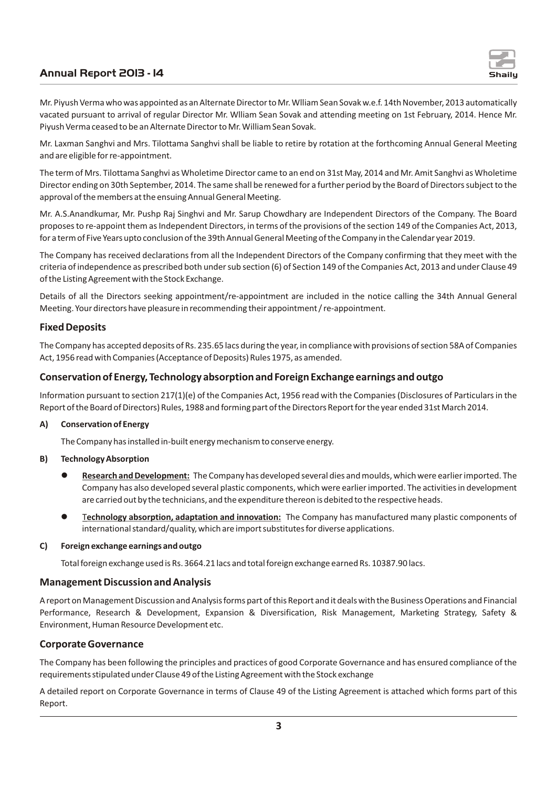

Mr. Piyush Verma who was appointed as an Alternate Director to Mr. Wlliam Sean Sovak w.e.f. 14th November, 2013 automatically vacated pursuant to arrival of regular Director Mr. Wlliam Sean Sovak and attending meeting on 1st February, 2014. Hence Mr. Piyush Verma ceased to be an Alternate Director to Mr. William Sean Sovak.

Mr. Laxman Sanghvi and Mrs. Tilottama Sanghvi shall be liable to retire by rotation at the forthcoming Annual General Meeting and are eligible for re-appointment.

The term of Mrs. Tilottama Sanghvi as Wholetime Director came to an end on 31st May, 2014 and Mr. Amit Sanghvi as Wholetime Director ending on 30th September, 2014. The same shall be renewed for a further period by the Board of Directors subject to the approval of the members at the ensuing Annual General Meeting.

Mr. A.S.Anandkumar, Mr. Pushp Raj Singhvi and Mr. Sarup Chowdhary are Independent Directors of the Company. The Board proposes to re-appoint them as Independent Directors, in terms of the provisions of the section 149 of the Companies Act, 2013, for a term of Five Years upto conclusion of the 39th Annual General Meeting of the Company in the Calendar year 2019.

The Company has received declarations from all the Independent Directors of the Company confirming that they meet with the criteria of independence as prescribed both under sub section (6) of Section 149 of the Companies Act, 2013 and under Clause 49 of the Listing Agreement with the Stock Exchange.

Details of all the Directors seeking appointment/re-appointment are included in the notice calling the 34th Annual General Meeting. Your directors have pleasure in recommending their appointment / re-appointment.

### **Fixed Deposits**

The Company has accepted deposits of Rs. 235.65 lacs during the year, in compliance with provisions of section 58A of Companies Act, 1956 read with Companies (Acceptance of Deposits) Rules 1975, as amended.

### **Conservation of Energy, Technology absorption and Foreign Exchange earnings and outgo**

Information pursuant to section 217(1)(e) of the Companies Act, 1956 read with the Companies (Disclosures of Particulars in the Report of the Board of Directors) Rules, 1988 and forming part of the Directors Report for the year ended 31st March 2014.

#### **A) Conservation of Energy**

The Company has installed in-built energy mechanism to conserve energy.

#### **B) Technology Absorption**

- **Research and Development:** The Company has developed several dies and moulds, which were earlier imported. The Company has also developed several plastic components, which were earlier imported. The activities in development are carried out by the technicians, and the expenditure thereon is debited to the respective heads.
- **Technology absorption, adaptation and innovation:** The Company has manufactured many plastic components of international standard/quality, which are import substitutes for diverse applications.

#### **C) Foreign exchange earnings and outgo**

Total foreign exchange used is Rs. 3664.21 lacs and total foreign exchange earned Rs. 10387.90 lacs.

#### **Management Discussion and Analysis**

A report on Management Discussion and Analysis forms part of this Report and it deals with the Business Operations and Financial Performance, Research & Development, Expansion & Diversification, Risk Management, Marketing Strategy, Safety & Environment, Human Resource Development etc.

#### **Corporate Governance**

The Company has been following the principles and practices of good Corporate Governance and has ensured compliance of the requirements stipulated under Clause 49 of the Listing Agreement with the Stock exchange

A detailed report on Corporate Governance in terms of Clause 49 of the Listing Agreement is attached which forms part of this Report.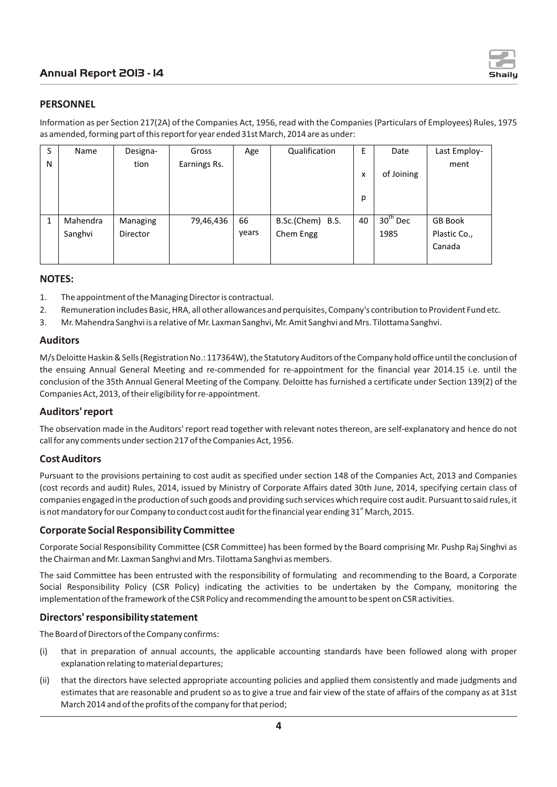

## **PERSONNEL**

Information as per Section 217(2A) of the Companies Act, 1956, read with the Companies (Particulars of Employees) Rules, 1975 as amended, forming part of this report for year ended 31st March, 2014 are as under:

| S | Name     | Designa- | Gross        | Age   | Qualification    | Ε  | Date                 | Last Employ- |
|---|----------|----------|--------------|-------|------------------|----|----------------------|--------------|
| N |          | tion     | Earnings Rs. |       |                  |    |                      | ment         |
|   |          |          |              |       |                  | X  | of Joining           |              |
|   |          |          |              |       |                  | р  |                      |              |
|   |          |          |              |       |                  |    |                      |              |
|   | Mahendra | Managing | 79,46,436    | 66    | B.Sc.(Chem) B.S. | 40 | 30 <sup>th</sup> Dec | GB Book      |
|   | Sanghvi  | Director |              | years | Chem Engg        |    | 1985                 | Plastic Co., |
|   |          |          |              |       |                  |    |                      | Canada       |
|   |          |          |              |       |                  |    |                      |              |

### **NOTES:**

- 1. The appointment of the Managing Director is contractual.
- 2. Remuneration includes Basic, HRA, all other allowances and perquisites, Company's contribution to Provident Fund etc.
- 3. Mr. Mahendra Sanghvi is a relative of Mr. Laxman Sanghvi, Mr. Amit Sanghvi and Mrs. Tilottama Sanghvi.

### **Auditors**

M/s Deloitte Haskin & Sells (Registration No.: 117364W), the Statutory Auditors of the Company hold office until the conclusion of the ensuing Annual General Meeting and re-commended for re-appointment for the financial year 2014.15 i.e. until the conclusion of the 35th Annual General Meeting of the Company. Deloitte has furnished a certificate under Section 139(2) of the Companies Act, 2013, of their eligibility for re-appointment.

### **Auditors' report**

The observation made in the Auditors' report read together with relevant notes thereon, are self-explanatory and hence do not call for any comments under section 217 of the Companies Act, 1956.

### **Cost Auditors**

Pursuant to the provisions pertaining to cost audit as specified under section 148 of the Companies Act, 2013 and Companies (cost records and audit) Rules, 2014, issued by Ministry of Corporate Affairs dated 30th June, 2014, specifying certain class of companies engaged in the production of such goods and providing such services which require cost audit. Pursuant to said rules, it is not mandatory for our Company to conduct cost audit for the financial year ending 31 $^{\rm st}$  March, 2015.

### **Corporate Social Responsibility Committee**

Corporate Social Responsibility Committee (CSR Committee) has been formed by the Board comprising Mr. Pushp Raj Singhvi as the Chairman and Mr. Laxman Sanghvi and Mrs. Tilottama Sanghvi as members.

The said Committee has been entrusted with the responsibility of formulating and recommending to the Board, a Corporate Social Responsibility Policy (CSR Policy) indicating the activities to be undertaken by the Company, monitoring the implementation of the framework of the CSR Policy and recommending the amount to be spent on CSR activities.

### **Directors' responsibility statement**

The Board of Directors of the Company confirms:

- (i) that in preparation of annual accounts, the applicable accounting standards have been followed along with proper explanation relating to material departures;
- (ii) that the directors have selected appropriate accounting policies and applied them consistently and made judgments and estimates that are reasonable and prudent so as to give a true and fair view of the state of affairs of the company as at 31st March 2014 and of the profits of the company for that period;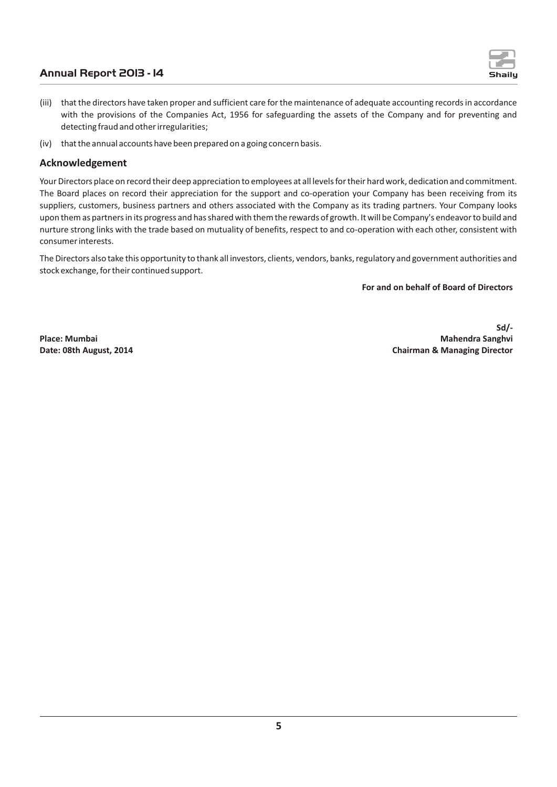

- (iii) that the directors have taken proper and sufficient care for the maintenance of adequate accounting records in accordance with the provisions of the Companies Act, 1956 for safeguarding the assets of the Company and for preventing and detecting fraud and other irregularities;
- (iv) that the annual accounts have been prepared on a going concern basis.

## **Acknowledgement**

Your Directors place on record their deep appreciation to employees at all levels for their hard work, dedication and commitment. The Board places on record their appreciation for the support and co-operation your Company has been receiving from its suppliers, customers, business partners and others associated with the Company as its trading partners. Your Company looks upon them as partners in its progress and has shared with them the rewards of growth. It will be Company's endeavor to build and nurture strong links with the trade based on mutuality of benefits, respect to and co-operation with each other, consistent with consumer interests.

The Directors also take this opportunity to thank all investors, clients, vendors, banks, regulatory and government authorities and stock exchange, for their continued support.

**For and on behalf of Board of Directors** 

**Sd/- Place: Mumbai Mahendra Sanghvi** *Alemania* **Mahendra Sanghvi** *Mahendra Sanghvi**Mahendra Sanghvi**Mahendra Sanghvi* **Date: 08th August, 2014 Chairman & Managing Director**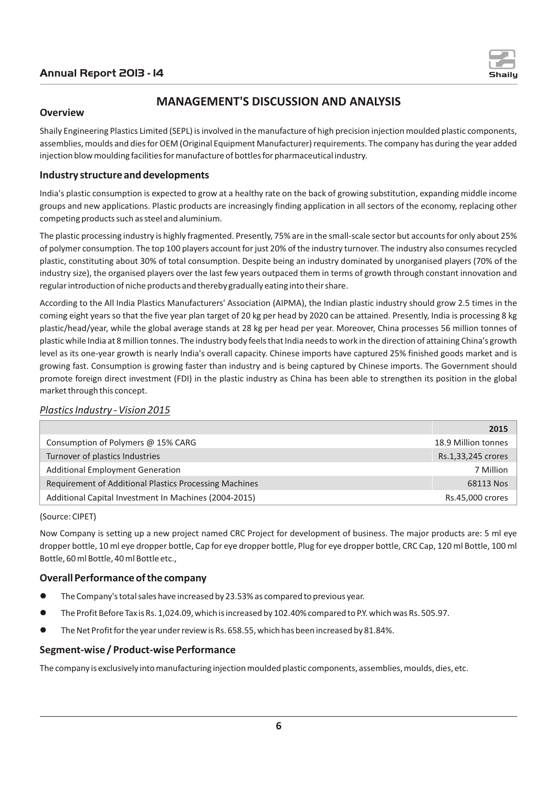

## **Overview**

## **MANAGEMENT'S DISCUSSION AND ANALYSIS**

Shaily Engineering Plastics Limited (SEPL) is involved in the manufacture of high precision injection moulded plastic components, assemblies, moulds and dies for OEM (Original Equipment Manufacturer) requirements. The company has during the year added injection blow moulding facilities for manufacture of bottles for pharmaceutical industry.

## **Industry structure and developments**

India's plastic consumption is expected to grow at a healthy rate on the back of growing substitution, expanding middle income groups and new applications. Plastic products are increasingly finding application in all sectors of the economy, replacing other competing products such as steel and aluminium.

The plastic processing industry is highly fragmented. Presently, 75% are in the small-scale sector but accounts for only about 25% of polymer consumption. The top 100 players account for just 20% of the industry turnover. The industry also consumes recycled plastic, constituting about 30% of total consumption. Despite being an industry dominated by unorganised players (70% of the industry size), the organised players over the last few years outpaced them in terms of growth through constant innovation and regular introduction of niche products and thereby gradually eating into their share.

According to the All India Plastics Manufacturers' Association (AIPMA), the Indian plastic industry should grow 2.5 times in the coming eight years so that the five year plan target of 20 kg per head by 2020 can be attained. Presently, India is processing 8 kg plastic/head/year, while the global average stands at 28 kg per head per year. Moreover, China processes 56 million tonnes of plastic while India at 8 million tonnes. The industry body feels that India needs to work in the direction of attaining China's growth level as its one-year growth is nearly India's overall capacity. Chinese imports have captured 25% finished goods market and is growing fast. Consumption is growing faster than industry and is being captured by Chinese imports. The Government should promote foreign direct investment (FDI) in the plastic industry as China has been able to strengthen its position in the global market through this concept.

## *Plastics Industry - Vision 2015*

|                                                        | 2015                |
|--------------------------------------------------------|---------------------|
| Consumption of Polymers @ 15% CARG                     | 18.9 Million tonnes |
| Turnover of plastics Industries                        | Rs.1,33,245 crores  |
| <b>Additional Employment Generation</b>                | 7 Million           |
| Requirement of Additional Plastics Processing Machines | 68113 Nos           |
| Additional Capital Investment In Machines (2004-2015)  | Rs.45,000 crores    |

(Source: CIPET)

Now Company is setting up a new project named CRC Project for development of business. The major products are: 5 ml eye dropper bottle, 10 ml eye dropper bottle, Cap for eye dropper bottle, Plug for eye dropper bottle, CRC Cap, 120 ml Bottle, 100 ml Bottle, 60 ml Bottle, 40 ml Bottle etc.,

### **Overall Performance of the company**

- l The Company's total sales have increased by 23.53% as compared to previous year.
- l The Profit Before Tax is Rs. 1,024.09, which is increased by 102.40% compared to P.Y. which was Rs. 505.97.
- l The Net Profit for the year under review is Rs. 658.55, which has been increased by 81.84%.

### **Segment-wise / Product-wise Performance**

The company is exclusively into manufacturing injection moulded plastic components, assemblies, moulds, dies, etc.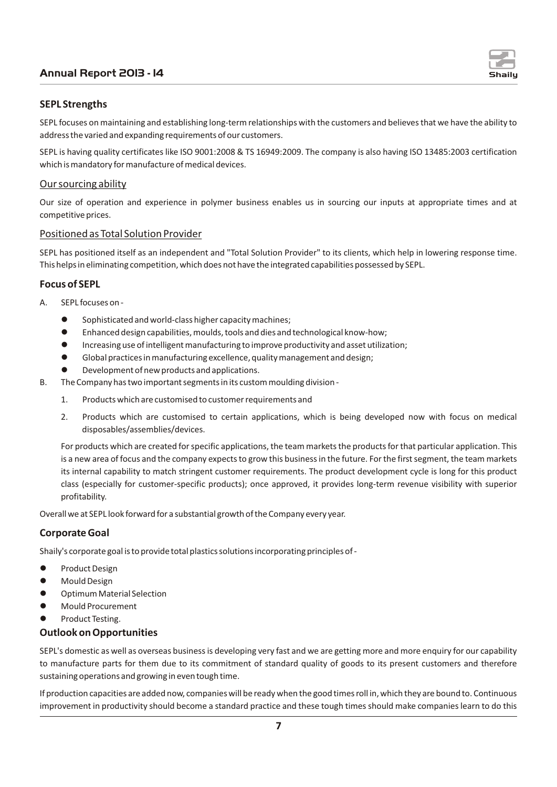

SEPL focuses on maintaining and establishing long-term relationships with the customers and believes that we have the ability to address the varied and expanding requirements of our customers.

SEPL is having quality certificates like ISO 9001:2008 & TS 16949:2009. The company is also having ISO 13485:2003 certification which is mandatory for manufacture of medical devices.

### Our sourcing ability

Our size of operation and experience in polymer business enables us in sourcing our inputs at appropriate times and at competitive prices.

### Positioned as Total Solution Provider

SEPL has positioned itself as an independent and "Total Solution Provider" to its clients, which help in lowering response time. This helps in eliminating competition, which does not have the integrated capabilities possessed by SEPL.

### **Focus of SEPL**

- A. SEPL focuses on -
	- **•** Sophisticated and world-class higher capacity machines;
	- l Enhanced design capabilities, moulds, tools and dies and technological know-how;
	- l Increasing use of intelligent manufacturing to improve productivity and asset utilization;
	- l Global practices in manufacturing excellence, quality management and design;
	- l Development of new products and applications.
- B. The Company has two important segments in its custom moulding division
	- 1. Products which are customised to customer requirements and
	- 2. Products which are customised to certain applications, which is being developed now with focus on medical disposables/assemblies/devices.

For products which are created for specific applications, the team markets the products for that particular application. This is a new area of focus and the company expects to grow this business in the future. For the first segment, the team markets its internal capability to match stringent customer requirements. The product development cycle is long for this product class (especially for customer-specific products); once approved, it provides long-term revenue visibility with superior profitability.

Overall we at SEPL look forward for a substantial growth of the Company every year.

### **Corporate Goal**

Shaily's corporate goal is to provide total plastics solutions incorporating principles of -

- **•** Product Design
- $\bullet$  Mould Design
- **•** Optimum Material Selection
- **•** Mould Procurement
- **•** Product Testing.

## **Outlook on Opportunities**

SEPL's domestic as well as overseas business is developing very fast and we are getting more and more enquiry for our capability to manufacture parts for them due to its commitment of standard quality of goods to its present customers and therefore sustaining operations and growing in even tough time.

If production capacities are added now, companies will be ready when the good times roll in, which they are bound to. Continuous improvement in productivity should become a standard practice and these tough times should make companies learn to do this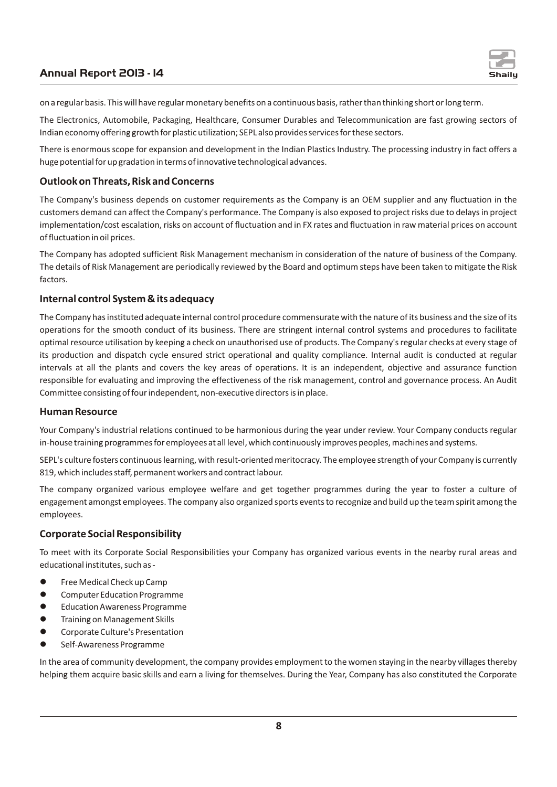

on a regular basis. This will have regular monetary benefits on a continuous basis, rather than thinking short or long term.

The Electronics, Automobile, Packaging, Healthcare, Consumer Durables and Telecommunication are fast growing sectors of Indian economy offering growth for plastic utilization; SEPL also provides services for these sectors.

There is enormous scope for expansion and development in the Indian Plastics Industry. The processing industry in fact offers a huge potential for up gradation in terms of innovative technological advances.

### **Outlook on Threats, Risk and Concerns**

The Company's business depends on customer requirements as the Company is an OEM supplier and any fluctuation in the customers demand can affect the Company's performance. The Company is also exposed to project risks due to delays in project implementation/cost escalation, risks on account of fluctuation and in FX rates and fluctuation in raw material prices on account of fluctuation in oil prices.

The Company has adopted sufficient Risk Management mechanism in consideration of the nature of business of the Company. The details of Risk Management are periodically reviewed by the Board and optimum steps have been taken to mitigate the Risk factors.

#### **Internal control System & its adequacy**

The Company has instituted adequate internal control procedure commensurate with the nature of its business and the size of its operations for the smooth conduct of its business. There are stringent internal control systems and procedures to facilitate optimal resource utilisation by keeping a check on unauthorised use of products. The Company's regular checks at every stage of its production and dispatch cycle ensured strict operational and quality compliance. Internal audit is conducted at regular intervals at all the plants and covers the key areas of operations. It is an independent, objective and assurance function responsible for evaluating and improving the effectiveness of the risk management, control and governance process. An Audit Committee consisting of four independent, non-executive directors is in place.

#### **Human Resource**

Your Company's industrial relations continued to be harmonious during the year under review. Your Company conducts regular in-house training programmes for employees at all level, which continuously improves peoples, machines and systems.

SEPL's culture fosters continuous learning, with result-oriented meritocracy. The employee strength of your Company is currently 819, which includes staff, permanent workers and contract labour.

The company organized various employee welfare and get together programmes during the year to foster a culture of engagement amongst employees. The company also organized sports events to recognize and build up the team spirit among the employees.

#### **Corporate Social Responsibility**

To meet with its Corporate Social Responsibilities your Company has organized various events in the nearby rural areas and educational institutes, such as -

- **•** Free Medical Check up Camp
- **•** Computer Education Programme
- l Education Awareness Programme
- **•** Training on Management Skills
- **•** Corporate Culture's Presentation
- **.** Self-Awareness Programme

In the area of community development, the company provides employment to the women staying in the nearby villages thereby helping them acquire basic skills and earn a living for themselves. During the Year, Company has also constituted the Corporate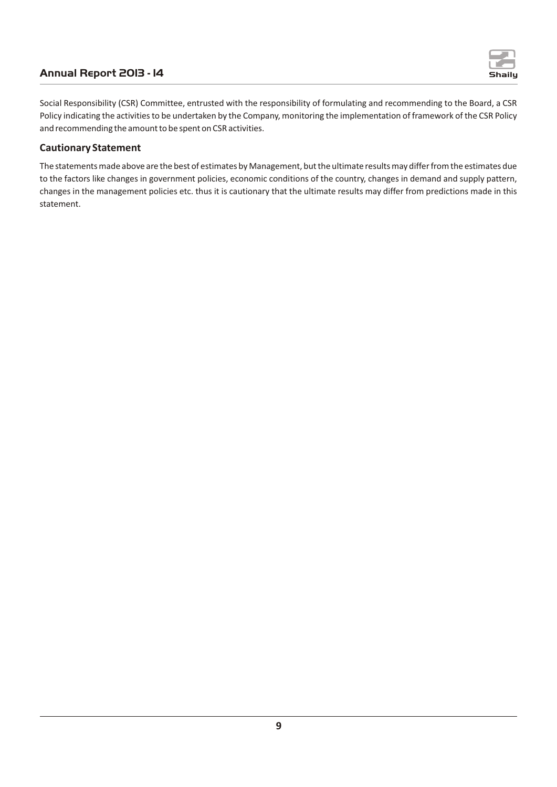

Social Responsibility (CSR) Committee, entrusted with the responsibility of formulating and recommending to the Board, a CSR Policy indicating the activities to be undertaken by the Company, monitoring the implementation of framework of the CSR Policy and recommending the amount to be spent on CSR activities.

## **Cautionary Statement**

The statements made above are the best of estimates by Management, but the ultimate results may differ from the estimates due to the factors like changes in government policies, economic conditions of the country, changes in demand and supply pattern, changes in the management policies etc. thus it is cautionary that the ultimate results may differ from predictions made in this statement.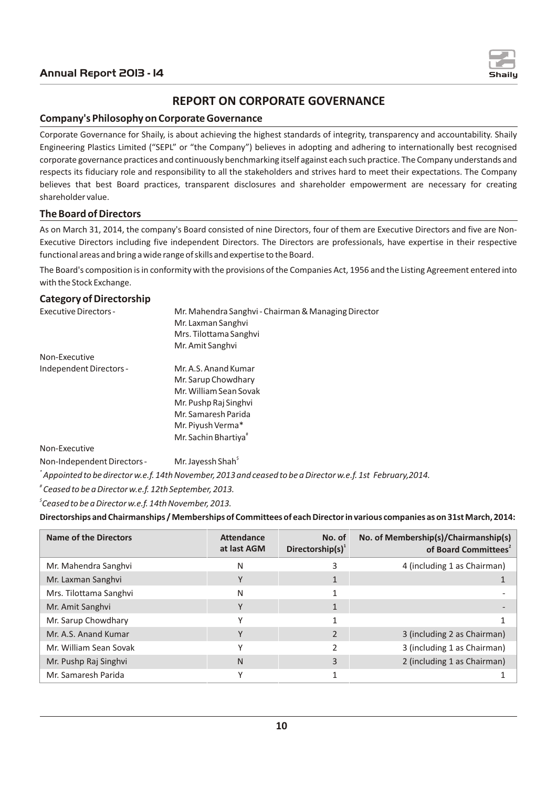

## **REPORT ON CORPORATE GOVERNANCE**

## **Company's Philosophy on Corporate Governance**

Corporate Governance for Shaily, is about achieving the highest standards of integrity, transparency and accountability. Shaily Engineering Plastics Limited ("SEPL" or "the Company") believes in adopting and adhering to internationally best recognised corporate governance practices and continuously benchmarking itself against each such practice. The Company understands and respects its fiduciary role and responsibility to all the stakeholders and strives hard to meet their expectations. The Company believes that best Board practices, transparent disclosures and shareholder empowerment are necessary for creating shareholder value.

## **The Board of Directors**

As on March 31, 2014, the company's Board consisted of nine Directors, four of them are Executive Directors and five are Non-Executive Directors including five independent Directors. The Directors are professionals, have expertise in their respective functional areas and bring a wide range of skills and expertise to the Board.

The Board's composition is in conformity with the provisions of the Companies Act, 1956 and the Listing Agreement entered into with the Stock Exchange.

## **Category of Directorship**

| <b>Executive Directors -</b> | Mr. Mahendra Sanghvi - Chairman & Managing Director |  |
|------------------------------|-----------------------------------------------------|--|
|                              | Mr. Laxman Sanghvi                                  |  |
|                              | Mrs. Tilottama Sanghvi                              |  |
|                              | Mr. Amit Sanghvi                                    |  |
| Non-Executive                |                                                     |  |
| Independent Directors -      | Mr. A.S. Anand Kumar                                |  |
|                              | Mr. Sarup Chowdhary                                 |  |
|                              | Mr. William Sean Sovak                              |  |
|                              | Mr. Pushp Raj Singhvi                               |  |
|                              | Mr. Samaresh Parida                                 |  |
|                              | Mr. Piyush Verma*                                   |  |
|                              | Mr. Sachin Bhartiya <sup>#</sup>                    |  |
| Non-Executive                |                                                     |  |
| Non-Independent Directors -  | Mr. Jayessh Shah <sup>5</sup>                       |  |

*\* Appointed to be director w.e.f. 14th November, 2013 and ceased to be a Director w.e.f. 1st February,2014.*

*# Ceased to be a Director w.e.f. 12th September, 2013.* 

*\$ Ceased to be a Director w.e.f. 14th November, 2013.*

**Directorships and Chairmanships / Memberships of Committees of each Director in various companies as on 31st March, 2014:**

| <b>Name of the Directors</b> | <b>Attendance</b><br>at last AGM | No. of<br>Directorship(s) <sup>1</sup> | No. of Membership(s)/Chairmanship(s)<br>of Board Committees <sup>2</sup> |
|------------------------------|----------------------------------|----------------------------------------|--------------------------------------------------------------------------|
| Mr. Mahendra Sanghvi         | N                                |                                        | 4 (including 1 as Chairman)                                              |
| Mr. Laxman Sanghvi           | Υ                                | 1                                      |                                                                          |
| Mrs. Tilottama Sanghvi       | N                                |                                        |                                                                          |
| Mr. Amit Sanghvi             |                                  | 1                                      |                                                                          |
| Mr. Sarup Chowdhary          |                                  |                                        |                                                                          |
| Mr. A.S. Anand Kumar         |                                  | $\mathfrak{D}$                         | 3 (including 2 as Chairman)                                              |
| Mr. William Sean Sovak       | v                                |                                        | 3 (including 1 as Chairman)                                              |
| Mr. Pushp Raj Singhvi        | N                                | 3                                      | 2 (including 1 as Chairman)                                              |
| Mr. Samaresh Parida          | ν                                |                                        |                                                                          |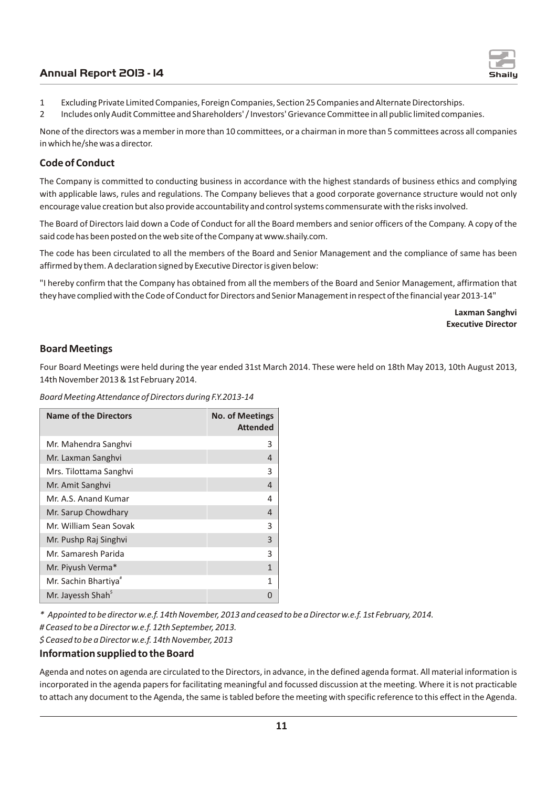

- 1 Excluding Private Limited Companies, Foreign Companies, Section 25 Companies and Alternate Directorships.
- 2 Includes only Audit Committee and Shareholders' / Investors' Grievance Committee in all public limited companies.

None of the directors was a member in more than 10 committees, or a chairman in more than 5 committees across all companies in which he/she was a director.

## **Code of Conduct**

The Company is committed to conducting business in accordance with the highest standards of business ethics and complying with applicable laws, rules and regulations. The Company believes that a good corporate governance structure would not only encourage value creation but also provide accountability and control systems commensurate with the risks involved.

The Board of Directors laid down a Code of Conduct for all the Board members and senior officers of the Company. A copy of the said code has been posted on the web site of the Company at www.shaily.com.

The code has been circulated to all the members of the Board and Senior Management and the compliance of same has been affirmed by them. A declaration signed by Executive Director is given below:

"I hereby confirm that the Company has obtained from all the members of the Board and Senior Management, affirmation that they have complied with the Code of Conduct for Directors and Senior Management in respect of the financial year 2013-14"

> **Laxman Sanghvi Executive Director**

### **Board Meetings**

Four Board Meetings were held during the year ended 31st March 2014. These were held on 18th May 2013, 10th August 2013, 14th November 2013 & 1st February 2014.

*Board Meeting Attendance of Directors during F.Y.2013-14*

| <b>Name of the Directors</b>     | <b>No. of Meetings</b><br><b>Attended</b> |
|----------------------------------|-------------------------------------------|
| Mr. Mahendra Sanghvi             | 3                                         |
| Mr. Laxman Sanghvi               | 4                                         |
| Mrs. Tilottama Sanghvi           | 3                                         |
| Mr. Amit Sanghvi                 | 4                                         |
| Mr. A.S. Anand Kumar             | 4                                         |
| Mr. Sarup Chowdhary              | 4                                         |
| Mr. William Sean Sovak           | 3                                         |
| Mr. Pushp Raj Singhvi            | 3                                         |
| Mr. Samaresh Parida              | З                                         |
| Mr. Piyush Verma*                | 1                                         |
| Mr. Sachin Bhartiya <sup>#</sup> |                                           |
| Mr. Jayessh Shah <sup>\$</sup>   |                                           |

*\* Appointed to be director w.e.f. 14th November, 2013 and ceased to be a Director w.e.f. 1st February, 2014.*

*# Ceased to be a Director w.e.f. 12th September, 2013.* 

*\$ Ceased to be a Director w.e.f. 14th November, 2013*

### **Information supplied to the Board**

Agenda and notes on agenda are circulated to the Directors, in advance, in the defined agenda format. All material information is incorporated in the agenda papers for facilitating meaningful and focussed discussion at the meeting. Where it is not practicable to attach any document to the Agenda, the same is tabled before the meeting with specific reference to this effect in the Agenda.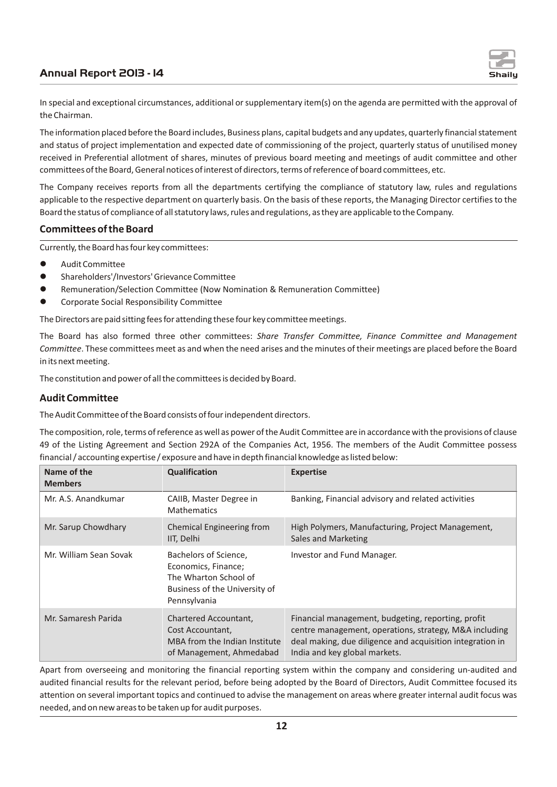

In special and exceptional circumstances, additional or supplementary item(s) on the agenda are permitted with the approval of the Chairman.

The information placed before the Board includes, Business plans, capital budgets and any updates, quarterly financial statement and status of project implementation and expected date of commissioning of the project, quarterly status of unutilised money received in Preferential allotment of shares, minutes of previous board meeting and meetings of audit committee and other committees of the Board, General notices of interest of directors, terms of reference of board committees, etc.

The Company receives reports from all the departments certifying the compliance of statutory law, rules and regulations applicable to the respective department on quarterly basis. On the basis of these reports, the Managing Director certifies to the Board the status of compliance of all statutory laws, rules and regulations, as they are applicable to the Company.

### **Committees of the Board**

Currently, the Board has four key committees:

- **•** Audit Committee
- l Shareholders'/Investors' Grievance Committee
- **Remuneration/Selection Committee (Now Nomination & Remuneration Committee)**
- **•** Corporate Social Responsibility Committee

The Directors are paid sitting fees for attending these four key committee meetings.

The Board has also formed three other committees: *Share Transfer Committee, Finance Committee and Management Committee*. These committees meet as and when the need arises and the minutes of their meetings are placed before the Board in its next meeting.

The constitution and power of all the committees is decided by Board.

### **Audit Committee**

The Audit Committee of the Board consists of four independent directors.

The composition, role, terms of reference as well as power of the Audit Committee are in accordance with the provisions of clause 49 of the Listing Agreement and Section 292A of the Companies Act, 1956. The members of the Audit Committee possess financial / accounting expertise / exposure and have in depth financial knowledge as listed below:

| Name of the<br><b>Members</b> | <b>Qualification</b>                                                                                                   | <b>Expertise</b>                                                                                                                                                                                           |
|-------------------------------|------------------------------------------------------------------------------------------------------------------------|------------------------------------------------------------------------------------------------------------------------------------------------------------------------------------------------------------|
| Mr. A.S. Anandkumar           | CAIIB, Master Degree in<br><b>Mathematics</b>                                                                          | Banking, Financial advisory and related activities                                                                                                                                                         |
| Mr. Sarup Chowdhary           | Chemical Engineering from<br>IIT, Delhi                                                                                | High Polymers, Manufacturing, Project Management,<br>Sales and Marketing                                                                                                                                   |
| Mr. William Sean Sovak        | Bachelors of Science,<br>Economics, Finance;<br>The Wharton School of<br>Business of the University of<br>Pennsylvania | Investor and Fund Manager.                                                                                                                                                                                 |
| Mr. Samaresh Parida           | Chartered Accountant,<br>Cost Accountant,<br>MBA from the Indian Institute<br>of Management, Ahmedabad                 | Financial management, budgeting, reporting, profit<br>centre management, operations, strategy, M&A including<br>deal making, due diligence and acquisition integration in<br>India and key global markets. |

Apart from overseeing and monitoring the financial reporting system within the company and considering un-audited and audited financial results for the relevant period, before being adopted by the Board of Directors, Audit Committee focused its attention on several important topics and continued to advise the management on areas where greater internal audit focus was needed, and on new areas to be taken up for audit purposes.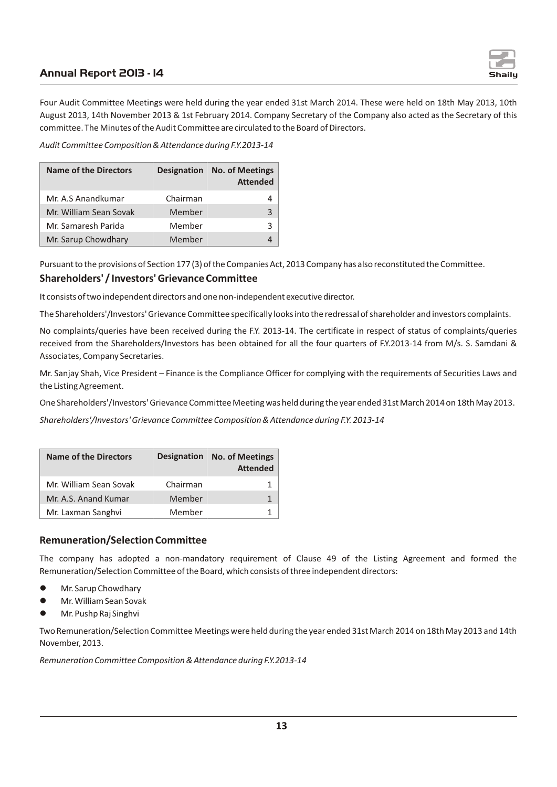

Four Audit Committee Meetings were held during the year ended 31st March 2014. These were held on 18th May 2013, 10th August 2013, 14th November 2013 & 1st February 2014. Company Secretary of the Company also acted as the Secretary of this committee. The Minutes of the Audit Committee are circulated to the Board of Directors.

*Audit Committee Composition & Attendance during F.Y.2013-14*

| Name of the Directors  | <b>Designation</b> | <b>No. of Meetings</b><br><b>Attended</b> |
|------------------------|--------------------|-------------------------------------------|
| Mr. A.S Anandkumar     | Chairman           | 4                                         |
| Mr. William Sean Sovak | Member             | 3                                         |
| Mr. Samaresh Parida    | Member             | 3                                         |
| Mr. Sarup Chowdhary    | Member             |                                           |

Pursuant to the provisions of Section 177 (3) of the Companies Act, 2013 Company has also reconstituted the Committee.

## **Shareholders' / Investors' Grievance Committee**

It consists of two independent directors and one non-independent executive director.

The Shareholders'/Investors' Grievance Committee specifically looks into the redressal of shareholder and investors complaints.

No complaints/queries have been received during the F.Y. 2013-14. The certificate in respect of status of complaints/queries received from the Shareholders/Investors has been obtained for all the four quarters of F.Y.2013-14 from M/s. S. Samdani & Associates, Company Secretaries.

Mr. Sanjay Shah, Vice President – Finance is the Compliance Officer for complying with the requirements of Securities Laws and the Listing Agreement.

One Shareholders'/Investors' Grievance Committee Meeting was held during the year ended 31st March 2014 on 18th May 2013.

*Shareholders'/Investors' Grievance Committee Composition & Attendance during F.Y. 2013-14*

| <b>Name of the Directors</b> | <b>Designation</b> | <b>No. of Meetings</b><br><b>Attended</b> |
|------------------------------|--------------------|-------------------------------------------|
| Mr. William Sean Sovak       | Chairman           |                                           |
| Mr. A.S. Anand Kumar         | Member             |                                           |
| Mr. Laxman Sanghvi           | Member             |                                           |

## **Remuneration/Selection Committee**

The company has adopted a non-mandatory requirement of Clause 49 of the Listing Agreement and formed the Remuneration/Selection Committee of the Board, which consists of three independent directors:

- **•** Mr. Sarup Chowdhary
- **•** Mr. William Sean Sovak
- **•** Mr. Pushp Raj Singhvi

Two Remuneration/Selection Committee Meetings were held during the year ended 31st March 2014 on 18th May 2013 and 14th November, 2013.

*Remuneration Committee Composition & Attendance during F.Y.2013-14*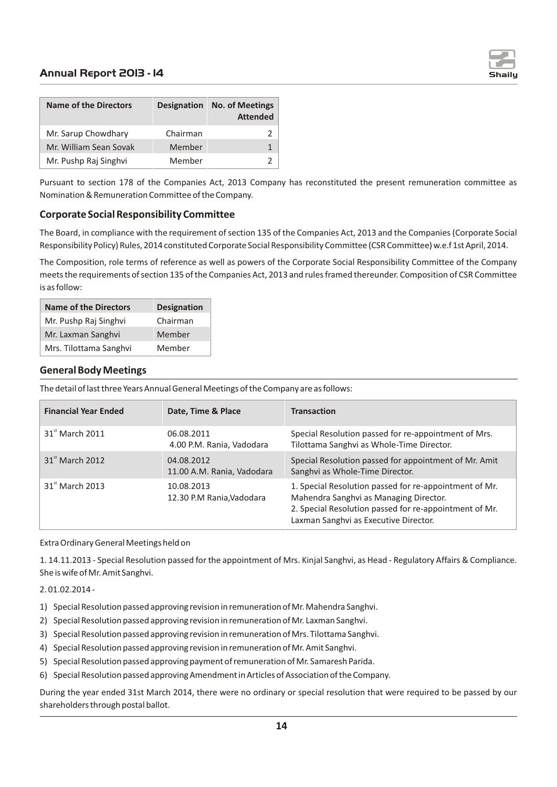

| <b>Name of the Directors</b> |          | <b>Designation</b> No. of Meetings<br><b>Attended</b> |
|------------------------------|----------|-------------------------------------------------------|
| Mr. Sarup Chowdhary          | Chairman |                                                       |
| Mr. William Sean Sovak       | Member   |                                                       |
| Mr. Pushp Raj Singhvi        | Member   |                                                       |

Pursuant to section 178 of the Companies Act, 2013 Company has reconstituted the present remuneration committee as Nomination & Remuneration Committee of the Company.

## **Corporate Social Responsibility Committee**

The Board, in compliance with the requirement of section 135 of the Companies Act, 2013 and the Companies (Corporate Social Responsibility Policy) Rules, 2014 constituted Corporate Social Responsibility Committee (CSR Committee) w.e.f 1st April, 2014.

The Composition, role terms of reference as well as powers of the Corporate Social Responsibility Committee of the Company meets the requirements of section 135 of the Companies Act, 2013 and rules framed thereunder. Composition of CSR Committee is as follow:

| <b>Name of the Directors</b> | <b>Designation</b> |
|------------------------------|--------------------|
| Mr. Pushp Raj Singhvi        | Chairman           |
| Mr. Laxman Sanghvi           | Member             |
| Mrs. Tilottama Sanghvi       | Member             |

## **General Body Meetings**

The detail of last three Years Annual General Meetings of the Company are as follows:

| <b>Financial Year Ended</b> | Date, Time & Place                       | <b>Transaction</b>                                                                                                                                                                                  |
|-----------------------------|------------------------------------------|-----------------------------------------------------------------------------------------------------------------------------------------------------------------------------------------------------|
| $31st$ March 2011           | 06.08.2011<br>4.00 P.M. Rania, Vadodara  | Special Resolution passed for re-appointment of Mrs.<br>Tilottama Sanghvi as Whole-Time Director.                                                                                                   |
| $31st$ March 2012           | 04.08.2012<br>11.00 A.M. Rania, Vadodara | Special Resolution passed for appointment of Mr. Amit<br>Sanghvi as Whole-Time Director.                                                                                                            |
| 31 <sup>st</sup> March 2013 | 10.08.2013<br>12.30 P.M Rania, Vadodara  | 1. Special Resolution passed for re-appointment of Mr.<br>Mahendra Sanghvi as Managing Director.<br>2. Special Resolution passed for re-appointment of Mr.<br>Laxman Sanghvi as Executive Director. |

#### Extra Ordinary General Meetings held on

1. 14.11.2013 - Special Resolution passed for the appointment of Mrs. Kinjal Sanghvi, as Head - Regulatory Affairs & Compliance. She is wife of Mr. Amit Sanghvi.

### 2. 01.02.2014 -

- 1) Special Resolution passed approving revision in remuneration of Mr. Mahendra Sanghvi.
- 2) Special Resolution passed approving revision in remuneration of Mr. Laxman Sanghvi.
- 3) Special Resolution passed approving revision in remuneration of Mrs. Tilottama Sanghvi.
- 4) Special Resolution passed approving revision in remuneration of Mr. Amit Sanghvi.
- 5) Special Resolution passed approving payment of remuneration of Mr. Samaresh Parida.
- 6) Special Resolution passed approving Amendment in Articles of Association of the Company.

During the year ended 31st March 2014, there were no ordinary or special resolution that were required to be passed by our shareholders through postal ballot.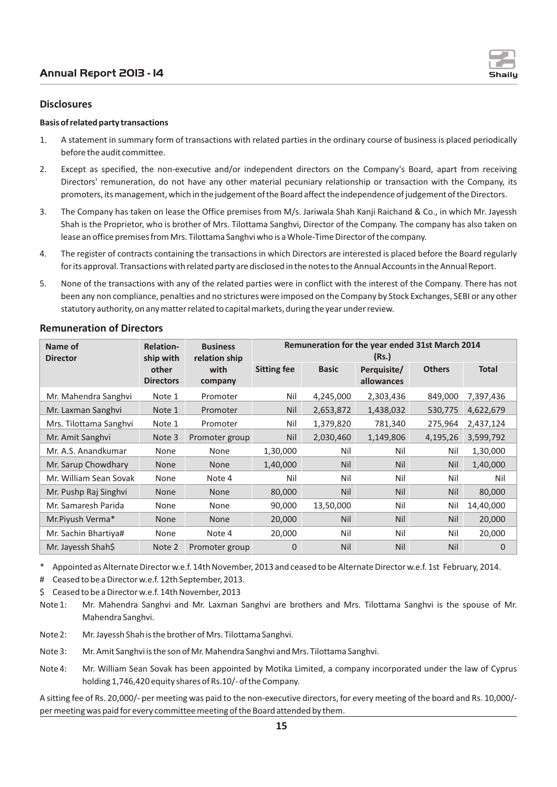

### **Disclosures**

#### **Basis of related party transactions**

- 1. A statement in summary form of transactions with related parties in the ordinary course of business is placed periodically before the audit committee.
- 2. Except as specified, the non-executive and/or independent directors on the Company's Board, apart from receiving Directors' remuneration, do not have any other material pecuniary relationship or transaction with the Company, its promoters, its management, which in the judgement of the Board affect the independence of judgement of the Directors.
- 3. The Company has taken on lease the Office premises from M/s. Jariwala Shah Kanji Raichand & Co., in which Mr. Jayessh Shah is the Proprietor, who is brother of Mrs. Tilottama Sanghvi, Director of the Company. The company has also taken on lease an office premises from Mrs. Tilottama Sanghvi who is a Whole-Time Director of the company.
- 4. The register of contracts containing the transactions in which Directors are interested is placed before the Board regularly for its approval. Transactions with related party are disclosed in the notes to the Annual Accounts in the Annual Report.
- 5. None of the transactions with any of the related parties were in conflict with the interest of the Company. There has not been any non compliance, penalties and no strictures were imposed on the Company by Stock Exchanges, SEBI or any other statutory authority, on any matter related to capital markets, during the year under review.

| Name of<br><b>Director</b> | <b>Relation-</b><br>ship with | <b>Business</b><br>relation ship |                    | <b>Remuneration for the year ended 31st March 2014</b><br>(Rs.) |                           |               |              |
|----------------------------|-------------------------------|----------------------------------|--------------------|-----------------------------------------------------------------|---------------------------|---------------|--------------|
|                            | other<br><b>Directors</b>     | with<br>company                  | <b>Sitting fee</b> | <b>Basic</b>                                                    | Perquisite/<br>allowances | <b>Others</b> | <b>Total</b> |
| Mr. Mahendra Sanghvi       | Note 1                        | Promoter                         | Nil                | 4,245,000                                                       | 2,303,436                 | 849,000       | 7,397,436    |
| Mr. Laxman Sanghvi         | Note 1                        | Promoter                         | Nil                | 2,653,872                                                       | 1,438,032                 | 530,775       | 4,622,679    |
| Mrs. Tilottama Sanghvi     | Note 1                        | Promoter                         | Nil                | 1,379,820                                                       | 781,340                   | 275,964       | 2,437,124    |
| Mr. Amit Sanghvi           | Note 3                        | Promoter group                   | <b>Nil</b>         | 2,030,460                                                       | 1,149,806                 | 4,195,26      | 3,599,792    |
| Mr. A.S. Anandkumar        | None                          | None                             | 1,30,000           | Nil                                                             | Nil                       | Nil           | 1,30,000     |
| Mr. Sarup Chowdhary        | <b>None</b>                   | <b>None</b>                      | 1,40,000           | <b>Nil</b>                                                      | <b>Nil</b>                | <b>Nil</b>    | 1,40,000     |
| Mr. William Sean Sovak     | None                          | Note 4                           | Nil                | Nil                                                             | Nil                       | Nil           | Nil          |
| Mr. Pushp Raj Singhvi      | None                          | None                             | 80,000             | Nil                                                             | Nil                       | Nil           | 80,000       |
| Mr. Samaresh Parida        | None                          | None                             | 90,000             | 13,50,000                                                       | Nil                       | Nil           | 14,40,000    |
| Mr.Piyush Verma*           | None                          | None                             | 20,000             | <b>Nil</b>                                                      | Nil                       | <b>Nil</b>    | 20,000       |
| Mr. Sachin Bhartiya#       | None                          | Note 4                           | 20,000             | Nil                                                             | Nil                       | Nil           | 20,000       |
| Mr. Jayessh Shah\$         | Note 2                        | Promoter group                   | $\mathbf 0$        | <b>Nil</b>                                                      | Nil                       | Nil           | $\Omega$     |

### **Remuneration of Directors**

\* Appointed as Alternate Director w.e.f. 14th November, 2013 and ceased to be Alternate Director w.e.f. 1st February, 2014.

- # Ceased to be a Director w.e.f. 12th September, 2013.
- \$ Ceased to be a Director w.e.f. 14th November, 2013
- Note 1: Mr. Mahendra Sanghvi and Mr. Laxman Sanghvi are brothers and Mrs. Tilottama Sanghvi is the spouse of Mr. Mahendra Sanghvi.
- Note 2: Mr. Jayessh Shah is the brother of Mrs. Tilottama Sanghvi.
- Note 3: Mr. Amit Sanghvi is the son of Mr. Mahendra Sanghvi and Mrs. Tilottama Sanghvi.
- Note 4: Mr. William Sean Sovak has been appointed by Motika Limited, a company incorporated under the law of Cyprus holding 1,746,420 equity shares of Rs.10/- of the Company.

A sitting fee of Rs. 20,000/- per meeting was paid to the non-executive directors, for every meeting of the board and Rs. 10,000/ per meeting was paid for every committee meeting of the Board attended by them.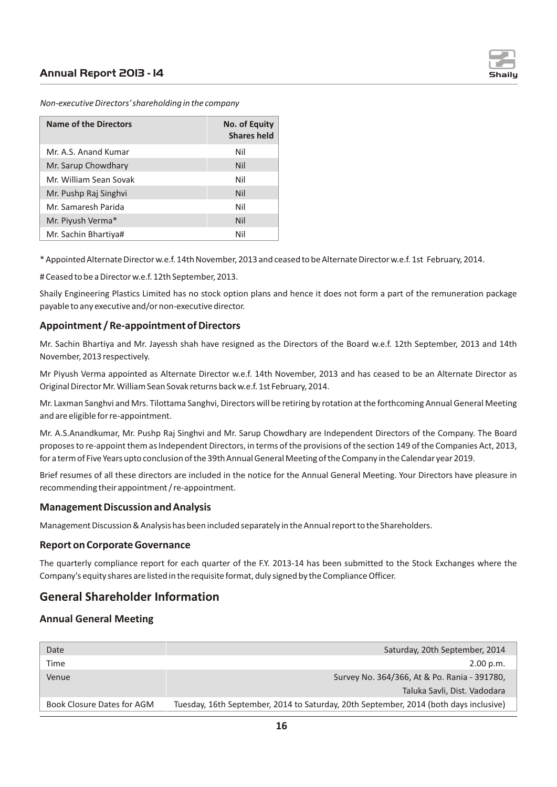

*Non-executive Directors' shareholding in the company*

| <b>Name of the Directors</b> | No. of Equity<br><b>Shares held</b> |
|------------------------------|-------------------------------------|
| Mr A S Anand Kumar           | Nil                                 |
| Mr. Sarup Chowdhary          | Nil                                 |
| Mr. William Sean Sovak       | Nil                                 |
| Mr. Pushp Raj Singhvi        | Nil                                 |
| Mr. Samaresh Parida          | Nil                                 |
| Mr. Piyush Verma*            | Nil                                 |
| Mr. Sachin Bhartiya#         | Nil                                 |

\* Appointed Alternate Director w.e.f. 14th November, 2013 and ceased to be Alternate Director w.e.f. 1st February, 2014.

# Ceased to be a Director w.e.f. 12th September, 2013.

Shaily Engineering Plastics Limited has no stock option plans and hence it does not form a part of the remuneration package payable to any executive and/or non-executive director.

### **Appointment / Re-appointment of Directors**

Mr. Sachin Bhartiya and Mr. Jayessh shah have resigned as the Directors of the Board w.e.f. 12th September, 2013 and 14th November, 2013 respectively.

Mr Piyush Verma appointed as Alternate Director w.e.f. 14th November, 2013 and has ceased to be an Alternate Director as Original Director Mr. William Sean Sovak returns back w.e.f. 1st February, 2014.

Mr. Laxman Sanghvi and Mrs. Tilottama Sanghvi, Directors will be retiring by rotation at the forthcoming Annual General Meeting and are eligible for re-appointment.

Mr. A.S.Anandkumar, Mr. Pushp Raj Singhvi and Mr. Sarup Chowdhary are Independent Directors of the Company. The Board proposes to re-appoint them as Independent Directors, in terms of the provisions of the section 149 of the Companies Act, 2013, for a term of Five Years upto conclusion of the 39th Annual General Meeting of the Company in the Calendar year 2019.

Brief resumes of all these directors are included in the notice for the Annual General Meeting. Your Directors have pleasure in recommending their appointment / re-appointment.

#### **Management Discussion and Analysis**

Management Discussion & Analysis has been included separately in the Annual report to the Shareholders.

#### **Report on Corporate Governance**

The quarterly compliance report for each quarter of the F.Y. 2013-14 has been submitted to the Stock Exchanges where the Company's equity shares are listed in the requisite format, duly signed by the Compliance Officer.

## **General Shareholder Information**

### **Annual General Meeting**

| Date                              | Saturday, 20th September, 2014                                                        |
|-----------------------------------|---------------------------------------------------------------------------------------|
| Time                              | 2.00 p.m.                                                                             |
| Venue                             | Survey No. 364/366, At & Po. Rania - 391780,                                          |
|                                   | Taluka Savli, Dist. Vadodara                                                          |
| <b>Book Closure Dates for AGM</b> | Tuesday, 16th September, 2014 to Saturday, 20th September, 2014 (both days inclusive) |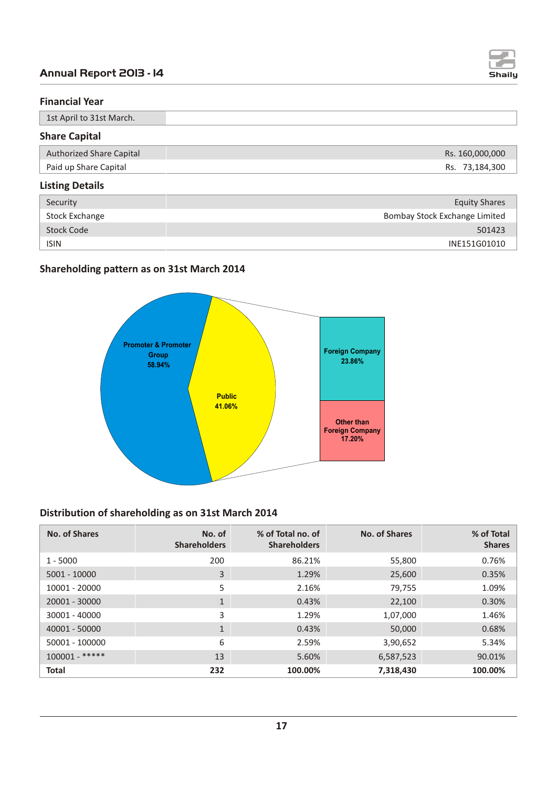

## **Annual Report 2013 - 14 Shaily**

| 1st April to 31st March.        |                               |
|---------------------------------|-------------------------------|
| <b>Share Capital</b>            |                               |
| <b>Authorized Share Capital</b> | Rs. 160,000,000               |
| Paid up Share Capital           | Rs. 73,184,300                |
| <b>Listing Details</b>          |                               |
| Security                        | <b>Equity Shares</b>          |
| <b>Stock Exchange</b>           | Bombay Stock Exchange Limited |
| <b>Stock Code</b>               | 501423                        |
| <b>ISIN</b>                     | INE151G01010                  |

## **Shareholding pattern as on 31st March 2014**



## **Distribution of shareholding as on 31st March 2014**

| No. of Shares    | No. of<br><b>Shareholders</b> | % of Total no. of<br><b>Shareholders</b> | No. of Shares | % of Total<br><b>Shares</b> |
|------------------|-------------------------------|------------------------------------------|---------------|-----------------------------|
| $1 - 5000$       | 200                           | 86.21%                                   | 55,800        | 0.76%                       |
| $5001 - 10000$   | 3                             | 1.29%                                    | 25,600        | 0.35%                       |
| 10001 - 20000    | 5                             | 2.16%                                    | 79,755        | 1.09%                       |
| 20001 - 30000    | 1                             | 0.43%                                    | 22,100        | 0.30%                       |
| 30001 - 40000    | 3                             | 1.29%                                    | 1,07,000      | 1.46%                       |
| 40001 - 50000    | 1                             | 0.43%                                    | 50,000        | 0.68%                       |
| 50001 - 100000   | 6                             | 2.59%                                    | 3,90,652      | 5.34%                       |
| $100001 -$ ***** | 13                            | 5.60%                                    | 6,587,523     | 90.01%                      |
| <b>Total</b>     | 232                           | 100.00%                                  | 7,318,430     | 100.00%                     |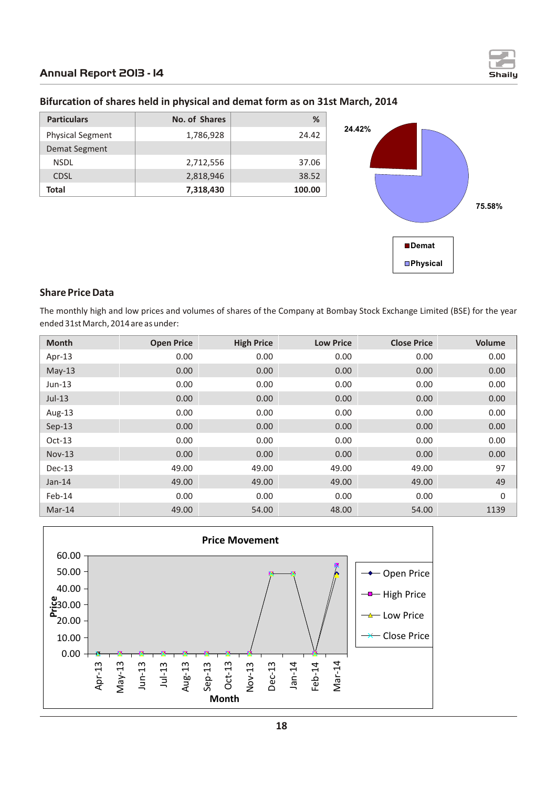## **Annual Report 2013 - 14 Shaily**



**75.58%**

**Demat Physical**

## **Bifurcation of shares held in physical and demat form as on 31st March, 2014**

| <b>Particulars</b>      | No. of Shares | %      |        |
|-------------------------|---------------|--------|--------|
| <b>Physical Segment</b> | 1,786,928     | 24.42  | 24.42% |
| Demat Segment           |               |        |        |
| <b>NSDL</b>             | 2,712,556     | 37.06  |        |
| <b>CDSL</b>             | 2,818,946     | 38.52  |        |
| <b>Total</b>            | 7,318,430     | 100.00 |        |

## **Share Price Data**

The monthly high and low prices and volumes of shares of the Company at Bombay Stock Exchange Limited (BSE) for the year ended 31st March, 2014 are as under:

| <b>Month</b> | <b>Open Price</b> | <b>High Price</b> | <b>Low Price</b> | <b>Close Price</b> | <b>Volume</b> |
|--------------|-------------------|-------------------|------------------|--------------------|---------------|
| Apr-13       | 0.00              | 0.00              | 0.00             | 0.00               | 0.00          |
| $May-13$     | 0.00              | 0.00              | 0.00             | 0.00               | 0.00          |
| Jun-13       | 0.00              | 0.00              | 0.00             | 0.00               | 0.00          |
| Jul-13       | 0.00              | 0.00              | 0.00             | 0.00               | 0.00          |
| Aug-13       | 0.00              | 0.00              | 0.00             | 0.00               | 0.00          |
| $Sep-13$     | 0.00              | 0.00              | 0.00             | 0.00               | 0.00          |
| $Oct-13$     | 0.00              | 0.00              | 0.00             | 0.00               | 0.00          |
| $Nov-13$     | 0.00              | 0.00              | 0.00             | 0.00               | 0.00          |
| $Dec-13$     | 49.00             | 49.00             | 49.00            | 49.00              | 97            |
| $Jan-14$     | 49.00             | 49.00             | 49.00            | 49.00              | 49            |
| $Feb-14$     | 0.00              | 0.00              | 0.00             | 0.00               | $\mathbf 0$   |
| Mar-14       | 49.00             | 54.00             | 48.00            | 54.00              | 1139          |

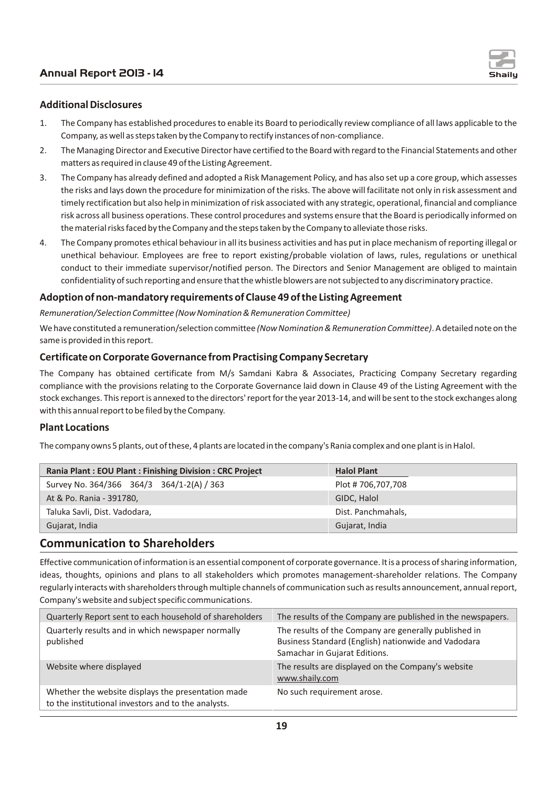

## **Additional Disclosures**

- 1. The Company has established procedures to enable its Board to periodically review compliance of all laws applicable to the Company, as well as steps taken by the Company to rectify instances of non-compliance.
- 2. The Managing Director and Executive Director have certified to the Board with regard to the Financial Statements and other matters as required in clause 49 of the Listing Agreement.
- 3. The Company has already defined and adopted a Risk Management Policy, and has also set up a core group, which assesses the risks and lays down the procedure for minimization of the risks. The above will facilitate not only in risk assessment and timely rectification but also help in minimization of risk associated with any strategic, operational, financial and compliance risk across all business operations. These control procedures and systems ensure that the Board is periodically informed on the material risks faced by the Company and the steps taken by the Company to alleviate those risks.
- 4. The Company promotes ethical behaviour in all its business activities and has put in place mechanism of reporting illegal or unethical behaviour. Employees are free to report existing/probable violation of laws, rules, regulations or unethical conduct to their immediate supervisor/notified person. The Directors and Senior Management are obliged to maintain confidentiality of such reporting and ensure that the whistle blowers are not subjected to any discriminatory practice.

### **Adoption of non-mandatory requirements of Clause 49 of the Listing Agreement**

*Remuneration/Selection Committee (Now Nomination & Remuneration Committee)*

We have constituted a remuneration/selection committee *(Now Nomination & Remuneration Committee)*. A detailed note on the same is provided in this report.

### **Certificate on Corporate Governance from Practising Company Secretary**

The Company has obtained certificate from M/s Samdani Kabra & Associates, Practicing Company Secretary regarding compliance with the provisions relating to the Corporate Governance laid down in Clause 49 of the Listing Agreement with the stock exchanges. This report is annexed to the directors' report for the year 2013-14, and will be sent to the stock exchanges along with this annual report to be filed by the Company.

### **Plant Locations**

The company owns 5 plants, out of these, 4 plants are located in the company's Rania complex and one plant is in Halol.

| <b>Rania Plant: EOU Plant: Finishing Division: CRC Project</b> | <b>Halol Plant</b> |  |
|----------------------------------------------------------------|--------------------|--|
| Survey No. 364/366 364/3 364/1-2(A) / 363                      | Plot #706,707,708  |  |
| At & Po. Rania - 391780,                                       | GIDC, Halol        |  |
| Taluka Savli, Dist. Vadodara,                                  | Dist. Panchmahals, |  |
| Gujarat, India                                                 | Gujarat, India     |  |

## **Communication to Shareholders**

Effective communication of information is an essential component of corporate governance. It is a process of sharing information, ideas, thoughts, opinions and plans to all stakeholders which promotes management-shareholder relations. The Company regularly interacts with shareholders through multiple channels of communication such as results announcement, annual report, Company's website and subject specific communications.

| Quarterly Report sent to each household of shareholders                                                   | The results of the Company are published in the newspapers.                                                                                   |
|-----------------------------------------------------------------------------------------------------------|-----------------------------------------------------------------------------------------------------------------------------------------------|
| Quarterly results and in which newspaper normally<br>published                                            | The results of the Company are generally published in<br>Business Standard (English) nationwide and Vadodara<br>Samachar in Gujarat Editions. |
| Website where displayed                                                                                   | The results are displayed on the Company's website<br>www.shaily.com                                                                          |
| Whether the website displays the presentation made<br>to the institutional investors and to the analysts. | No such requirement arose.                                                                                                                    |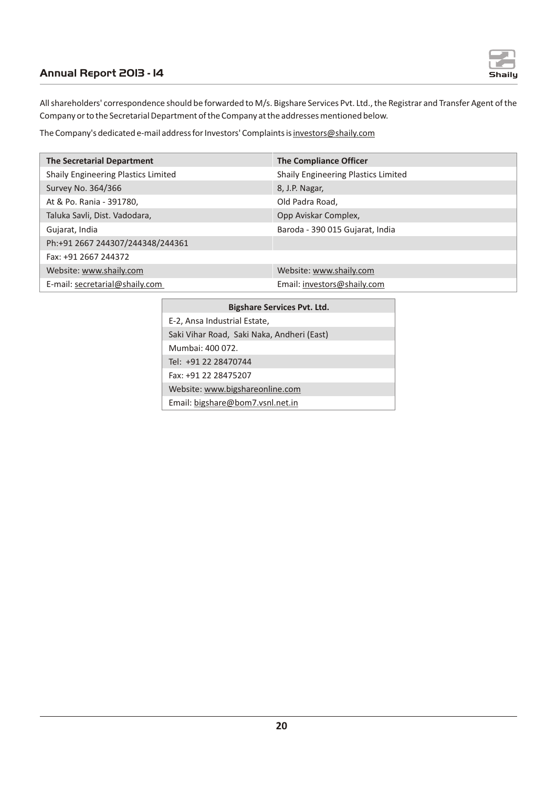

All shareholders' correspondence should be forwarded to M/s. Bigshare Services Pvt. Ltd., the Registrar and Transfer Agent of the Company or to the Secretarial Department of the Company at the addresses mentioned below.

The Company's dedicated e-mail address for Investors' Complaints is investors@shaily.com

| <b>The Secretarial Department</b>          | <b>The Compliance Officer</b>              |  |  |
|--------------------------------------------|--------------------------------------------|--|--|
| <b>Shaily Engineering Plastics Limited</b> | <b>Shaily Engineering Plastics Limited</b> |  |  |
| Survey No. 364/366                         | 8, J.P. Nagar,                             |  |  |
| At & Po. Rania - 391780,                   | Old Padra Road,                            |  |  |
| Taluka Savli, Dist. Vadodara,              | Opp Aviskar Complex,                       |  |  |
| Gujarat, India                             | Baroda - 390 015 Gujarat, India            |  |  |
| Ph:+91 2667 244307/244348/244361           |                                            |  |  |
| Fax: +91 2667 244372                       |                                            |  |  |
| Website: www.shaily.com                    | Website: www.shaily.com                    |  |  |
| E-mail: secretarial@shaily.com             | Email: investors@shaily.com                |  |  |

## **Bigshare Services Pvt. Ltd.**

| E-2, Ansa Industrial Estate,               |  |  |  |
|--------------------------------------------|--|--|--|
| Saki Vihar Road, Saki Naka, Andheri (East) |  |  |  |
| Mumbai: 400 072.                           |  |  |  |
| Tel: +91 22 28470744                       |  |  |  |
| Fax: +91 22 28475207                       |  |  |  |
| Website: www.bigshareonline.com            |  |  |  |
| Email: bigshare@bom7.vsnl.net.in           |  |  |  |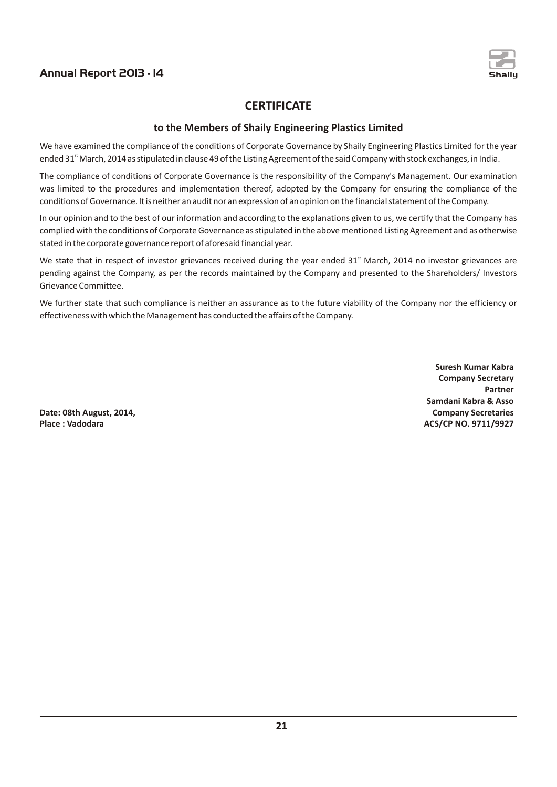

## **CERTIFICATE**

## **to the Members of Shaily Engineering Plastics Limited**

We have examined the compliance of the conditions of Corporate Governance by Shaily Engineering Plastics Limited for the year ended 31<sup>st</sup> March, 2014 as stipulated in clause 49 of the Listing Agreement of the said Company with stock exchanges, in India.

The compliance of conditions of Corporate Governance is the responsibility of the Company's Management. Our examination was limited to the procedures and implementation thereof, adopted by the Company for ensuring the compliance of the conditions of Governance. It is neither an audit nor an expression of an opinion on the financial statement of the Company.

In our opinion and to the best of our information and according to the explanations given to us, we certify that the Company has complied with the conditions of Corporate Governance as stipulated in the above mentioned Listing Agreement and as otherwise stated in the corporate governance report of aforesaid financial year.

We state that in respect of investor grievances received during the year ended 31<sup>st</sup> March, 2014 no investor grievances are pending against the Company, as per the records maintained by the Company and presented to the Shareholders/ Investors Grievance Committee.

We further state that such compliance is neither an assurance as to the future viability of the Company nor the efficiency or effectiveness with which the Management has conducted the affairs of the Company.

> **Suresh Kumar Kabra Company Secretary Partner Samdani Kabra & Asso**

**Date: 08th August, 2014, Company Secretaries Place : Vadodara ACS/CP NO. 9711/9927**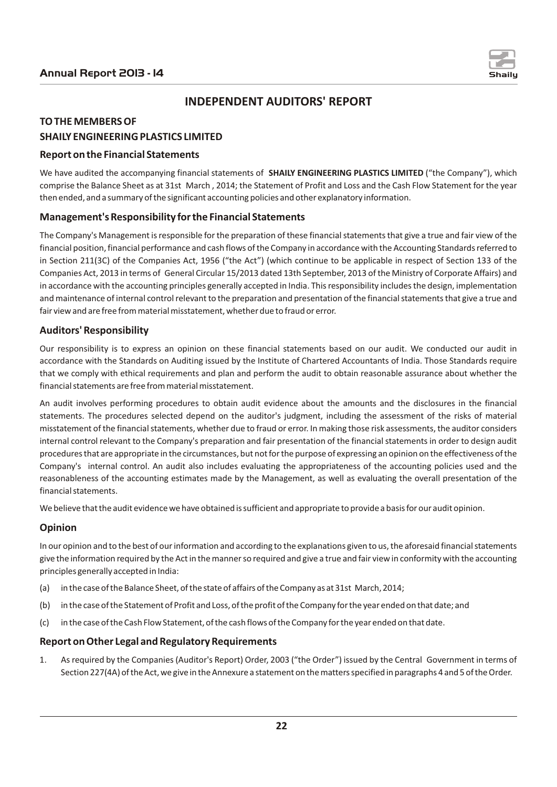

## **INDEPENDENT AUDITORS' REPORT**

## **TO THE MEMBERS OF SHAILY ENGINEERING PLASTICS LIMITED**

## **Report on the Financial Statements**

We have audited the accompanying financial statements of **SHAILY ENGINEERING PLASTICS LIMITED** ("the Company"), which comprise the Balance Sheet as at 31st March , 2014; the Statement of Profit and Loss and the Cash Flow Statement for the year then ended, and a summary of the significant accounting policies and other explanatory information.

## **Management's Responsibility for the Financial Statements**

The Company's Management is responsible for the preparation of these financial statements that give a true and fair view of the financial position, financial performance and cash flows of the Company in accordance with the Accounting Standards referred to in Section 211(3C) of the Companies Act, 1956 ("the Act") (which continue to be applicable in respect of Section 133 of the Companies Act, 2013 in terms of General Circular 15/2013 dated 13th September, 2013 of the Ministry of Corporate Affairs) and in accordance with the accounting principles generally accepted in India. This responsibility includes the design, implementation and maintenance of internal control relevant to the preparation and presentation of the financial statements that give a true and fair view and are free from material misstatement, whether due to fraud or error.

## **Auditors' Responsibility**

Our responsibility is to express an opinion on these financial statements based on our audit. We conducted our audit in accordance with the Standards on Auditing issued by the Institute of Chartered Accountants of India. Those Standards require that we comply with ethical requirements and plan and perform the audit to obtain reasonable assurance about whether the financial statements are free from material misstatement.

An audit involves performing procedures to obtain audit evidence about the amounts and the disclosures in the financial statements. The procedures selected depend on the auditor's judgment, including the assessment of the risks of material misstatement of the financial statements, whether due to fraud or error. In making those risk assessments, the auditor considers internal control relevant to the Company's preparation and fair presentation of the financial statements in order to design audit procedures that are appropriate in the circumstances, but not for the purpose of expressing an opinion on the effectiveness of the Company's internal control. An audit also includes evaluating the appropriateness of the accounting policies used and the reasonableness of the accounting estimates made by the Management, as well as evaluating the overall presentation of the financial statements.

We believe that the audit evidence we have obtained is sufficient and appropriate to provide a basis for our audit opinion.

## **Opinion**

In our opinion and to the best of our information and according to the explanations given to us, the aforesaid financial statements give the information required by the Act in the manner so required and give a true and fair view in conformity with the accounting principles generally accepted in India:

- (a) in the case of the Balance Sheet, of the state of affairs of the Company as at 31st March, 2014;
- (b) in the case of the Statement of Profit and Loss, of the profit of the Company for the year ended on that date; and
- (c) in the case of the Cash Flow Statement, of the cash flows of the Company for the year ended on that date.

### **Report on Other Legal and Regulatory Requirements**

1. As required by the Companies (Auditor's Report) Order, 2003 ("the Order") issued by the Central Government in terms of Section 227(4A) of the Act, we give in the Annexure a statement on the matters specified in paragraphs 4 and 5 of the Order.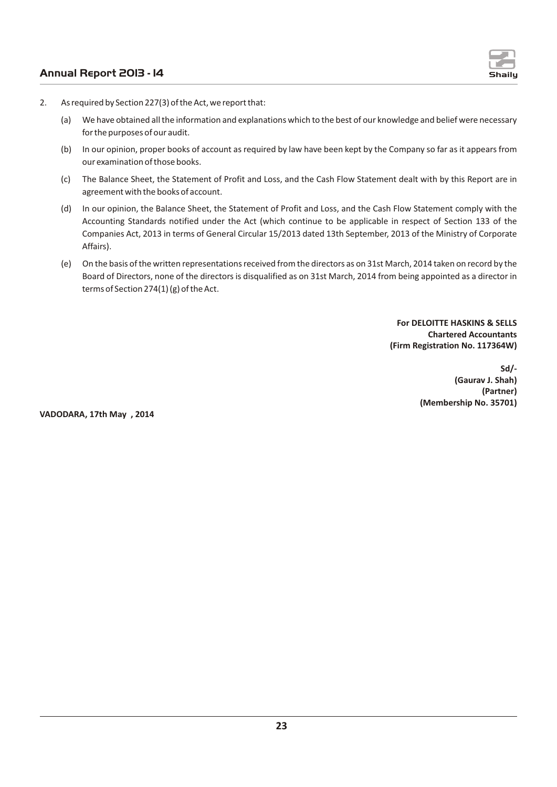

- 2. As required by Section 227(3) of the Act, we report that:
	- (a) We have obtained all the information and explanations which to the best of our knowledge and belief were necessary for the purposes of our audit.
	- (b) In our opinion, proper books of account as required by law have been kept by the Company so far as it appears from our examination of those books.
	- (c) The Balance Sheet, the Statement of Profit and Loss, and the Cash Flow Statement dealt with by this Report are in agreement with the books of account.
	- (d) In our opinion, the Balance Sheet, the Statement of Profit and Loss, and the Cash Flow Statement comply with the Accounting Standards notified under the Act (which continue to be applicable in respect of Section 133 of the Companies Act, 2013 in terms of General Circular 15/2013 dated 13th September, 2013 of the Ministry of Corporate Affairs).
	- (e) On the basis of the written representations received from the directors as on 31st March, 2014 taken on record by the Board of Directors, none of the directors is disqualified as on 31st March, 2014 from being appointed as a director in terms of Section 274(1) (g) of the Act.

**For DELOITTE HASKINS & SELLS Chartered Accountants (Firm Registration No. 117364W)**

> **Sd/- (Gaurav J. Shah) (Partner) (Membership No. 35701)**

**VADODARA, 17th May , 2014**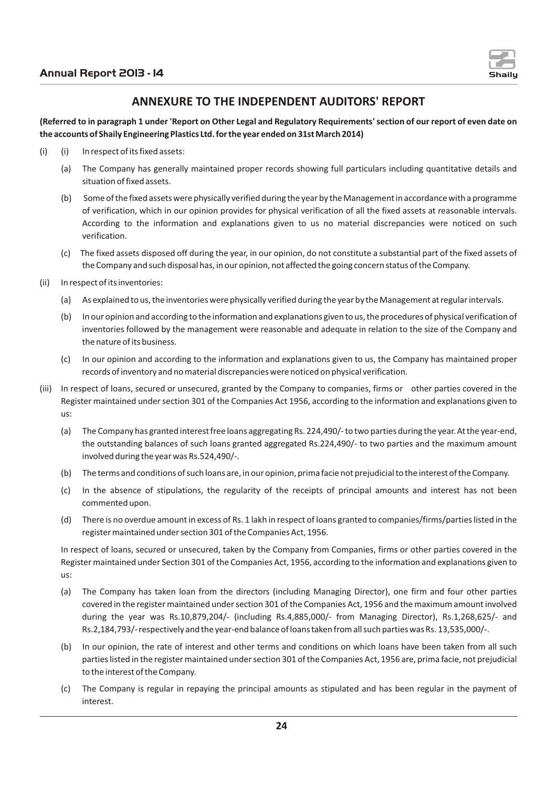

## **ANNEXURE TO THE INDEPENDENT AUDITORS' REPORT**

## **(Referred to in paragraph 1 under 'Report on Other Legal and Regulatory Requirements' section of our report of even date on the accounts of Shaily Engineering Plastics Ltd. for the year ended on 31st March 2014)**

- (i) (i) In respect of its fixed assets:
	- (a) The Company has generally maintained proper records showing full particulars including quantitative details and situation of fixed assets.
	- (b) Some of the fixed assets were physically verified during the year by the Management in accordance with a programme of verification, which in our opinion provides for physical verification of all the fixed assets at reasonable intervals. According to the information and explanations given to us no material discrepancies were noticed on such verification.
	- (c) The fixed assets disposed off during the year, in our opinion, do not constitute a substantial part of the fixed assets of the Company and such disposal has, in our opinion, not affected the going concern status of the Company.
- (ii) In respect of its inventories:
	- (a) As explained to us, the inventories were physically verified during the year by the Management at regular intervals.
	- (b) In our opinion and according to the information and explanations given to us, the procedures of physical verification of inventories followed by the management were reasonable and adequate in relation to the size of the Company and the nature of its business.
	- (c) In our opinion and according to the information and explanations given to us, the Company has maintained proper records of inventory and no material discrepancies were noticed on physical verification.
- (iii) In respect of loans, secured or unsecured, granted by the Company to companies, firms or other parties covered in the Register maintained under section 301 of the Companies Act 1956, according to the information and explanations given to us:
	- (a) The Company has granted interest free loans aggregating Rs. 224,490/- to two parties during the year. At the year-end, the outstanding balances of such loans granted aggregated Rs.224,490/- to two parties and the maximum amount involved during the year was Rs.524,490/-.
	- (b) The terms and conditions of such loans are, in our opinion, prima facie not prejudicial to the interest of the Company.
	- (c) In the absence of stipulations, the regularity of the receipts of principal amounts and interest has not been commented upon.
	- (d) There is no overdue amount in excess of Rs. 1 lakh in respect of loans granted to companies/firms/parties listed in the register maintained under section 301 of the Companies Act, 1956.

In respect of loans, secured or unsecured, taken by the Company from Companies, firms or other parties covered in the Register maintained under Section 301 of the Companies Act, 1956, according to the information and explanations given to us:

- (a) The Company has taken loan from the directors (including Managing Director), one firm and four other parties covered in the register maintained under section 301 of the Companies Act, 1956 and the maximum amount involved during the year was Rs.10,879,204/- (including Rs.4,885,000/- from Managing Director), Rs.1,268,625/- and Rs.2,184,793/- respectively and the year-end balance of loans taken from all such parties was Rs. 13,535,000/-.
- (b) In our opinion, the rate of interest and other terms and conditions on which loans have been taken from all such parties listed in the register maintained under section 301 of the Companies Act, 1956 are, prima facie, not prejudicial to the interest of the Company.
- (c) The Company is regular in repaying the principal amounts as stipulated and has been regular in the payment of interest.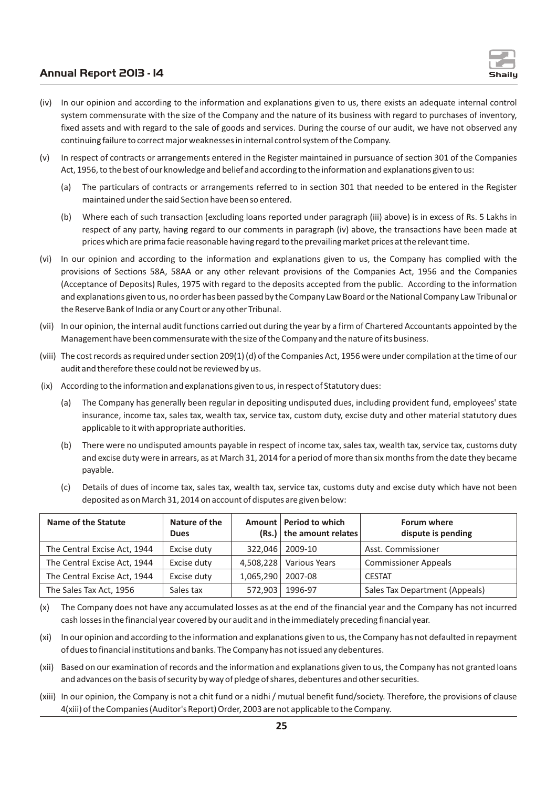

- (iv) In our opinion and according to the information and explanations given to us, there exists an adequate internal control system commensurate with the size of the Company and the nature of its business with regard to purchases of inventory, fixed assets and with regard to the sale of goods and services. During the course of our audit, we have not observed any continuing failure to correct major weaknesses in internal control system of the Company.
- (v) In respect of contracts or arrangements entered in the Register maintained in pursuance of section 301 of the Companies Act, 1956, to the best of our knowledge and belief and according to the information and explanations given to us:
	- (a) The particulars of contracts or arrangements referred to in section 301 that needed to be entered in the Register maintained under the said Section have been so entered.
	- (b) Where each of such transaction (excluding loans reported under paragraph (iii) above) is in excess of Rs. 5 Lakhs in respect of any party, having regard to our comments in paragraph (iv) above, the transactions have been made at prices which are prima facie reasonable having regard to the prevailing market prices at the relevant time.
- (vi) In our opinion and according to the information and explanations given to us, the Company has complied with the provisions of Sections 58A, 58AA or any other relevant provisions of the Companies Act, 1956 and the Companies (Acceptance of Deposits) Rules, 1975 with regard to the deposits accepted from the public. According to the information and explanations given to us, no order has been passed by the Company Law Board or the National Company Law Tribunal or the Reserve Bank of India or any Court or any other Tribunal.
- (vii) In our opinion, the internal audit functions carried out during the year by a firm of Chartered Accountants appointed by the Management have been commensurate with the size of the Company and the nature of its business.
- (viii) The cost records as required under section 209(1) (d) of the Companies Act, 1956 were under compilation at the time of our audit and therefore these could not be reviewed by us.
- (ix) According to the information and explanations given to us, in respect of Statutory dues:
	- (a) The Company has generally been regular in depositing undisputed dues, including provident fund, employees' state insurance, income tax, sales tax, wealth tax, service tax, custom duty, excise duty and other material statutory dues applicable to it with appropriate authorities.
	- (b) There were no undisputed amounts payable in respect of income tax, sales tax, wealth tax, service tax, customs duty and excise duty were in arrears, as at March 31, 2014 for a period of more than six months from the date they became payable.
	- (c) Details of dues of income tax, sales tax, wealth tax, service tax, customs duty and excise duty which have not been deposited as on March 31, 2014 on account of disputes are given below:

| Name of the Statute          | Nature of the<br>Dues |           | Amount   Period to which<br>$(Rs.)$ the amount relates | <b>Forum where</b><br>dispute is pending |
|------------------------------|-----------------------|-----------|--------------------------------------------------------|------------------------------------------|
| The Central Excise Act, 1944 | Excise duty           | 322.046   | 2009-10                                                | Asst. Commissioner                       |
| The Central Excise Act, 1944 | Excise duty           | 4,508,228 | Various Years                                          | <b>Commissioner Appeals</b>              |
| The Central Excise Act, 1944 | Excise duty           | 1,065,290 | 2007-08                                                | <b>CESTAT</b>                            |
| The Sales Tax Act, 1956      | Sales tax             | 572,903   | 1996-97                                                | Sales Tax Department (Appeals)           |

- (x) The Company does not have any accumulated losses as at the end of the financial year and the Company has not incurred cash losses in the financial year covered by our audit and in the immediately preceding financial year.
- (xi) In our opinion and according to the information and explanations given to us, the Company has not defaulted in repayment of dues to financial institutions and banks. The Company has not issued any debentures.
- (xii) Based on our examination of records and the information and explanations given to us, the Company has not granted loans and advances on the basis of security by way of pledge of shares, debentures and other securities.
- (xiii) In our opinion, the Company is not a chit fund or a nidhi / mutual benefit fund/society. Therefore, the provisions of clause 4(xiii) of the Companies (Auditor's Report) Order, 2003 are not applicable to the Company.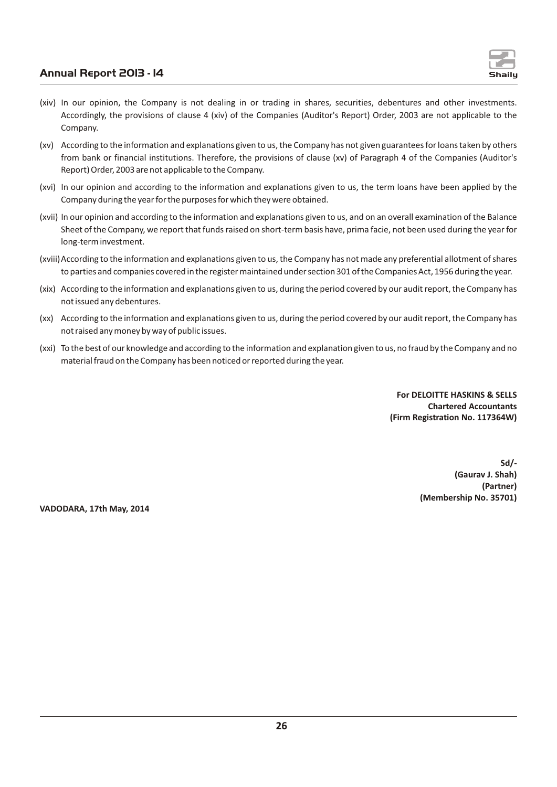

- (xiv) In our opinion, the Company is not dealing in or trading in shares, securities, debentures and other investments. Accordingly, the provisions of clause 4 (xiv) of the Companies (Auditor's Report) Order, 2003 are not applicable to the Company.
- (xv) According to the information and explanations given to us, the Company has not given guarantees for loans taken by others from bank or financial institutions. Therefore, the provisions of clause (xv) of Paragraph 4 of the Companies (Auditor's Report) Order, 2003 are not applicable to the Company.
- (xvi) In our opinion and according to the information and explanations given to us, the term loans have been applied by the Company during the year for the purposes for which they were obtained.
- (xvii) In our opinion and according to the information and explanations given to us, and on an overall examination of the Balance Sheet of the Company, we report that funds raised on short-term basis have, prima facie, not been used during the year for long-term investment.
- (xviii)According to the information and explanations given to us, the Company has not made any preferential allotment of shares to parties and companies covered in the register maintained under section 301 of the Companies Act, 1956 during the year.
- (xix) According to the information and explanations given to us, during the period covered by our audit report, the Company has not issued any debentures.
- (xx) According to the information and explanations given to us, during the period covered by our audit report, the Company has not raised any money by way of public issues.
- (xxi) To the best of our knowledge and according to the information and explanation given to us, no fraud by the Company and no material fraud on the Company has been noticed or reported during the year.

**For DELOITTE HASKINS & SELLS Chartered Accountants (Firm Registration No. 117364W)**

> **Sd/- (Gaurav J. Shah) (Partner) (Membership No. 35701)**

**VADODARA, 17th May, 2014**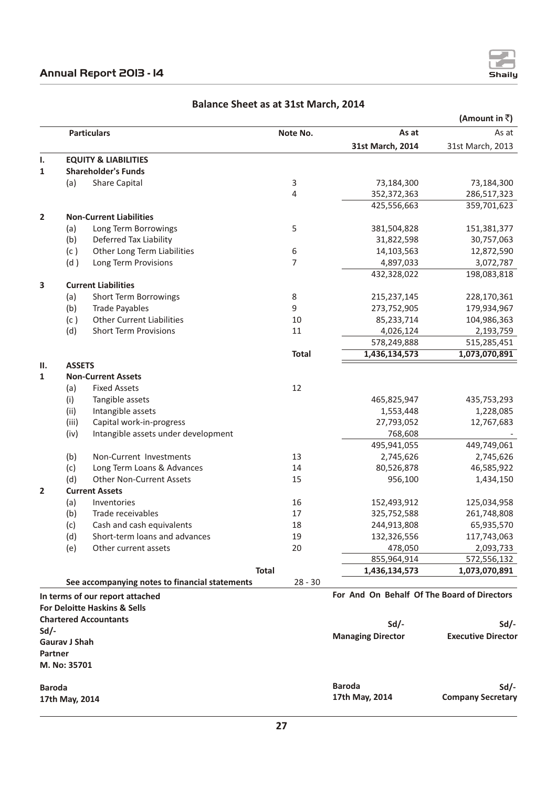## **Annual Report 2013 - 14 Shaily**



|                    |                      |                                                |              |                                             | (Amount in $\bar{z}$ )    |
|--------------------|----------------------|------------------------------------------------|--------------|---------------------------------------------|---------------------------|
|                    |                      | <b>Particulars</b>                             | Note No.     | As at                                       | As at                     |
|                    |                      |                                                |              | 31st March, 2014                            | 31st March, 2013          |
| Ι.                 |                      | <b>EQUITY &amp; LIABILITIES</b>                |              |                                             |                           |
| $\mathbf{1}$       |                      | <b>Shareholder's Funds</b>                     |              |                                             |                           |
|                    | (a)                  | Share Capital                                  | 3            | 73,184,300                                  | 73,184,300                |
|                    |                      |                                                | 4            | 352,372,363                                 | 286,517,323               |
|                    |                      |                                                |              | 425,556,663                                 | 359,701,623               |
| $\overline{2}$     |                      | <b>Non-Current Liabilities</b>                 |              |                                             |                           |
|                    | (a)                  | Long Term Borrowings                           | 5            | 381,504,828                                 | 151,381,377               |
|                    | (b)                  | Deferred Tax Liability                         |              | 31,822,598                                  | 30,757,063                |
|                    | (c)                  | Other Long Term Liabilities                    | 6            | 14,103,563                                  | 12,872,590                |
|                    | (d)                  | Long Term Provisions                           | 7            | 4,897,033                                   | 3,072,787                 |
|                    |                      |                                                |              | 432,328,022                                 | 198,083,818               |
| 3                  |                      | <b>Current Liabilities</b>                     |              |                                             |                           |
|                    | (a)                  | Short Term Borrowings                          | 8            | 215,237,145                                 | 228,170,361               |
|                    | (b)                  | <b>Trade Payables</b>                          | 9            | 273,752,905                                 | 179,934,967               |
|                    | (c)                  | <b>Other Current Liabilities</b>               | 10           | 85,233,714                                  | 104,986,363               |
|                    | (d)                  | <b>Short Term Provisions</b>                   | 11           | 4,026,124                                   | 2,193,759                 |
|                    |                      |                                                |              | 578,249,888                                 | 515,285,451               |
|                    | <b>ASSETS</b>        |                                                | <b>Total</b> | 1,436,134,573                               | 1,073,070,891             |
| Ш.<br>$\mathbf{1}$ |                      | <b>Non-Current Assets</b>                      |              |                                             |                           |
|                    | (a)                  | <b>Fixed Assets</b>                            | 12           |                                             |                           |
|                    | (i)                  | Tangible assets                                |              | 465,825,947                                 | 435,753,293               |
|                    | (ii)                 | Intangible assets                              |              | 1,553,448                                   | 1,228,085                 |
|                    | (iii)                | Capital work-in-progress                       |              | 27,793,052                                  | 12,767,683                |
|                    | (iv)                 | Intangible assets under development            |              | 768,608                                     |                           |
|                    |                      |                                                |              | 495,941,055                                 | 449,749,061               |
|                    | (b)                  | Non-Current Investments                        | 13           | 2,745,626                                   | 2,745,626                 |
|                    | (c)                  | Long Term Loans & Advances                     | 14           | 80,526,878                                  | 46,585,922                |
|                    | (d)                  | <b>Other Non-Current Assets</b>                | 15           | 956,100                                     | 1,434,150                 |
| $\mathbf{2}$       |                      | <b>Current Assets</b>                          |              |                                             |                           |
|                    | (a)                  | Inventories                                    | 16           | 152,493,912                                 | 125,034,958               |
|                    | (b)                  | Trade receivables                              | 17           | 325,752,588                                 | 261,748,808               |
|                    | (c)                  | Cash and cash equivalents                      | 18           | 244,913,808                                 | 65,935,570                |
|                    | (d)                  | Short-term loans and advances                  | 19           | 132,326,556                                 | 117,743,063               |
|                    | (e)                  | Other current assets                           | 20           | 478,050                                     | 2,093,733                 |
|                    |                      |                                                |              | 855,964,914                                 | 572,556,132               |
|                    |                      |                                                | <b>Total</b> | 1,436,134,573                               | 1,073,070,891             |
|                    |                      | See accompanying notes to financial statements | $28 - 30$    |                                             |                           |
|                    |                      | In terms of our report attached                |              | For And On Behalf Of The Board of Directors |                           |
|                    |                      | For Deloitte Haskins & Sells                   |              |                                             |                           |
|                    |                      | <b>Chartered Accountants</b>                   |              |                                             |                           |
| $Sd$ .             |                      |                                                |              | $Sd$ .                                      | $Sd$ .                    |
|                    | <b>Gaurav J Shah</b> |                                                |              | <b>Managing Director</b>                    | <b>Executive Director</b> |
| <b>Partner</b>     |                      |                                                |              |                                             |                           |
|                    | M. No: 35701         |                                                |              |                                             |                           |
| <b>Baroda</b>      |                      |                                                |              | <b>Baroda</b>                               | $Sd$ /-                   |
|                    | 17th May, 2014       |                                                |              | 17th May, 2014                              | <b>Company Secretary</b>  |
|                    |                      |                                                |              |                                             |                           |

## **Balance Sheet as at 31st March, 2014**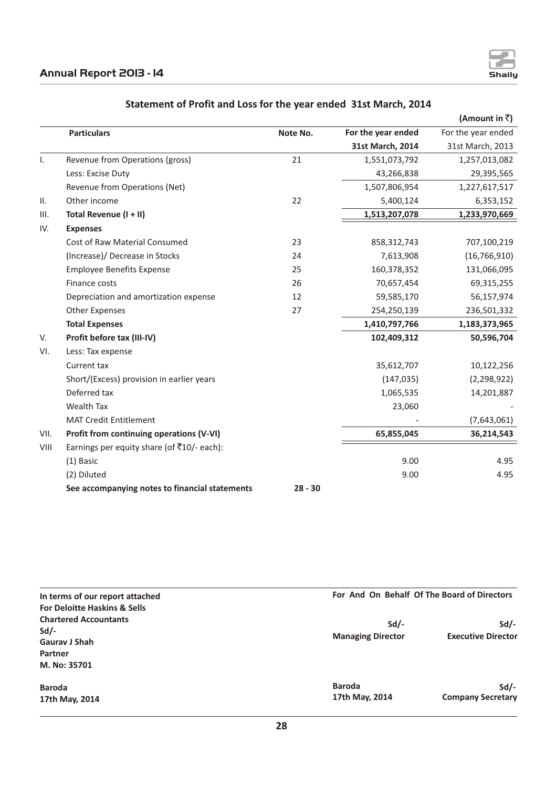## **Annual Report 2013 - 14 Shaily**



|                 |                                                         |           |                    | (Amount in ₹)      |
|-----------------|---------------------------------------------------------|-----------|--------------------|--------------------|
|                 | <b>Particulars</b>                                      | Note No.  | For the year ended | For the year ended |
|                 |                                                         |           | 31st March, 2014   | 31st March, 2013   |
| $\mathbf{I}$ .  | Revenue from Operations (gross)                         | 21        | 1,551,073,792      | 1,257,013,082      |
|                 | Less: Excise Duty                                       |           | 43,266,838         | 29,395,565         |
|                 | Revenue from Operations (Net)                           |           | 1,507,806,954      | 1,227,617,517      |
| $\mathbf{II}$ . | Other income                                            | 22        | 5,400,124          | 6,353,152          |
| III.            | Total Revenue (I + II)                                  |           | 1,513,207,078      | 1,233,970,669      |
| IV.             | <b>Expenses</b>                                         |           |                    |                    |
|                 | Cost of Raw Material Consumed                           | 23        | 858,312,743        | 707,100,219        |
|                 | (Increase)/ Decrease in Stocks                          | 24        | 7,613,908          | (16, 766, 910)     |
|                 | <b>Employee Benefits Expense</b>                        | 25        | 160,378,352        | 131,066,095        |
|                 | Finance costs                                           | 26        | 70,657,454         | 69,315,255         |
|                 | Depreciation and amortization expense                   | 12        | 59,585,170         | 56,157,974         |
|                 | <b>Other Expenses</b>                                   | 27        | 254,250,139        | 236,501,332        |
|                 | <b>Total Expenses</b>                                   |           | 1,410,797,766      | 1,183,373,965      |
| V.              | Profit before tax (III-IV)                              |           | 102,409,312        | 50,596,704         |
| VI.             | Less: Tax expense                                       |           |                    |                    |
|                 | Current tax                                             |           | 35,612,707         | 10,122,256         |
|                 | Short/(Excess) provision in earlier years               |           | (147, 035)         | (2, 298, 922)      |
|                 | Deferred tax                                            |           | 1,065,535          | 14,201,887         |
|                 | Wealth Tax                                              |           | 23,060             |                    |
|                 | <b>MAT Credit Entitlement</b>                           |           |                    | (7,643,061)        |
| VII.            | Profit from continuing operations (V-VI)                |           | 65,855,045         | 36,214,543         |
| VIII            | Earnings per equity share (of $\overline{5}10/-$ each): |           |                    |                    |
|                 | (1) Basic                                               |           | 9.00               | 4.95               |
|                 | (2) Diluted                                             |           | 9.00               | 4.95               |
|                 | See accompanying notes to financial statements          | $28 - 30$ |                    |                    |

## **Statement of Profit and Loss for the year ended 31st March, 2014**

| In terms of our report attached         | For And On Behalf Of The Board of Directors |                           |  |
|-----------------------------------------|---------------------------------------------|---------------------------|--|
| <b>For Deloitte Haskins &amp; Sells</b> |                                             |                           |  |
| <b>Chartered Accountants</b>            | $Sd/-$                                      | $Sd$ /-                   |  |
| $Sd$ /-                                 |                                             | <b>Executive Director</b> |  |
| <b>Gaurav J Shah</b>                    | <b>Managing Director</b>                    |                           |  |
| <b>Partner</b>                          |                                             |                           |  |
| M. No: 35701                            |                                             |                           |  |
| <b>Baroda</b>                           | <b>Baroda</b>                               | $Sd$ /-                   |  |
| 17th May, 2014                          | 17th May, 2014                              | <b>Company Secretary</b>  |  |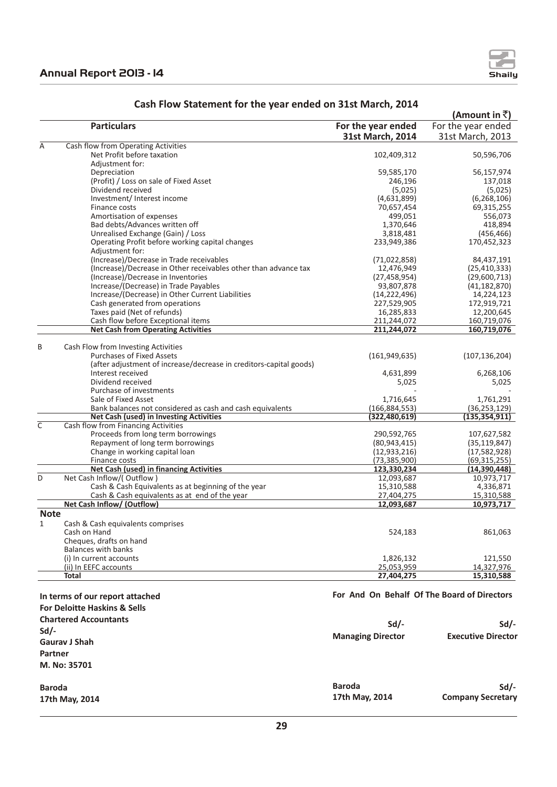

|                         |                                                                    |                                             | (Amount in ₹ੋ)            |
|-------------------------|--------------------------------------------------------------------|---------------------------------------------|---------------------------|
|                         | <b>Particulars</b>                                                 | For the year ended                          | For the year ended        |
| A                       |                                                                    | 31st March, 2014                            | 31st March, 2013          |
|                         | Cash flow from Operating Activities<br>Net Profit before taxation  | 102,409,312                                 | 50,596,706                |
|                         | Adjustment for:                                                    |                                             |                           |
|                         | Depreciation                                                       | 59,585,170                                  | 56,157,974                |
|                         | (Profit) / Loss on sale of Fixed Asset                             | 246,196                                     | 137,018                   |
|                         | Dividend received                                                  | (5,025)                                     | (5,025)                   |
|                         | Investment/ Interest income                                        | (4,631,899)                                 | (6, 268, 106)             |
|                         | Finance costs                                                      | 70,657,454                                  | 69,315,255                |
|                         | Amortisation of expenses                                           | 499,051                                     | 556,073                   |
|                         | Bad debts/Advances written off                                     | 1,370,646                                   | 418,894                   |
|                         | Unrealised Exchange (Gain) / Loss                                  | 3,818,481                                   | (456, 466)                |
|                         | Operating Profit before working capital changes                    | 233,949,386                                 | 170,452,323               |
|                         | Adjustment for:                                                    |                                             |                           |
|                         | (Increase)/Decrease in Trade receivables                           | (71,022,858)                                | 84,437,191                |
|                         | (Increase)/Decrease in Other receivables other than advance tax    | 12,476,949                                  | (25, 410, 333)            |
|                         | (Increase)/Decrease in Inventories                                 | (27, 458, 954)                              | (29,600,713)              |
|                         | Increase/(Decrease) in Trade Payables                              | 93,807,878                                  | (41, 182, 870)            |
|                         | Increase/(Decrease) in Other Current Liabilities                   | (14, 222, 496)                              | 14,224,123                |
|                         | Cash generated from operations                                     | 227,529,905                                 | 172,919,721               |
|                         | Taxes paid (Net of refunds)                                        | 16,285,833                                  | 12,200,645                |
|                         | Cash flow before Exceptional items                                 | 211,244,072                                 | 160,719,076               |
|                         | <b>Net Cash from Operating Activities</b>                          | 211,244,072                                 | 160,719,076               |
|                         |                                                                    |                                             |                           |
| B                       | Cash Flow from Investing Activities                                |                                             |                           |
|                         | <b>Purchases of Fixed Assets</b>                                   | (161, 949, 635)                             | (107, 136, 204)           |
|                         | (after adjustment of increase/decrease in creditors-capital goods) |                                             |                           |
|                         | Interest received                                                  | 4,631,899                                   | 6,268,106                 |
|                         | Dividend received                                                  | 5,025                                       | 5,025                     |
|                         | Purchase of investments                                            |                                             |                           |
|                         | Sale of Fixed Asset                                                | 1,716,645                                   | 1,761,291                 |
|                         | Bank balances not considered as cash and cash equivalents          | (166, 884, 553)                             | (36, 253, 129)            |
|                         | Net Cash (used) in Investing Activities                            | (322, 480, 619)                             | (135, 354, 911)           |
| $\overline{\mathsf{c}}$ | Cash flow from Financing Activities                                |                                             |                           |
|                         | Proceeds from long term borrowings                                 | 290,592,765                                 | 107,627,582               |
|                         | Repayment of long term borrowings                                  | (80, 943, 415)                              | (35, 119, 847)            |
|                         | Change in working capital loan                                     | (12, 933, 216)                              | (17, 582, 928)            |
|                         | Finance costs                                                      | (73, 385, 900)                              | (69, 315, 255)            |
|                         | <b>Net Cash (used) in financing Activities</b>                     | 123,330,234                                 | (14, 390, 448)            |
| D                       | Net Cash Inflow/(Outflow)                                          | 12,093,687                                  | 10,973,717                |
|                         | Cash & Cash Equivalents as at beginning of the year                | 15,310,588                                  | 4,336,871                 |
|                         | Cash & Cash equivalents as at end of the year                      | 27,404,275                                  | 15,310,588                |
|                         | Net Cash Inflow/ (Outflow)                                         | 12,093,687                                  | 10,973,717                |
| <b>Note</b>             |                                                                    |                                             |                           |
| 1                       | Cash & Cash equivalents comprises                                  |                                             |                           |
|                         | Cash on Hand                                                       | 524,183                                     | 861,063                   |
|                         | Cheques, drafts on hand                                            |                                             |                           |
|                         | <b>Balances with banks</b>                                         |                                             |                           |
|                         | (i) In current accounts                                            | 1,826,132                                   | 121,550                   |
|                         | (ii) In EEFC accounts                                              | 25,053,959                                  | 14,327,976                |
|                         | Total                                                              | 27,404,275                                  | 15,310,588                |
|                         |                                                                    |                                             |                           |
|                         | In terms of our report attached                                    | For And On Behalf Of The Board of Directors |                           |
|                         | <b>For Deloitte Haskins &amp; Sells</b>                            |                                             |                           |
|                         | <b>Chartered Accountants</b>                                       |                                             |                           |
|                         |                                                                    | $Sd$ .                                      | $Sd$ /-                   |
| $Sd$ /-                 |                                                                    | <b>Managing Director</b>                    | <b>Executive Director</b> |
|                         | <b>Gauray J Shah</b>                                               |                                             |                           |
| <b>Partner</b>          |                                                                    |                                             |                           |
|                         | M. No: 35701                                                       |                                             |                           |
|                         |                                                                    |                                             |                           |

## **Cash Flow Statement for the year ended on 31st March, 2014**

**Baroda 17th May, 2014** **Baroda**

**17th May, 2014**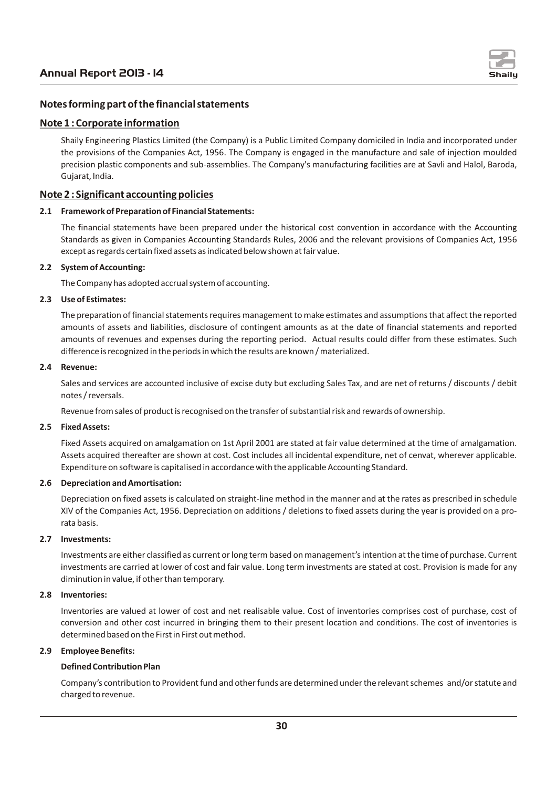

## **Notes forming part of the financial statements**

## **Note 1 : Corporate information**

Shaily Engineering Plastics Limited (the Company) is a Public Limited Company domiciled in India and incorporated under the provisions of the Companies Act, 1956. The Company is engaged in the manufacture and sale of injection moulded precision plastic components and sub-assemblies. The Company's manufacturing facilities are at Savli and Halol, Baroda, Gujarat, India.

## **Note 2 : Significant accounting policies**

### **2.1 Framework of Preparation of Financial Statements:**

The financial statements have been prepared under the historical cost convention in accordance with the Accounting Standards as given in Companies Accounting Standards Rules, 2006 and the relevant provisions of Companies Act, 1956 except as regards certain fixed assets as indicated below shown at fair value.

### **2.2 System of Accounting:**

The Company has adopted accrual system of accounting.

### **2.3 Use of Estimates:**

The preparation of financial statements requires management to make estimates and assumptions that affect the reported amounts of assets and liabilities, disclosure of contingent amounts as at the date of financial statements and reported amounts of revenues and expenses during the reporting period. Actual results could differ from these estimates. Such difference is recognized in the periods in which the results are known / materialized.

#### **2.4 Revenue:**

Sales and services are accounted inclusive of excise duty but excluding Sales Tax, and are net of returns / discounts / debit notes / reversals.

Revenue from sales of product is recognised on the transfer of substantial risk and rewards of ownership.

#### **2.5 Fixed Assets:**

Fixed Assets acquired on amalgamation on 1st April 2001 are stated at fair value determined at the time of amalgamation. Assets acquired thereafter are shown at cost. Cost includes all incidental expenditure, net of cenvat, wherever applicable. Expenditure on software is capitalised in accordance with the applicable Accounting Standard.

### **2.6 Depreciation and Amortisation:**

Depreciation on fixed assets is calculated on straight-line method in the manner and at the rates as prescribed in schedule XIV of the Companies Act, 1956. Depreciation on additions / deletions to fixed assets during the year is provided on a prorata basis.

### **2.7 Investments:**

Investments are either classified as current or long term based on management's intention at the time of purchase. Current investments are carried at lower of cost and fair value. Long term investments are stated at cost. Provision is made for any diminution in value, if other than temporary.

#### **2.8 Inventories:**

Inventories are valued at lower of cost and net realisable value. Cost of inventories comprises cost of purchase, cost of conversion and other cost incurred in bringing them to their present location and conditions. The cost of inventories is determined based on the First in First out method.

### **2.9 Employee Benefits:**

### **Defined Contribution Plan**

Company's contribution to Provident fund and other funds are determined under the relevant schemes and/or statute and charged to revenue.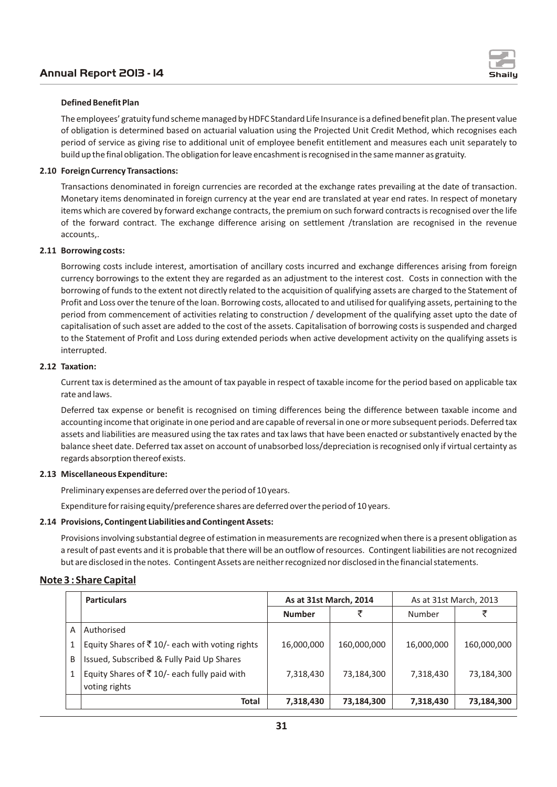

#### **Defined Benefit Plan**

The employees' gratuity fund scheme managed by HDFC Standard Life Insurance is a defined benefit plan. The present value of obligation is determined based on actuarial valuation using the Projected Unit Credit Method, which recognises each period of service as giving rise to additional unit of employee benefit entitlement and measures each unit separately to build up the final obligation. The obligation for leave encashment is recognised in the same manner as gratuity.

#### **2.10 Foreign Currency Transactions:**

Transactions denominated in foreign currencies are recorded at the exchange rates prevailing at the date of transaction. Monetary items denominated in foreign currency at the year end are translated at year end rates. In respect of monetary items which are covered by forward exchange contracts, the premium on such forward contracts is recognised over the life of the forward contract. The exchange difference arising on settlement /translation are recognised in the revenue accounts,.

#### **2.11 Borrowing costs:**

Borrowing costs include interest, amortisation of ancillary costs incurred and exchange differences arising from foreign currency borrowings to the extent they are regarded as an adjustment to the interest cost. Costs in connection with the borrowing of funds to the extent not directly related to the acquisition of qualifying assets are charged to the Statement of Profit and Loss over the tenure of the loan. Borrowing costs, allocated to and utilised for qualifying assets, pertaining to the period from commencement of activities relating to construction / development of the qualifying asset upto the date of capitalisation of such asset are added to the cost of the assets. Capitalisation of borrowing costs is suspended and charged to the Statement of Profit and Loss during extended periods when active development activity on the qualifying assets is interrupted.

#### **2.12 Taxation:**

Current tax is determined as the amount of tax payable in respect of taxable income for the period based on applicable tax rate and laws.

Deferred tax expense or benefit is recognised on timing differences being the difference between taxable income and accounting income that originate in one period and are capable of reversal in one or more subsequent periods. Deferred tax assets and liabilities are measured using the tax rates and tax laws that have been enacted or substantively enacted by the balance sheet date. Deferred tax asset on account of unabsorbed loss/depreciation is recognised only if virtual certainty as regards absorption thereof exists.

#### **2.13 Miscellaneous Expenditure:**

Preliminary expenses are deferred over the period of 10 years.

Expenditure for raising equity/preference shares are deferred over the period of 10 years.

#### **2.14 Provisions, Contingent Liabilities and Contingent Assets:**

Provisions involving substantial degree of estimation in measurements are recognized when there is a present obligation as a result of past events and it is probable that there will be an outflow of resources. Contingent liabilities are not recognized but are disclosed in the notes. Contingent Assets are neither recognized nor disclosed in the financial statements.

### **Note 3 : Share Capital**

|   | <b>Particulars</b>                             | As at 31st March, 2014 |             | As at 31st March, 2013 |             |
|---|------------------------------------------------|------------------------|-------------|------------------------|-------------|
|   |                                                | <b>Number</b>          | ₹           | Number                 |             |
| A | Authorised                                     |                        |             |                        |             |
|   | Equity Shares of ₹10/- each with voting rights | 16,000,000             | 160,000,000 | 16,000,000             | 160,000,000 |
| В | Issued, Subscribed & Fully Paid Up Shares      |                        |             |                        |             |
|   | Equity Shares of ₹10/- each fully paid with    | 7,318,430              | 73,184,300  | 7,318,430              | 73,184,300  |
|   | voting rights                                  |                        |             |                        |             |
|   | <b>Total</b>                                   | 7,318,430              | 73,184,300  | 7,318,430              | 73,184,300  |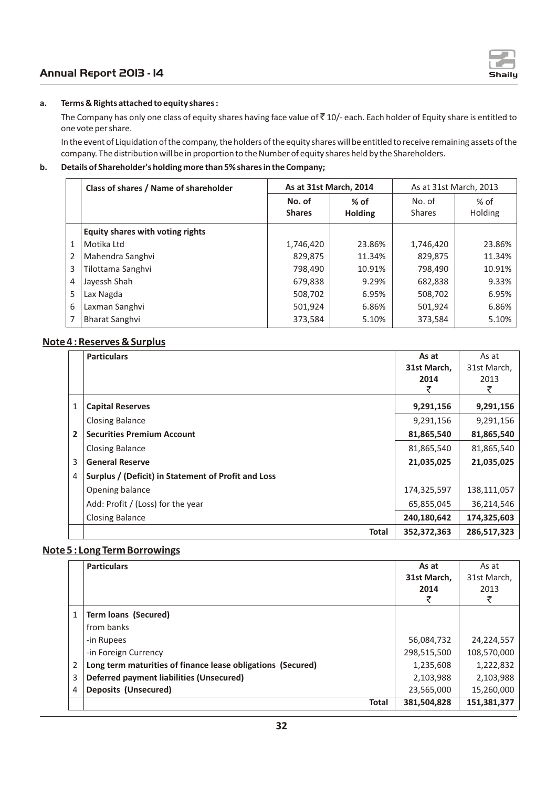

#### **a. Terms & Rights attached to equity shares :**

The Company has only one class of equity shares having face value of  $\bar{c}$  10/- each. Each holder of Equity share is entitled to one vote per share.

In the event of Liquidation of the company, the holders of the equity shares will be entitled to receive remaining assets of the company. The distribution will be in proportion to the Number of equity shares held by the Shareholders.

#### **b. Details of Shareholder's holding more than 5% shares in the Company;**

|   | Class of shares / Name of shareholder | As at 31st March, 2014  |                          | As at 31st March, 2013  |                 |
|---|---------------------------------------|-------------------------|--------------------------|-------------------------|-----------------|
|   |                                       | No. of<br><b>Shares</b> | $%$ of<br><b>Holding</b> | No. of<br><b>Shares</b> | % of<br>Holding |
|   | Equity shares with voting rights      |                         |                          |                         |                 |
| 1 | Motika Ltd                            | 1,746,420               | 23.86%                   | 1,746,420               | 23.86%          |
| 2 | Mahendra Sanghvi                      | 829,875                 | 11.34%                   | 829,875                 | 11.34%          |
| 3 | Tilottama Sanghvi                     | 798,490                 | 10.91%                   | 798,490                 | 10.91%          |
| 4 | Jayessh Shah                          | 679,838                 | 9.29%                    | 682,838                 | 9.33%           |
| 5 | Lax Nagda                             | 508,702                 | 6.95%                    | 508,702                 | 6.95%           |
| 6 | Laxman Sanghvi                        | 501,924                 | 6.86%                    | 501,924                 | 6.86%           |
| 7 | <b>Bharat Sanghvi</b>                 | 373,584                 | 5.10%                    | 373,584                 | 5.10%           |

## **Note 4 : Reserves & Surplus**

|                | <b>Particulars</b>                                  | As at       | As at       |
|----------------|-----------------------------------------------------|-------------|-------------|
|                |                                                     | 31st March, | 31st March, |
|                |                                                     | 2014        | 2013        |
|                |                                                     | ₹           | ₹           |
| $\mathbf{1}$   | <b>Capital Reserves</b>                             | 9,291,156   | 9,291,156   |
|                | <b>Closing Balance</b>                              | 9,291,156   | 9,291,156   |
| $\overline{2}$ | <b>Securities Premium Account</b>                   | 81,865,540  | 81,865,540  |
|                | <b>Closing Balance</b>                              | 81,865,540  | 81,865,540  |
| 3              | <b>General Reserve</b>                              | 21,035,025  | 21,035,025  |
| $\overline{4}$ | Surplus / (Deficit) in Statement of Profit and Loss |             |             |
|                | Opening balance                                     | 174,325,597 | 138,111,057 |
|                | Add: Profit / (Loss) for the year                   | 65,855,045  | 36,214,546  |
|                | <b>Closing Balance</b>                              | 240,180,642 | 174,325,603 |
|                | <b>Total</b>                                        | 352,372,363 | 286,517,323 |

## **Note 5 : Long Term Borrowings**

|   | <b>Particulars</b>                                          | As at       | As at       |
|---|-------------------------------------------------------------|-------------|-------------|
|   |                                                             | 31st March, | 31st March, |
|   |                                                             | 2014        | 2013        |
|   |                                                             | ₹           | ₹           |
| 1 | <b>Term loans (Secured)</b>                                 |             |             |
|   | from banks                                                  |             |             |
|   | -in Rupees                                                  | 56,084,732  | 24,224,557  |
|   | -in Foreign Currency                                        | 298,515,500 | 108,570,000 |
| 2 | Long term maturities of finance lease obligations (Secured) | 1,235,608   | 1,222,832   |
| 3 | <b>Deferred payment liabilities (Unsecured)</b>             | 2,103,988   | 2,103,988   |
| 4 | <b>Deposits (Unsecured)</b>                                 | 23,565,000  | 15,260,000  |
|   | <b>Total</b>                                                | 381,504,828 | 151,381,377 |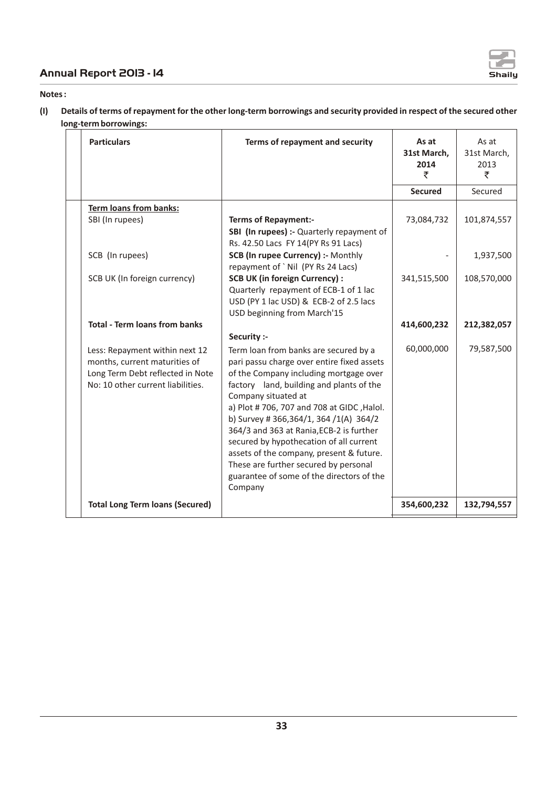## **Annual Report 2013 - 14 Shaily**



**Notes :**

## **(I) Details of terms of repayment for the other long-term borrowings and security provided in respect of the secured other long-term borrowings:**

| <b>Particulars</b>                                                                                                                       | Terms of repayment and security                                                                                                                                                                                                                                                                                                                                                                                                                                                                                              | As at<br>31st March,<br>2014<br>₹ | As at<br>31st March,<br>2013<br>₹ |
|------------------------------------------------------------------------------------------------------------------------------------------|------------------------------------------------------------------------------------------------------------------------------------------------------------------------------------------------------------------------------------------------------------------------------------------------------------------------------------------------------------------------------------------------------------------------------------------------------------------------------------------------------------------------------|-----------------------------------|-----------------------------------|
|                                                                                                                                          |                                                                                                                                                                                                                                                                                                                                                                                                                                                                                                                              | <b>Secured</b>                    | Secured                           |
| <b>Term loans from banks:</b>                                                                                                            |                                                                                                                                                                                                                                                                                                                                                                                                                                                                                                                              |                                   |                                   |
| SBI (In rupees)                                                                                                                          | <b>Terms of Repayment:-</b>                                                                                                                                                                                                                                                                                                                                                                                                                                                                                                  | 73,084,732                        | 101,874,557                       |
|                                                                                                                                          | SBI (In rupees) :- Quarterly repayment of<br>Rs. 42.50 Lacs FY 14(PY Rs 91 Lacs)                                                                                                                                                                                                                                                                                                                                                                                                                                             |                                   |                                   |
| SCB (In rupees)                                                                                                                          | SCB (In rupee Currency) :- Monthly<br>repayment of `Nil (PY Rs 24 Lacs)                                                                                                                                                                                                                                                                                                                                                                                                                                                      |                                   | 1,937,500                         |
| SCB UK (In foreign currency)                                                                                                             | <b>SCB UK (in foreign Currency):</b><br>Quarterly repayment of ECB-1 of 1 lac<br>USD (PY 1 lac USD) & ECB-2 of 2.5 lacs<br>USD beginning from March'15                                                                                                                                                                                                                                                                                                                                                                       | 341,515,500                       | 108,570,000                       |
| <b>Total - Term loans from banks</b>                                                                                                     |                                                                                                                                                                                                                                                                                                                                                                                                                                                                                                                              | 414,600,232                       | 212,382,057                       |
|                                                                                                                                          | Security :-                                                                                                                                                                                                                                                                                                                                                                                                                                                                                                                  |                                   |                                   |
| Less: Repayment within next 12<br>months, current maturities of<br>Long Term Debt reflected in Note<br>No: 10 other current liabilities. | Term loan from banks are secured by a<br>pari passu charge over entire fixed assets<br>of the Company including mortgage over<br>factory land, building and plants of the<br>Company situated at<br>a) Plot # 706, 707 and 708 at GIDC, Halol.<br>b) Survey # 366,364/1, 364 /1(A) 364/2<br>364/3 and 363 at Rania, ECB-2 is further<br>secured by hypothecation of all current<br>assets of the company, present & future.<br>These are further secured by personal<br>guarantee of some of the directors of the<br>Company | 60,000,000                        | 79,587,500                        |
| <b>Total Long Term loans (Secured)</b>                                                                                                   |                                                                                                                                                                                                                                                                                                                                                                                                                                                                                                                              | 354,600,232                       | 132,794,557                       |
|                                                                                                                                          |                                                                                                                                                                                                                                                                                                                                                                                                                                                                                                                              |                                   |                                   |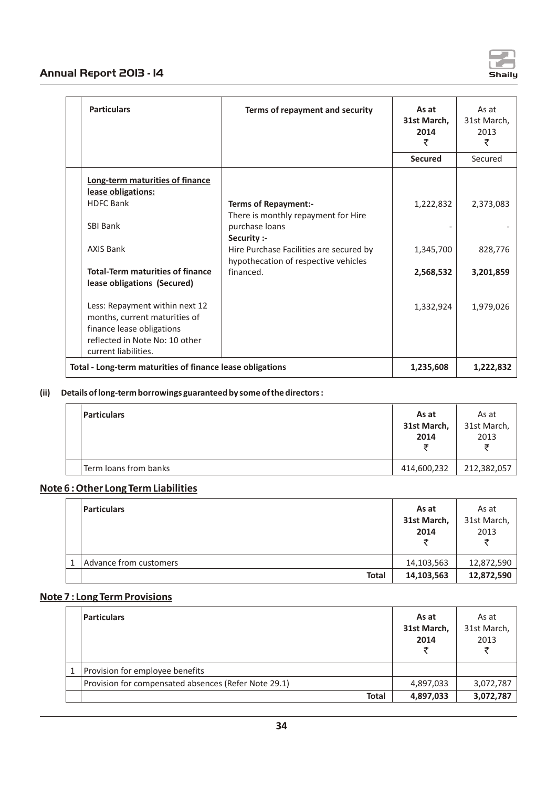

| <b>Particulars</b>                                                                                                                                     | Terms of repayment and security                                                 | As at<br>31st March,<br>2014<br>₹ | As at<br>31st March,<br>2013<br>₹ |
|--------------------------------------------------------------------------------------------------------------------------------------------------------|---------------------------------------------------------------------------------|-----------------------------------|-----------------------------------|
|                                                                                                                                                        |                                                                                 | <b>Secured</b>                    | Secured                           |
| Long-term maturities of finance<br>lease obligations:                                                                                                  |                                                                                 |                                   |                                   |
| <b>HDFC Bank</b>                                                                                                                                       | <b>Terms of Repayment:-</b><br>There is monthly repayment for Hire              | 1,222,832                         | 2,373,083                         |
| <b>SBI Bank</b>                                                                                                                                        | purchase loans<br>Security :-                                                   |                                   |                                   |
| <b>AXIS Bank</b>                                                                                                                                       | Hire Purchase Facilities are secured by<br>hypothecation of respective vehicles | 1,345,700                         | 828,776                           |
| <b>Total-Term maturities of finance</b><br>lease obligations (Secured)                                                                                 | financed.                                                                       | 2,568,532                         | 3,201,859                         |
| Less: Repayment within next 12<br>months, current maturities of<br>finance lease obligations<br>reflected in Note No: 10 other<br>current liabilities. |                                                                                 | 1,332,924                         | 1,979,026                         |
| Total - Long-term maturities of finance lease obligations                                                                                              |                                                                                 | 1,235,608                         | 1,222,832                         |

#### **(ii) Details of long-term borrowings guaranteed by some of the directors :**

| <b>Particulars</b>    | As at<br>31st March,<br>2014 | As at<br>31st March,<br>2013 |
|-----------------------|------------------------------|------------------------------|
| Term loans from banks | 414,600,232                  | 212,382,057                  |

## **Note 6 : Other Long Term Liabilities**

| <b>Particulars</b>     | As at<br>31st March,<br>2014<br>₹ | As at<br>31st March,<br>2013<br>₹ |
|------------------------|-----------------------------------|-----------------------------------|
| Advance from customers | 14,103,563                        | 12,872,590                        |
| <b>Total</b>           | 14,103,563                        | 12,872,590                        |

## **Note 7 : Long Term Provisions**

|              | <b>Particulars</b>                                   | As at<br>31st March,<br>2014 | As at<br>31st March,<br>2013 |
|--------------|------------------------------------------------------|------------------------------|------------------------------|
| $\mathbf{1}$ | Provision for employee benefits                      |                              |                              |
|              | Provision for compensated absences (Refer Note 29.1) | 4,897,033                    | 3,072,787                    |
|              | <b>Total</b>                                         | 4,897,033                    | 3,072,787                    |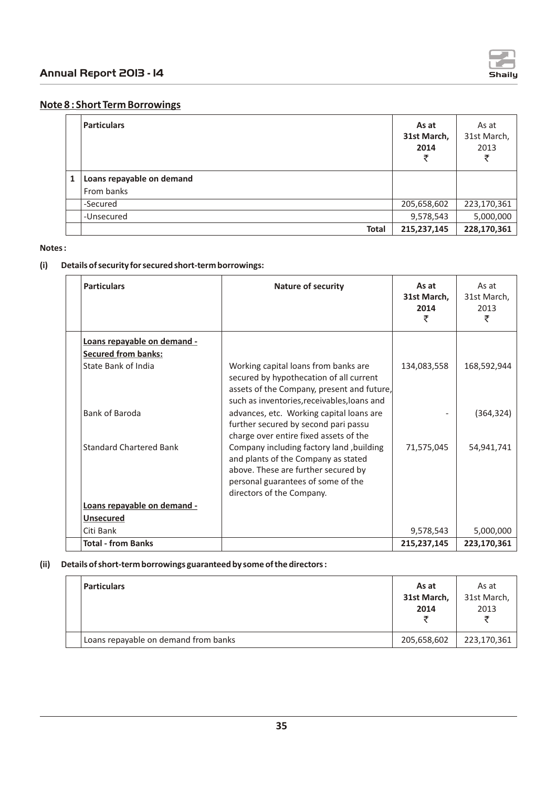

## **Note 8 : Short Term Borrowings**

|   | <b>Particulars</b>        | As at<br>31st March,<br>2014<br>₹ | As at<br>31st March,<br>2013<br>₹ |
|---|---------------------------|-----------------------------------|-----------------------------------|
| 1 | Loans repayable on demand |                                   |                                   |
|   | From banks                |                                   |                                   |
|   | -Secured                  | 205,658,602                       | 223,170,361                       |
|   | -Unsecured                | 9,578,543                         | 5,000,000                         |
|   | <b>Total</b>              | 215,237,145                       | 228,170,361                       |

#### **Notes :**

#### **(i) Details of security for secured short-term borrowings:**

| <b>Particulars</b>             | <b>Nature of security</b>                                                                                                                                                                 | As at<br>31st March.<br>2014<br>₹ | As at<br>31st March,<br>2013<br>₹ |
|--------------------------------|-------------------------------------------------------------------------------------------------------------------------------------------------------------------------------------------|-----------------------------------|-----------------------------------|
| Loans repayable on demand -    |                                                                                                                                                                                           |                                   |                                   |
| <b>Secured from banks:</b>     |                                                                                                                                                                                           |                                   |                                   |
| State Bank of India            | Working capital loans from banks are<br>secured by hypothecation of all current<br>assets of the Company, present and future,<br>such as inventories, receivables, loans and              | 134,083,558                       | 168,592,944                       |
| <b>Bank of Baroda</b>          | advances, etc. Working capital loans are<br>further secured by second pari passu<br>charge over entire fixed assets of the                                                                |                                   | (364, 324)                        |
| <b>Standard Chartered Bank</b> | Company including factory land, building<br>and plants of the Company as stated<br>above. These are further secured by<br>personal guarantees of some of the<br>directors of the Company. | 71,575,045                        | 54,941,741                        |
| Loans repayable on demand -    |                                                                                                                                                                                           |                                   |                                   |
| <b>Unsecured</b>               |                                                                                                                                                                                           |                                   |                                   |
| Citi Bank                      |                                                                                                                                                                                           | 9,578,543                         | 5,000,000                         |
| <b>Total - from Banks</b>      |                                                                                                                                                                                           | 215,237,145                       | 223,170,361                       |

#### **(ii) Details of short-term borrowings guaranteed by some of the directors :**

| <b>Particulars</b>                   | As at<br>31st March,<br>2014 | As at<br>31st March,<br>2013 |
|--------------------------------------|------------------------------|------------------------------|
| Loans repayable on demand from banks | 205,658,602                  | 223,170,361                  |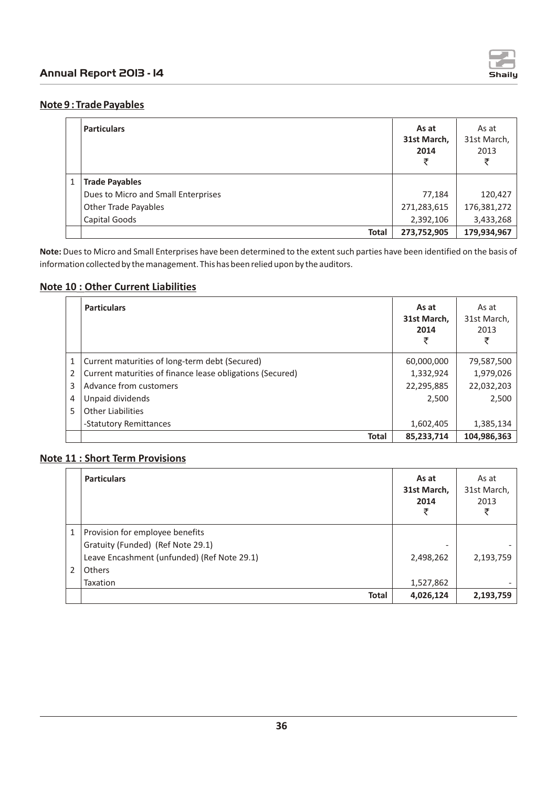

## **Note 9 : Trade Payables**

|   | <b>Particulars</b>                  | As at<br>31st March,<br>2014<br>₹ | As at<br>31st March,<br>2013<br>₹ |
|---|-------------------------------------|-----------------------------------|-----------------------------------|
| 1 | <b>Trade Payables</b>               |                                   |                                   |
|   | Dues to Micro and Small Enterprises | 77,184                            | 120,427                           |
|   | <b>Other Trade Payables</b>         | 271,283,615                       | 176,381,272                       |
|   | Capital Goods                       | 2,392,106                         | 3,433,268                         |
|   | <b>Total</b>                        | 273,752,905                       | 179,934,967                       |

**Note:** Dues to Micro and Small Enterprises have been determined to the extent such parties have been identified on the basis of information collected by the management. This has been relied upon by the auditors.

#### **Note 10 : Other Current Liabilities**

|              | <b>Particulars</b>                                        | As at<br>31st March,<br>2014 | As at<br>31st March,<br>2013 |
|--------------|-----------------------------------------------------------|------------------------------|------------------------------|
| $\mathbf{1}$ | Current maturities of long-term debt (Secured)            | 60,000,000                   | 79,587,500                   |
| 2            | Current maturities of finance lease obligations (Secured) | 1,332,924                    | 1,979,026                    |
| 3            | Advance from customers                                    | 22,295,885                   | 22,032,203                   |
| 4            | Unpaid dividends                                          | 2,500                        | 2,500                        |
| 5            | <b>Other Liabilities</b>                                  |                              |                              |
|              | -Statutory Remittances                                    | 1,602,405                    | 1,385,134                    |
|              | <b>Total</b>                                              | 85,233,714                   | 104,986,363                  |

#### **Note 11 : Short Term Provisions**

|               | <b>Particulars</b>                          | As at<br>31st March,<br>2014<br>₹ | As at<br>31st March,<br>2013<br>₹ |
|---------------|---------------------------------------------|-----------------------------------|-----------------------------------|
| 1             | Provision for employee benefits             |                                   |                                   |
|               | Gratuity (Funded) (Ref Note 29.1)           |                                   |                                   |
|               | Leave Encashment (unfunded) (Ref Note 29.1) | 2,498,262                         | 2,193,759                         |
| $\mathcal{P}$ | <b>Others</b>                               |                                   |                                   |
|               | <b>Taxation</b>                             | 1,527,862                         |                                   |
|               | <b>Total</b>                                | 4,026,124                         | 2,193,759                         |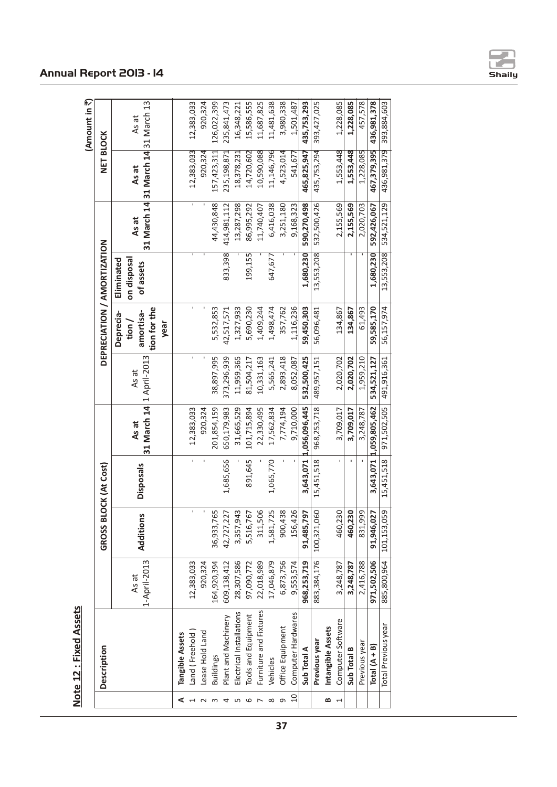# Note 12 : Fixed Assets **Note 12 : Fixed Assets**

|                | <b>Description</b>       |                       | <b>GROSS BI</b>          | LOCK (At Cost)   |                                   |                         |                                                        | DEPRECIATION / AMORTIZATION            |             | <b>NET BLOCK</b>                             | (Amount in ₹) |  |
|----------------|--------------------------|-----------------------|--------------------------|------------------|-----------------------------------|-------------------------|--------------------------------------------------------|----------------------------------------|-------------|----------------------------------------------|---------------|--|
|                |                          | 1-April-2013<br>As at | Additions                | <b>Disposals</b> | 31 March 14 1 April-2013<br>As at | As at                   | tion for the<br>Deprecia-<br>amortisa<br>tion/<br>year | Eliminated<br>on disposal<br>of assets | As at       | 31 March 14 31 March 14 31 March 13<br>As at | As at         |  |
| ⋖              | Tangible Assets          |                       |                          |                  |                                   |                         |                                                        |                                        |             |                                              |               |  |
|                | Land (Freehold)          | 12,383,033            | ï                        |                  | 12,383,033                        | f,                      | ı                                                      | f,                                     |             | 12,383,033                                   | 12,383,033    |  |
|                | Lease Hold Land          | 920,324               |                          |                  | 920,324                           |                         |                                                        |                                        |             | 920,324                                      | 920,324       |  |
|                | Buildings                | 164,920,394           | 36,933,765               |                  | 201,854,159                       | 38,897,995              | 5,532,853                                              |                                        | 44,430,848  | 157,423,311                                  | 126,022,399   |  |
|                | Plant and Machinery      | 609,138,412           | 42,727,227               | 1,685,656        | 650,179,983                       | 373,296,939             | 42,517,571                                             | 833,398                                | 414,981,112 | 235,198,871                                  | 235,841,473   |  |
|                | Electrical Installations | 28,307,586            | w<br>3,357,94            |                  | 31,665,529                        | 11,959,365              | 1,327,933                                              |                                        | 13,287,298  | 18,378,231                                   | 16,348,221    |  |
|                | Tools and Equipment      | 97,090,772            | 5,516,767                | 891,645          | 101,715,894                       | 81,504,217              | 5,690,230                                              | 199,155                                | 86,995,292  | 14,720,602                                   | 15,586,555    |  |
|                | Furniture and Fixtures   | 22,018,989            | $\overline{9}$<br>311,50 |                  | 22,330,495                        | 10,331,163              | 1,409,244                                              |                                        | 11,740,407  | 10,590,088                                   | 11,687,825    |  |
| $\infty$       | Vehicles                 | 17,046,879            | Б<br>1,581,72            | 1,065,770        | 17,562,834                        | 5,565,241               | 1,498,474                                              | 647,677                                | 6,416,038   | 11,146,796                                   | 11,481,638    |  |
| ഗ              | Office Equipment         | 6,873,756             | $\infty$<br>900,43       |                  | 7,774,194                         | 2,893,418               | 357,762                                                |                                        | 3,251,180   | 4,523,014                                    | 3,980,338     |  |
| $\overline{a}$ | Computer Hardwares       | 9,553,574             | 156,426                  |                  | 9,710,000                         | 8,052,087               | 1,116,236                                              |                                        | 9,168,323   | 541,677                                      | 1,501,487     |  |
|                | Sub Total A              | 968,253,719           | 91,485,797               |                  | 3,643,071 1,056,096,445           | 532,500,425             | 59,450,303                                             | 1,680,230                              | 590,270,498 | 465,825,947                                  | 435,753,293   |  |
|                | Previous year            |                       | 883,384,176 100,321,060  | 15,451,518       | 968,253,718                       | 489,957,151             | 56,096,481                                             | 13,553,208                             | 532,500,426 | 435,753,294                                  | 393,427,025   |  |
| ≃              | Intangible Assets        |                       |                          |                  |                                   |                         |                                                        |                                        |             |                                              |               |  |
|                | Computer Software        | 3,248,787             | 460,230                  |                  | 3,709,017                         | 2,020,702               | 134.867                                                |                                        | 2,155,569   | 1,553,448                                    | 1,228,085     |  |
|                | Sub Total B              | 3,248,787             | 460,230                  |                  | 3,709,017                         | 2,020,702               | 134,867                                                |                                        | 2,155,569   | 1,553,448                                    | 1,228,085     |  |
|                | Previous year            | 2,416,788             | ⊙<br>831,99              |                  | 3,248,787                         | 1,959,210               | 61,493                                                 |                                        | 2,020,703   | 1,228,085                                    | 457,578       |  |
|                | Total $(A + B)$          | 971,502,506           | 91,946,027               |                  | 3,643,071 1,059,805,462           | 534,521,127             | 59,585,170                                             | 1,680,230                              | 592,426,067 | 467,379,395                                  | 436,981,378   |  |
|                | Total Previous year      |                       | 885,800,964 101,153,059  | 15,451,518       |                                   | 971,502,505 491,916,361 | 56,157,974                                             | 13,553,208                             | 534,521,129 | 436,981,379                                  | 393,884,603   |  |

# **Annual Report 2013 - 1**

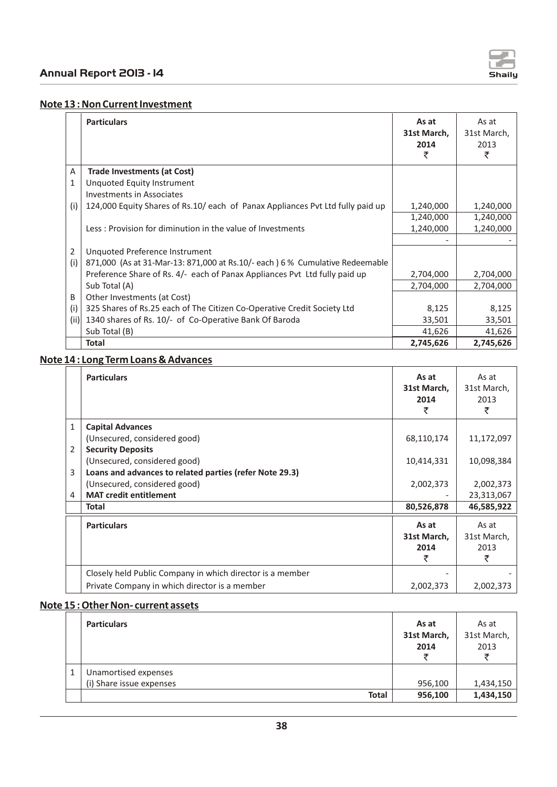

## **Note 13 : Non Current Investment**

|      | <b>Particulars</b>                                                             | As at<br>31st March,<br>2014<br>₹ | As at<br>31st March,<br>2013<br>₹ |
|------|--------------------------------------------------------------------------------|-----------------------------------|-----------------------------------|
| A    | <b>Trade Investments (at Cost)</b>                                             |                                   |                                   |
| 1    | Unquoted Equity Instrument                                                     |                                   |                                   |
|      | Investments in Associates                                                      |                                   |                                   |
| (i)  | 124,000 Equity Shares of Rs.10/ each of Panax Appliances Pvt Ltd fully paid up | 1,240,000                         | 1,240,000                         |
|      |                                                                                | 1,240,000                         | 1,240,000                         |
|      | Less: Provision for diminution in the value of Investments                     | 1,240,000                         | 1,240,000                         |
|      |                                                                                |                                   |                                   |
| 2    | Unquoted Preference Instrument                                                 |                                   |                                   |
| (i)  | 871,000 (As at 31-Mar-13: 871,000 at Rs.10/- each ) 6 % Cumulative Redeemable  |                                   |                                   |
|      | Preference Share of Rs. 4/- each of Panax Appliances Pvt Ltd fully paid up     | 2,704,000                         | 2,704,000                         |
|      | Sub Total (A)                                                                  | 2,704,000                         | 2,704,000                         |
| B    | Other Investments (at Cost)                                                    |                                   |                                   |
| (i)  | 325 Shares of Rs.25 each of The Citizen Co-Operative Credit Society Ltd        | 8,125                             | 8,125                             |
| (ii) | 1340 shares of Rs. 10/- of Co-Operative Bank Of Baroda                         | 33,501                            | 33,501                            |
|      | Sub Total (B)                                                                  | 41,626                            | 41,626                            |
|      | <b>Total</b>                                                                   | 2,745,626                         | 2,745,626                         |

## **Note 14 : Long Term Loans & Advances**

|                | <b>Particulars</b>                                        | As at<br>31st March,<br>2014<br>₹ | As at<br>31st March,<br>2013<br>₹ |
|----------------|-----------------------------------------------------------|-----------------------------------|-----------------------------------|
| $\mathbf{1}$   | <b>Capital Advances</b>                                   |                                   |                                   |
|                | (Unsecured, considered good)                              | 68,110,174                        | 11,172,097                        |
| $\mathfrak{D}$ | <b>Security Deposits</b>                                  |                                   |                                   |
|                | (Unsecured, considered good)                              | 10,414,331                        | 10,098,384                        |
| 3              | Loans and advances to related parties (refer Note 29.3)   |                                   |                                   |
|                | (Unsecured, considered good)                              | 2,002,373                         | 2,002,373                         |
| 4              | <b>MAT credit entitlement</b>                             |                                   | 23,313,067                        |
|                | Total                                                     | 80,526,878                        | 46,585,922                        |
|                | <b>Particulars</b>                                        | As at                             | As at                             |
|                |                                                           | 31st March,                       | 31st March,                       |
|                |                                                           | 2014                              | 2013                              |
|                |                                                           |                                   | ₹                                 |
|                | Closely held Public Company in which director is a member |                                   |                                   |
|                | Private Company in which director is a member             | 2,002,373                         | 2,002,373                         |

## **Note 15 : Other Non- current assets**

|   | <b>Particulars</b>       | As at<br>31st March,<br>2014 | As at<br>31st March,<br>2013 |
|---|--------------------------|------------------------------|------------------------------|
| 1 | Unamortised expenses     |                              |                              |
|   | (i) Share issue expenses | 956,100                      | 1,434,150                    |
|   | <b>Total</b>             | 956,100                      | 1,434,150                    |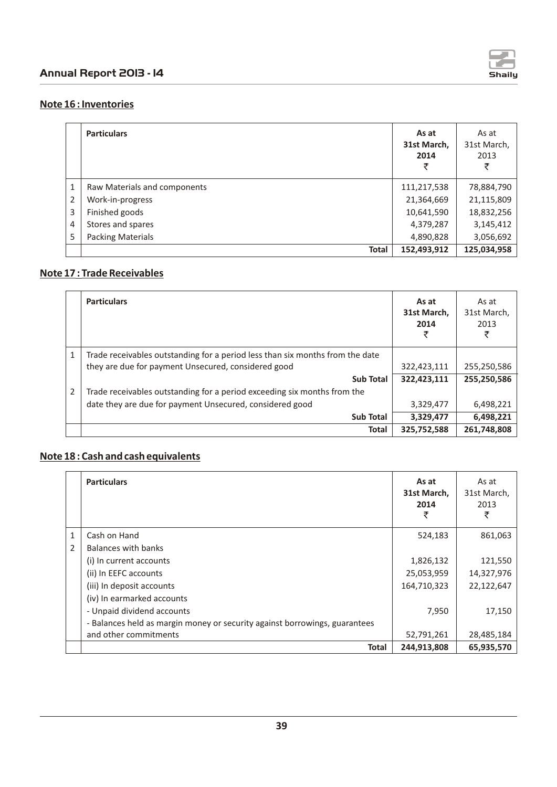

## **Note 16 : Inventories**

|                | <b>Particulars</b>           | As at<br>31st March,<br>2014 | As at<br>31st March,<br>2013<br>₹ |
|----------------|------------------------------|------------------------------|-----------------------------------|
| 1              | Raw Materials and components | 111,217,538                  | 78,884,790                        |
| $\overline{2}$ | Work-in-progress             | 21,364,669                   | 21,115,809                        |
| 3              | Finished goods               | 10,641,590                   | 18,832,256                        |
| 4              | Stores and spares            | 4,379,287                    | 3,145,412                         |
| 5              | <b>Packing Materials</b>     | 4,890,828                    | 3,056,692                         |
|                | <b>Total</b>                 | 152,493,912                  | 125,034,958                       |

## **Note 17 : Trade Receivables**

|   | <b>Particulars</b>                                                            | As at<br>31st March.<br>2014<br>₹ | As at<br>31st March.<br>2013<br>₹ |
|---|-------------------------------------------------------------------------------|-----------------------------------|-----------------------------------|
|   | Trade receivables outstanding for a period less than six months from the date |                                   |                                   |
|   | they are due for payment Unsecured, considered good                           | 322,423,111                       | 255,250,586                       |
|   | <b>Sub Total</b>                                                              | 322,423,111                       | 255,250,586                       |
| 2 | Trade receivables outstanding for a period exceeding six months from the      |                                   |                                   |
|   | date they are due for payment Unsecured, considered good                      | 3,329,477                         | 6,498,221                         |
|   | <b>Sub Total</b>                                                              | 3,329,477                         | 6,498,221                         |
|   | <b>Total</b>                                                                  | 325,752,588                       | 261,748,808                       |

## **Note 18 : Cash and cash equivalents**

|               | <b>Particulars</b>                                                         | As at<br>31st March,<br>2014<br>₹ | As at<br>31st March,<br>2013<br>₹ |
|---------------|----------------------------------------------------------------------------|-----------------------------------|-----------------------------------|
| 1             | Cash on Hand                                                               | 524,183                           | 861,063                           |
| $\mathcal{P}$ | Balances with banks                                                        |                                   |                                   |
|               | (i) In current accounts                                                    | 1,826,132                         | 121,550                           |
|               | (ii) In EEFC accounts                                                      | 25,053,959                        | 14,327,976                        |
|               | (iii) In deposit accounts                                                  | 164,710,323                       | 22,122,647                        |
|               | (iv) In earmarked accounts                                                 |                                   |                                   |
|               | - Unpaid dividend accounts                                                 | 7,950                             | 17,150                            |
|               | - Balances held as margin money or security against borrowings, guarantees |                                   |                                   |
|               | and other commitments                                                      | 52,791,261                        | 28,485,184                        |
|               | <b>Total</b>                                                               | 244,913,808                       | 65,935,570                        |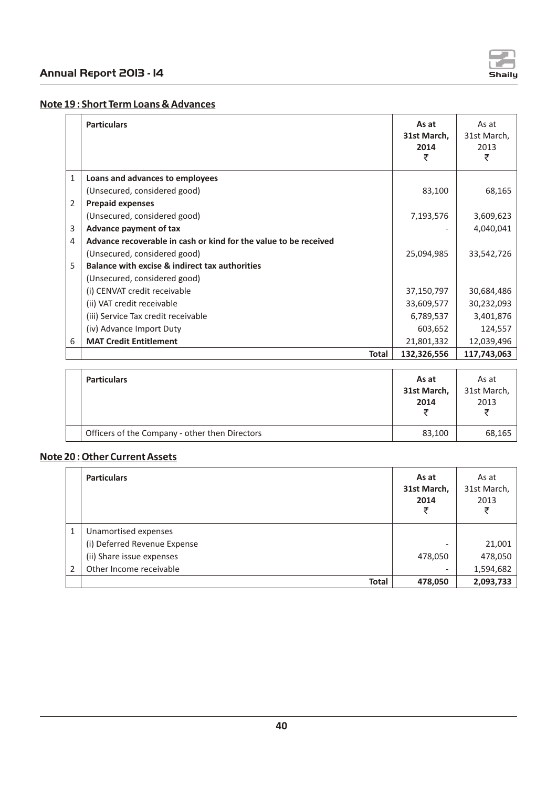

## **Note 19 : Short Term Loans & Advances**

|                | <b>Particulars</b>                                               | As at<br>31st March,<br>2014<br>₹ | As at<br>31st March,<br>2013<br>₹ |
|----------------|------------------------------------------------------------------|-----------------------------------|-----------------------------------|
| $\mathbf{1}$   | Loans and advances to employees                                  |                                   |                                   |
|                | (Unsecured, considered good)                                     | 83,100                            | 68,165                            |
| $\overline{2}$ | <b>Prepaid expenses</b>                                          |                                   |                                   |
|                | (Unsecured, considered good)                                     | 7,193,576                         | 3,609,623                         |
| 3              | <b>Advance payment of tax</b>                                    |                                   | 4,040,041                         |
| 4              | Advance recoverable in cash or kind for the value to be received |                                   |                                   |
|                | (Unsecured, considered good)                                     | 25,094,985                        | 33,542,726                        |
| 5              | Balance with excise & indirect tax authorities                   |                                   |                                   |
|                | (Unsecured, considered good)                                     |                                   |                                   |
|                | (i) CENVAT credit receivable                                     | 37,150,797                        | 30,684,486                        |
|                | (ii) VAT credit receivable                                       | 33,609,577                        | 30,232,093                        |
|                | (iii) Service Tax credit receivable                              | 6,789,537                         | 3,401,876                         |
|                | (iv) Advance Import Duty                                         | 603,652                           | 124,557                           |
| 6              | <b>MAT Credit Entitlement</b>                                    | 21,801,332                        | 12,039,496                        |
|                | Total                                                            | 132,326,556                       | 117,743,063                       |

| <b>Particulars</b>                             | As at<br>31st March,<br>2014 | As at<br>31st March,<br>2013 |
|------------------------------------------------|------------------------------|------------------------------|
| Officers of the Company - other then Directors | 83,100                       | 68,165                       |

## **Note 20 : Other Current Assets**

|   | <b>Particulars</b>           | As at<br>31st March,<br>2014 | As at<br>31st March,<br>2013<br>₹ |
|---|------------------------------|------------------------------|-----------------------------------|
| 1 | Unamortised expenses         |                              |                                   |
|   | (i) Deferred Revenue Expense | $\overline{\phantom{a}}$     | 21,001                            |
|   | (ii) Share issue expenses    | 478,050                      | 478,050                           |
| 2 | Other Income receivable      |                              | 1,594,682                         |
|   | <b>Total</b>                 | 478,050                      | 2,093,733                         |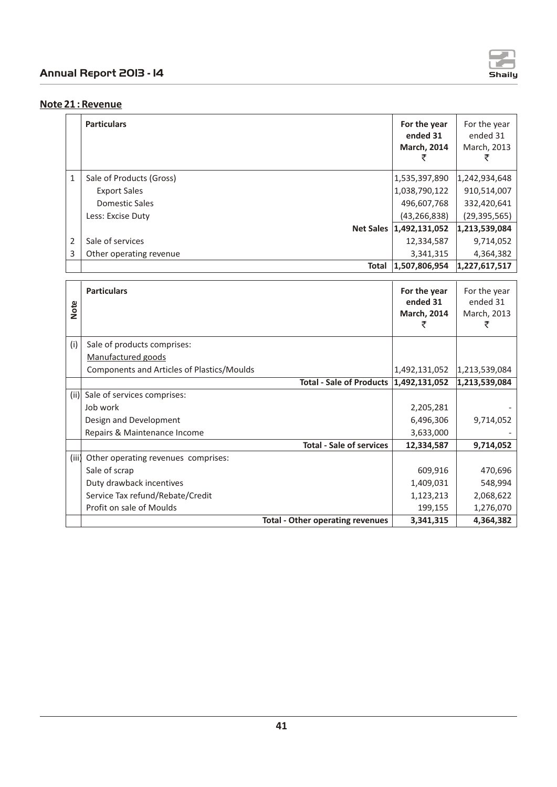

## **Note 21 : Revenue**

|              | <b>Particulars</b>                                | For the year<br>ended 31<br><b>March, 2014</b><br>₹ | For the year<br>ended 31<br>March, 2013<br>₹ |
|--------------|---------------------------------------------------|-----------------------------------------------------|----------------------------------------------|
| $\mathbf{1}$ | Sale of Products (Gross)                          | 1,535,397,890                                       | 1,242,934,648                                |
|              | <b>Export Sales</b>                               | 1,038,790,122                                       | 910,514,007                                  |
|              | <b>Domestic Sales</b>                             | 496,607,768                                         | 332,420,641                                  |
|              | Less: Excise Duty                                 | (43, 266, 838)                                      | (29, 395, 565)                               |
|              |                                                   | Net Sales   1,492,131,052                           | 1,213,539,084                                |
| 2            | Sale of services                                  | 12,334,587                                          | 9,714,052                                    |
| 3            | Other operating revenue                           | 3,341,315                                           | 4,364,382                                    |
|              | <b>Total</b>                                      | 1,507,806,954                                       | 1,227,617,517                                |
|              |                                                   |                                                     |                                              |
|              | <b>Particulars</b>                                | For the year                                        | For the year                                 |
| <b>Note</b>  |                                                   | ended 31                                            | ended 31                                     |
|              |                                                   | <b>March, 2014</b>                                  | March, 2013                                  |
|              |                                                   | ₹                                                   | ₹                                            |
| (i)          | Sale of products comprises:                       |                                                     |                                              |
|              | Manufactured goods                                |                                                     |                                              |
|              | <b>Components and Articles of Plastics/Moulds</b> | 1,492,131,052                                       | 1,213,539,084                                |
|              | <b>Total - Sale of Products</b>                   | $\overline{1,492,131,052}$                          | 1,213,539,084                                |
|              | (ii) Sale of services comprises:                  |                                                     |                                              |
|              | Job work                                          | 2,205,281                                           |                                              |
|              | Design and Development                            | 6,496,306                                           | 9,714,052                                    |
|              | Repairs & Maintenance Income                      | 3,633,000                                           |                                              |
|              | <b>Total - Sale of services</b>                   | 12,334,587                                          | 9,714,052                                    |
| (iii)        | Other operating revenues comprises:               |                                                     |                                              |
|              | Sale of scrap                                     | 609,916                                             | 470,696                                      |
|              | Duty drawback incentives                          | 1,409,031                                           | 548,994                                      |
|              | Service Tax refund/Rebate/Credit                  | 1,123,213                                           | 2,068,622                                    |
|              | Profit on sale of Moulds                          | 199,155                                             | 1,276,070                                    |
|              | <b>Total - Other operating revenues</b>           | 3,341,315                                           | 4,364,382                                    |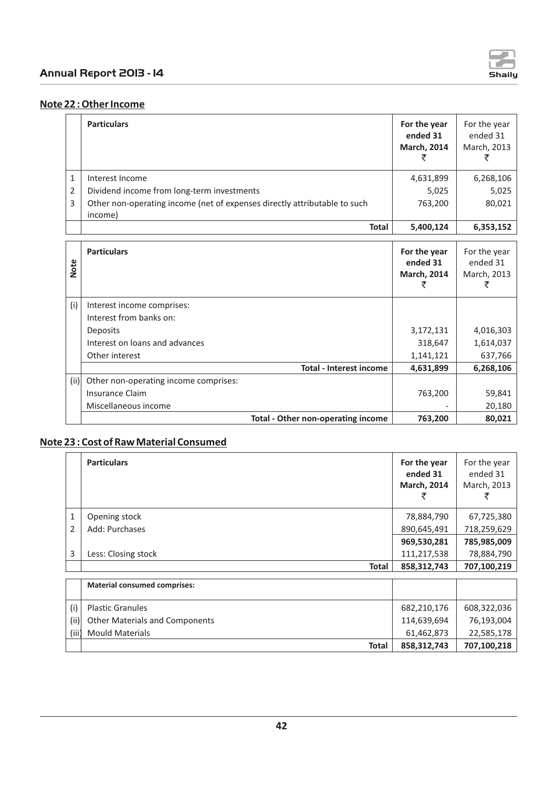

## **Note 22 : Other Income**

|              | <b>Particulars</b>                                                                   | For the year<br>ended 31<br><b>March, 2014</b><br>₹ | For the year<br>ended 31<br>March, 2013<br>₹ |
|--------------|--------------------------------------------------------------------------------------|-----------------------------------------------------|----------------------------------------------|
| $\mathbf{1}$ | Interest Income                                                                      | 4,631,899                                           | 6,268,106                                    |
| 2            | Dividend income from long-term investments                                           | 5,025                                               | 5,025                                        |
| 3            | Other non-operating income (net of expenses directly attributable to such<br>income) | 763,200                                             | 80,021                                       |
|              | <b>Total</b>                                                                         | 5,400,124                                           | 6,353,152                                    |
|              |                                                                                      |                                                     |                                              |
| <b>Note</b>  | <b>Particulars</b>                                                                   | For the year<br>ended 31<br><b>March, 2014</b><br>₹ | For the year<br>ended 31<br>March, 2013      |
| (i)          | Interest income comprises:                                                           |                                                     |                                              |
|              | Interest from banks on:                                                              |                                                     |                                              |
|              | Deposits                                                                             | 3,172,131                                           | 4,016,303                                    |
|              | Interest on loans and advances                                                       | 318,647                                             | 1,614,037                                    |
|              | Other interest                                                                       | 1,141,121                                           | 637,766                                      |
|              | <b>Total - Interest income</b>                                                       | 4,631,899                                           | 6,268,106                                    |
| (iii)        | Other non-operating income comprises:                                                |                                                     |                                              |
|              | <b>Insurance Claim</b>                                                               | 763,200                                             | 59,841                                       |
|              | Miscellaneous income                                                                 |                                                     | 20,180                                       |
|              | Total - Other non-operating income                                                   | 763,200                                             | 80,021                                       |

## **Note 23 : Cost of Raw Material Consumed**

|       | <b>Particulars</b>                    | For the year<br>ended 31<br><b>March, 2014</b> | For the year<br>ended 31<br>March, 2013 |
|-------|---------------------------------------|------------------------------------------------|-----------------------------------------|
| 1     | Opening stock                         | 78,884,790                                     | 67,725,380                              |
| 2     | Add: Purchases                        | 890,645,491                                    | 718,259,629                             |
|       |                                       | 969,530,281                                    | 785,985,009                             |
| 3     | Less: Closing stock                   | 111,217,538                                    | 78,884,790                              |
|       | <b>Total</b>                          | 858,312,743                                    | 707,100,219                             |
|       | <b>Material consumed comprises:</b>   |                                                |                                         |
| (i)   | <b>Plastic Granules</b>               | 682,210,176                                    | 608,322,036                             |
| (ii)  | <b>Other Materials and Components</b> | 114,639,694                                    | 76,193,004                              |
| (iii) | <b>Mould Materials</b>                | 61,462,873                                     | 22,585,178                              |
|       | <b>Total</b>                          | 858, 312, 743                                  | 707,100,218                             |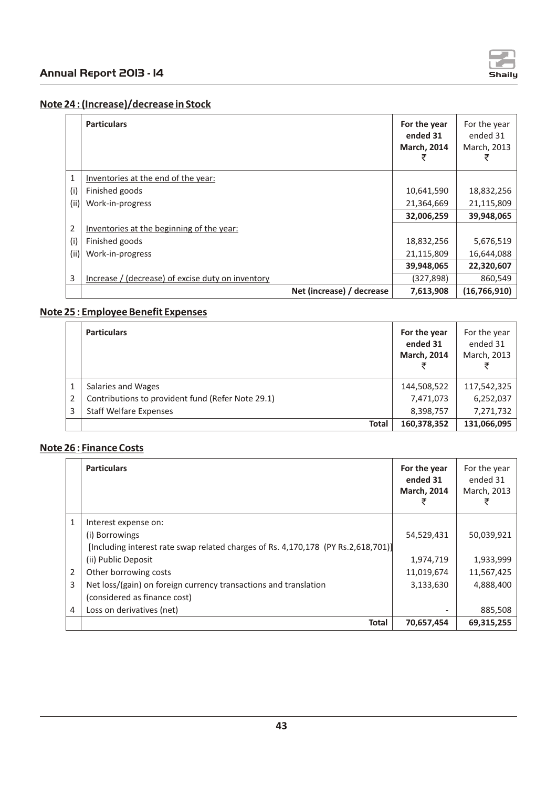

## **Note 24 : (Increase)/decrease in Stock**

|                | <b>Particulars</b>                                       | For the year<br>ended 31<br><b>March, 2014</b> | For the year<br>ended 31<br>March, 2013 |
|----------------|----------------------------------------------------------|------------------------------------------------|-----------------------------------------|
| $\mathbf{1}$   | Inventories at the end of the year:                      |                                                |                                         |
| (i)            | Finished goods                                           | 10,641,590                                     | 18,832,256                              |
| (ii)           | Work-in-progress                                         | 21,364,669                                     | 21,115,809                              |
|                |                                                          | 32,006,259                                     | 39,948,065                              |
| $\overline{2}$ | Inventories at the beginning of the year:                |                                                |                                         |
| (i)            | Finished goods                                           | 18,832,256                                     | 5,676,519                               |
| (ii)           | Work-in-progress                                         | 21,115,809                                     | 16,644,088                              |
|                |                                                          | 39,948,065                                     | 22,320,607                              |
| 3              | <u>Increase / (decrease)</u> of excise duty on inventory | (327,898)                                      | 860,549                                 |
|                | Net (increase) / decrease                                | 7,613,908                                      | (16,766,910)                            |

## **Note 25 : Employee Benefit Expenses**

|               | <b>Particulars</b>                                | For the year<br>ended 31<br><b>March, 2014</b> | For the year<br>ended 31<br>March, 2013 |
|---------------|---------------------------------------------------|------------------------------------------------|-----------------------------------------|
|               | Salaries and Wages                                | 144,508,522                                    | 117,542,325                             |
| $\mathcal{P}$ | Contributions to provident fund (Refer Note 29.1) | 7,471,073                                      | 6,252,037                               |
| 3             | <b>Staff Welfare Expenses</b>                     | 8,398,757                                      | 7,271,732                               |
|               | <b>Total</b>                                      | 160,378,352                                    | 131,066,095                             |

## **Note 26 : Finance Costs**

|   | <b>Particulars</b>                                                                | For the year<br>ended 31<br><b>March, 2014</b> | For the year<br>ended 31<br>March, 2013 |
|---|-----------------------------------------------------------------------------------|------------------------------------------------|-----------------------------------------|
| 1 | Interest expense on:                                                              |                                                |                                         |
|   | (i) Borrowings                                                                    | 54,529,431                                     | 50,039,921                              |
|   | [Including interest rate swap related charges of Rs. 4,170,178 (PY Rs.2,618,701)] |                                                |                                         |
|   | (ii) Public Deposit                                                               | 1,974,719                                      | 1,933,999                               |
| 2 | Other borrowing costs                                                             | 11,019,674                                     | 11,567,425                              |
| 3 | Net loss/(gain) on foreign currency transactions and translation                  | 3,133,630                                      | 4,888,400                               |
|   | (considered as finance cost)                                                      |                                                |                                         |
| 4 | Loss on derivatives (net)                                                         |                                                | 885,508                                 |
|   | Total                                                                             | 70,657,454                                     | 69,315,255                              |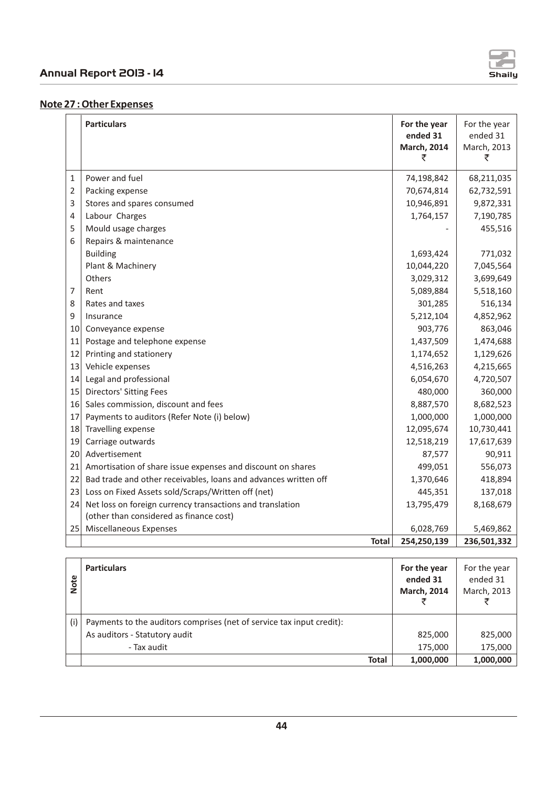

## **Note 27 : Other Expenses**

|                | <b>Particulars</b>                                              | For the year<br>ended 31<br><b>March, 2014</b><br>₹ | For the year<br>ended 31<br>March, 2013<br>₹ |
|----------------|-----------------------------------------------------------------|-----------------------------------------------------|----------------------------------------------|
| $\mathbf{1}$   | Power and fuel                                                  | 74,198,842                                          | 68,211,035                                   |
| $\overline{2}$ | Packing expense                                                 | 70,674,814                                          | 62,732,591                                   |
| 3              | Stores and spares consumed                                      | 10,946,891                                          | 9,872,331                                    |
| 4              | Labour Charges                                                  | 1,764,157                                           | 7,190,785                                    |
| 5              | Mould usage charges                                             |                                                     | 455,516                                      |
| 6              | Repairs & maintenance                                           |                                                     |                                              |
|                | <b>Building</b>                                                 | 1,693,424                                           | 771,032                                      |
|                | Plant & Machinery                                               | 10,044,220                                          | 7,045,564                                    |
|                | Others                                                          | 3,029,312                                           | 3,699,649                                    |
| $\overline{7}$ | Rent                                                            | 5,089,884                                           | 5,518,160                                    |
| 8              | Rates and taxes                                                 | 301,285                                             | 516,134                                      |
| 9              | Insurance                                                       | 5,212,104                                           | 4,852,962                                    |
| 10             | Conveyance expense                                              | 903,776                                             | 863,046                                      |
| 11             | Postage and telephone expense                                   | 1,437,509                                           | 1,474,688                                    |
| 12             | Printing and stationery                                         | 1,174,652                                           | 1,129,626                                    |
| 13             | Vehicle expenses                                                | 4,516,263                                           | 4,215,665                                    |
| 14             | Legal and professional                                          | 6,054,670                                           | 4,720,507                                    |
| 15             | <b>Directors' Sitting Fees</b>                                  | 480,000                                             | 360,000                                      |
| 16             | Sales commission, discount and fees                             | 8,887,570                                           | 8,682,523                                    |
| 17             | Payments to auditors (Refer Note (i) below)                     | 1,000,000                                           | 1,000,000                                    |
| 18             | Travelling expense                                              | 12,095,674                                          | 10,730,441                                   |
| 19             | Carriage outwards                                               | 12,518,219                                          | 17,617,639                                   |
| 20             | Advertisement                                                   | 87,577                                              | 90,911                                       |
| 21             | Amortisation of share issue expenses and discount on shares     | 499,051                                             | 556,073                                      |
| 22             | Bad trade and other receivables, loans and advances written off | 1,370,646                                           | 418,894                                      |
| 23             | Loss on Fixed Assets sold/Scraps/Written off (net)              | 445,351                                             | 137,018                                      |
| 24             | Net loss on foreign currency transactions and translation       | 13,795,479                                          | 8,168,679                                    |
|                | (other than considered as finance cost)                         |                                                     |                                              |
| 25             | <b>Miscellaneous Expenses</b>                                   | 6,028,769                                           | 5,469,862                                    |
|                | <b>Total</b>                                                    | 254,250,139                                         | 236,501,332                                  |

| <b>Note</b> | <b>Particulars</b>                                                    | For the year<br>ended 31<br><b>March, 2014</b> | For the year<br>ended 31<br>March, 2013 |
|-------------|-----------------------------------------------------------------------|------------------------------------------------|-----------------------------------------|
| (i)         | Payments to the auditors comprises (net of service tax input credit): |                                                |                                         |
|             | As auditors - Statutory audit                                         | 825,000                                        | 825,000                                 |
|             | - Tax audit                                                           | 175,000                                        | 175,000                                 |
|             | <b>Total</b>                                                          | 1,000,000                                      | 1,000,000                               |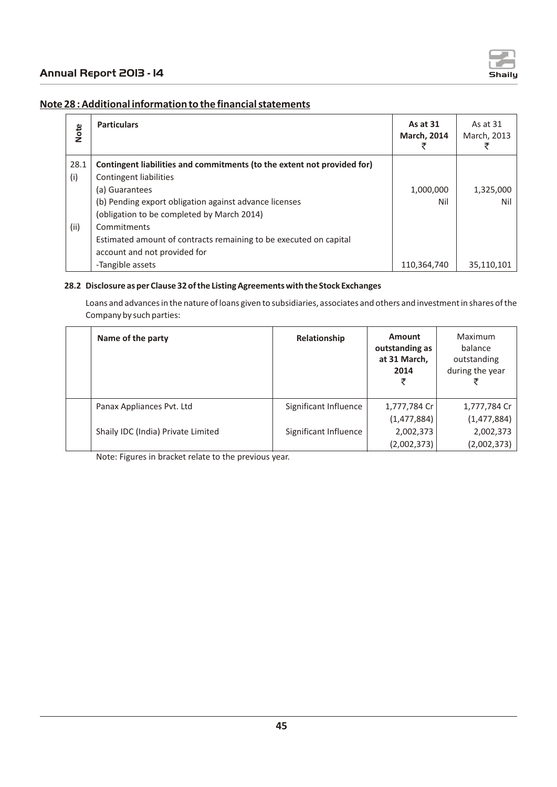

#### **Note 28 : Additional information to the financial statements**

| <b>Note</b> | <b>Particulars</b>                                                      | As at 31<br><b>March, 2014</b> | As at 31<br>March, 2013 |
|-------------|-------------------------------------------------------------------------|--------------------------------|-------------------------|
| 28.1        | Contingent liabilities and commitments (to the extent not provided for) |                                |                         |
| (i)         | <b>Contingent liabilities</b>                                           |                                |                         |
|             | (a) Guarantees                                                          | 1,000,000                      | 1,325,000               |
|             | (b) Pending export obligation against advance licenses                  | Nil                            | Nil                     |
|             | (obligation to be completed by March 2014)                              |                                |                         |
| (ii)        | Commitments                                                             |                                |                         |
|             | Estimated amount of contracts remaining to be executed on capital       |                                |                         |
|             | account and not provided for                                            |                                |                         |
|             | -Tangible assets                                                        | 110,364,740                    | 35,110,101              |

#### **28.2 Disclosure as per Clause 32 of the Listing Agreements with the Stock Exchanges**

Loans and advances in the nature of loans given to subsidiaries, associates and others and investment in shares of the Company by such parties:

| Name of the party                  | Relationship          | <b>Amount</b><br>outstanding as<br>at 31 March,<br>2014 | Maximum<br>balance<br>outstanding<br>during the year |
|------------------------------------|-----------------------|---------------------------------------------------------|------------------------------------------------------|
| Panax Appliances Pvt. Ltd          | Significant Influence | 1,777,784 Cr                                            | 1,777,784 Cr                                         |
|                                    |                       | (1,477,884)                                             | (1, 477, 884)                                        |
| Shaily IDC (India) Private Limited | Significant Influence | 2,002,373                                               | 2,002,373                                            |
|                                    |                       | (2,002,373)                                             | (2,002,373)                                          |

Note: Figures in bracket relate to the previous year.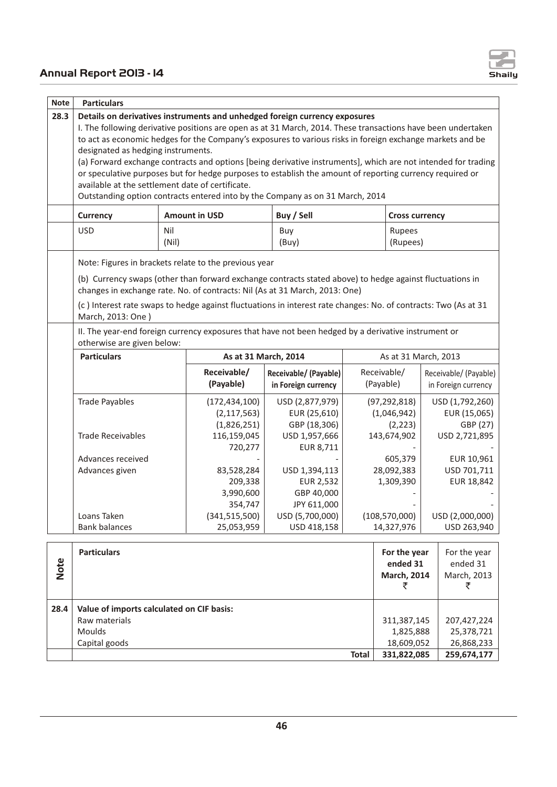

| <b>Note</b> | <b>Particulars</b>                                                                                                                                                                                                                                                                                                                                                                                                                                                                                                                                                                                                                                                                                              |              |                                                 |                                                                                                                 |              |                                                     |  |                                              |  |
|-------------|-----------------------------------------------------------------------------------------------------------------------------------------------------------------------------------------------------------------------------------------------------------------------------------------------------------------------------------------------------------------------------------------------------------------------------------------------------------------------------------------------------------------------------------------------------------------------------------------------------------------------------------------------------------------------------------------------------------------|--------------|-------------------------------------------------|-----------------------------------------------------------------------------------------------------------------|--------------|-----------------------------------------------------|--|----------------------------------------------|--|
| 28.3        | Details on derivatives instruments and unhedged foreign currency exposures<br>I. The following derivative positions are open as at 31 March, 2014. These transactions have been undertaken<br>to act as economic hedges for the Company's exposures to various risks in foreign exchange markets and be<br>designated as hedging instruments.<br>(a) Forward exchange contracts and options [being derivative instruments], which are not intended for trading<br>or speculative purposes but for hedge purposes to establish the amount of reporting currency required or<br>available at the settlement date of certificate.<br>Outstanding option contracts entered into by the Company as on 31 March, 2014 |              |                                                 |                                                                                                                 |              |                                                     |  |                                              |  |
|             | <b>Currency</b>                                                                                                                                                                                                                                                                                                                                                                                                                                                                                                                                                                                                                                                                                                 |              | <b>Amount in USD</b>                            | Buy / Sell                                                                                                      |              | <b>Cross currency</b>                               |  |                                              |  |
|             | <b>USD</b>                                                                                                                                                                                                                                                                                                                                                                                                                                                                                                                                                                                                                                                                                                      | Nil<br>(Nil) |                                                 | Buy<br>(Buy)                                                                                                    |              | Rupees<br>(Rupees)                                  |  |                                              |  |
|             | Note: Figures in brackets relate to the previous year                                                                                                                                                                                                                                                                                                                                                                                                                                                                                                                                                                                                                                                           |              |                                                 |                                                                                                                 |              |                                                     |  |                                              |  |
|             |                                                                                                                                                                                                                                                                                                                                                                                                                                                                                                                                                                                                                                                                                                                 |              |                                                 | (b) Currency swaps (other than forward exchange contracts stated above) to hedge against fluctuations in        |              |                                                     |  |                                              |  |
|             | changes in exchange rate. No. of contracts: Nil (As at 31 March, 2013: One)                                                                                                                                                                                                                                                                                                                                                                                                                                                                                                                                                                                                                                     |              |                                                 |                                                                                                                 |              |                                                     |  |                                              |  |
|             | March, 2013: One)                                                                                                                                                                                                                                                                                                                                                                                                                                                                                                                                                                                                                                                                                               |              |                                                 | (c) Interest rate swaps to hedge against fluctuations in interest rate changes: No. of contracts: Two (As at 31 |              |                                                     |  |                                              |  |
|             | II. The year-end foreign currency exposures that have not been hedged by a derivative instrument or<br>otherwise are given below:                                                                                                                                                                                                                                                                                                                                                                                                                                                                                                                                                                               |              |                                                 |                                                                                                                 |              |                                                     |  |                                              |  |
|             | <b>Particulars</b>                                                                                                                                                                                                                                                                                                                                                                                                                                                                                                                                                                                                                                                                                              |              |                                                 | As at 31 March, 2014                                                                                            |              | As at 31 March, 2013                                |  |                                              |  |
|             |                                                                                                                                                                                                                                                                                                                                                                                                                                                                                                                                                                                                                                                                                                                 |              | Receivable/<br>(Payable)                        | Receivable/ (Payable)<br>in Foreign currency                                                                    |              | Receivable/<br>(Payable)                            |  | Receivable/ (Payable)<br>in Foreign currency |  |
|             | <b>Trade Payables</b>                                                                                                                                                                                                                                                                                                                                                                                                                                                                                                                                                                                                                                                                                           |              | (172, 434, 100)<br>(2, 117, 563)<br>(1,826,251) | USD (2,877,979)<br>EUR (25,610)<br>GBP (18,306)                                                                 |              | (97, 292, 818)<br>(1,046,942)<br>(2, 223)           |  | USD (1,792,260)<br>EUR (15,065)<br>GBP (27)  |  |
|             | <b>Trade Receivables</b>                                                                                                                                                                                                                                                                                                                                                                                                                                                                                                                                                                                                                                                                                        |              | 116,159,045<br>720,277                          | USD 1,957,666<br>EUR 8,711                                                                                      |              | 143,674,902                                         |  | USD 2,721,895                                |  |
|             | Advances received                                                                                                                                                                                                                                                                                                                                                                                                                                                                                                                                                                                                                                                                                               |              |                                                 |                                                                                                                 |              | 605,379                                             |  | EUR 10,961                                   |  |
|             | Advances given                                                                                                                                                                                                                                                                                                                                                                                                                                                                                                                                                                                                                                                                                                  |              | 83,528,284<br>209,338                           | USD 1,394,113<br>EUR 2,532                                                                                      |              | 28,092,383<br>1,309,390                             |  | USD 701,711<br>EUR 18,842                    |  |
|             |                                                                                                                                                                                                                                                                                                                                                                                                                                                                                                                                                                                                                                                                                                                 |              | 3,990,600                                       | GBP 40,000                                                                                                      |              |                                                     |  |                                              |  |
|             | Loans Taken                                                                                                                                                                                                                                                                                                                                                                                                                                                                                                                                                                                                                                                                                                     |              | 354,747<br>(341, 515, 500)                      | JPY 611,000<br>USD (5,700,000)                                                                                  |              | (108, 570, 000)                                     |  | USD (2,000,000)                              |  |
|             | <b>Bank balances</b>                                                                                                                                                                                                                                                                                                                                                                                                                                                                                                                                                                                                                                                                                            |              | 25,053,959                                      | USD 418,158                                                                                                     |              | 14,327,976                                          |  | USD 263,940                                  |  |
| Note        | <b>Particulars</b>                                                                                                                                                                                                                                                                                                                                                                                                                                                                                                                                                                                                                                                                                              |              |                                                 |                                                                                                                 |              | For the year<br>ended 31<br><b>March, 2014</b><br>₹ |  | For the year<br>ended 31<br>March, 2013<br>₹ |  |
| 28.4        | Value of imports calculated on CIF basis:<br>Raw materials<br>Moulds<br>Capital goods                                                                                                                                                                                                                                                                                                                                                                                                                                                                                                                                                                                                                           |              |                                                 |                                                                                                                 |              | 311,387,145<br>1,825,888<br>18,609,052              |  | 207,427,224<br>25,378,721<br>26,868,233      |  |
|             |                                                                                                                                                                                                                                                                                                                                                                                                                                                                                                                                                                                                                                                                                                                 |              |                                                 |                                                                                                                 | <b>Total</b> | 331,822,085                                         |  | 259,674,177                                  |  |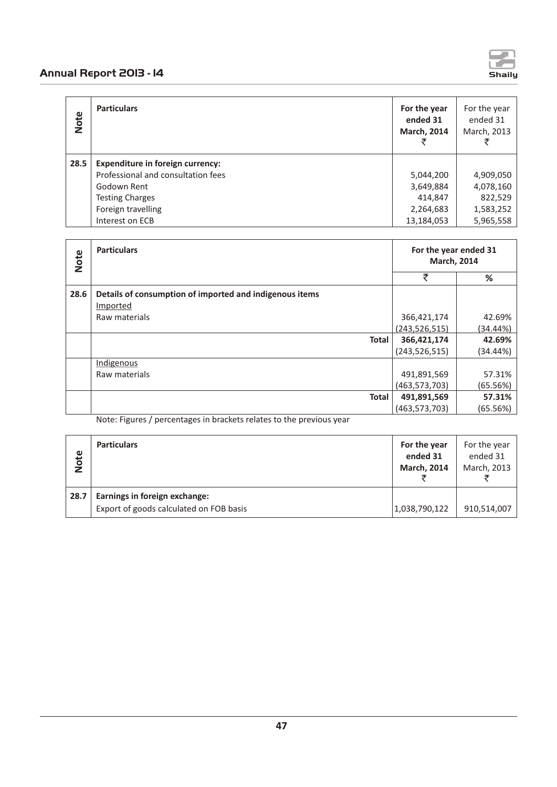

| <b>Note</b> | <b>Particulars</b>                      | For the year<br>ended 31<br><b>March, 2014</b> | For the year<br>ended 31<br>March, 2013 |
|-------------|-----------------------------------------|------------------------------------------------|-----------------------------------------|
| 28.5        | <b>Expenditure in foreign currency:</b> |                                                |                                         |
|             | Professional and consultation fees      | 5,044,200                                      | 4,909,050                               |
|             | Godown Rent                             | 3,649,884                                      | 4,078,160                               |
|             | <b>Testing Charges</b>                  | 414,847                                        | 822,529                                 |
|             | Foreign travelling                      | 2,264,683                                      | 1,583,252                               |
|             | Interest on ECB                         | 13,184,053                                     | 5,965,558                               |

| <b>Note</b> | <b>Particulars</b>                                                   | For the year ended 31<br><b>March, 2014</b> |                          |
|-------------|----------------------------------------------------------------------|---------------------------------------------|--------------------------|
|             |                                                                      | ₹                                           | %                        |
| 28.6        | Details of consumption of imported and indigenous items<br>Imported  |                                             |                          |
|             | Raw materials                                                        | 366,421,174                                 | 42.69%                   |
|             |                                                                      | (243, 526, 515)                             | (34.44%)                 |
|             | <b>Total</b>                                                         | 366,421,174                                 | 42.69%                   |
|             |                                                                      | (243, 526, 515)                             | (34.44%)                 |
|             | Indigenous                                                           |                                             |                          |
|             | Raw materials                                                        | 491,891,569                                 | 57.31%                   |
|             |                                                                      | (463, 573, 703)                             | (65.56%)                 |
|             | <b>Total</b>                                                         | 491,891,569                                 | 57.31%                   |
|             |                                                                      | (463, 573, 703)                             | (65.56%)                 |
|             | Note: Figures / percentages in brackets relates to the previous year |                                             |                          |
| ω           | <b>Particulars</b>                                                   | For the year<br>ondod 21                    | For the year<br>andod 31 |

| <b>Note</b> | <b>Particulars</b>                                                       | For the year<br>ended 31<br><b>March, 2014</b> | For the year<br>ended 31<br>March, 2013 |
|-------------|--------------------------------------------------------------------------|------------------------------------------------|-----------------------------------------|
| 28.7        | Earnings in foreign exchange:<br>Export of goods calculated on FOB basis | 1,038,790,122                                  | 910,514,007                             |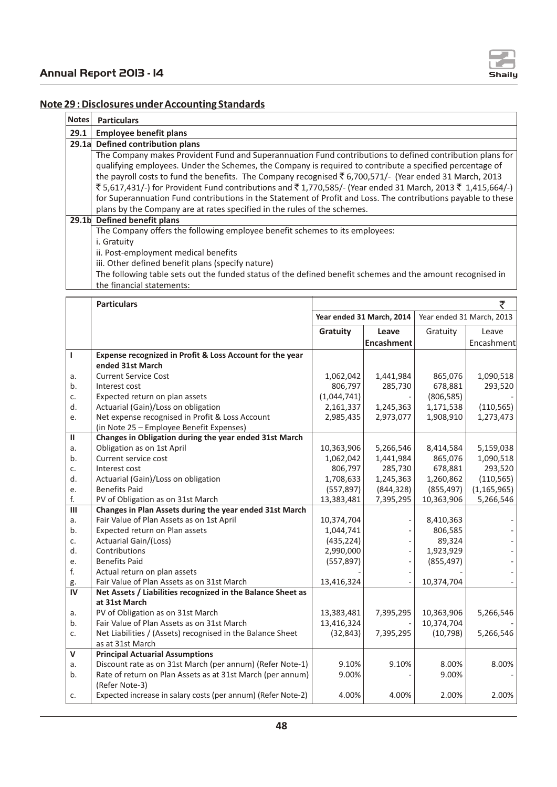

#### **Note 29 : Disclosures under Accounting Standards**

| Notes | <b>Particulars</b>                                                                                            |
|-------|---------------------------------------------------------------------------------------------------------------|
| 29.1  | <b>Employee benefit plans</b>                                                                                 |
| 29.1a | Defined contribution plans                                                                                    |
|       | The Company makes Provident Fund and Superannuation Fund contributions to defined contribution plans for      |
|       | qualifying employees. Under the Schemes, the Company is required to contribute a specified percentage of      |
|       | the payroll costs to fund the benefits. The Company recognised ₹6,700,571/- (Year ended 31 March, 2013        |
|       | ₹5,617,431/-) for Provident Fund contributions and ₹1,770,585/- (Year ended 31 March, 2013 ₹1,415,664/-)      |
|       | for Superannuation Fund contributions in the Statement of Profit and Loss. The contributions payable to these |
|       | plans by the Company are at rates specified in the rules of the schemes.                                      |
|       | 29.1b Defined benefit plans                                                                                   |
|       | The Company offers the following employee benefit schemes to its employees:                                   |
|       | i. Gratuity                                                                                                   |
|       | ii. Post-employment medical benefits                                                                          |
|       | iii. Other defined benefit plans (specify nature)                                                             |
|       | The following table sets out the funded status of the defined benefit schemes and the amount recognised in    |
|       | the financial statements:                                                                                     |
|       |                                                                                                               |

|                           | <b>Particulars</b>                                           | ₹           |                           |            |                           |
|---------------------------|--------------------------------------------------------------|-------------|---------------------------|------------|---------------------------|
|                           |                                                              |             | Year ended 31 March, 2014 |            | Year ended 31 March, 2013 |
|                           |                                                              | Gratuity    | Leave                     | Gratuity   | Leave                     |
|                           |                                                              |             | <b>Encashment</b>         |            | Encashment                |
| I.                        | Expense recognized in Profit & Loss Account for the year     |             |                           |            |                           |
|                           | ended 31st March                                             |             |                           |            |                           |
| a.                        | <b>Current Service Cost</b>                                  | 1,062,042   | 1,441,984                 | 865,076    | 1,090,518                 |
| b.                        | Interest cost                                                | 806,797     | 285,730                   | 678,881    | 293,520                   |
| c.                        | Expected return on plan assets                               | (1,044,741) |                           | (806, 585) |                           |
| d.                        | Actuarial (Gain)/Loss on obligation                          | 2,161,337   | 1,245,363                 | 1,171,538  | (110, 565)                |
| e.                        | Net expense recognised in Profit & Loss Account              | 2,985,435   | 2,973,077                 | 1,908,910  | 1,273,473                 |
|                           | (in Note 25 - Employee Benefit Expenses)                     |             |                           |            |                           |
| $\mathbf{H}$              | Changes in Obligation during the year ended 31st March       |             |                           |            |                           |
| a.                        | Obligation as on 1st April                                   | 10,363,906  | 5,266,546                 | 8,414,584  | 5,159,038                 |
| b.                        | Current service cost                                         | 1,062,042   | 1,441,984                 | 865,076    | 1,090,518                 |
| c.                        | Interest cost                                                | 806,797     | 285,730                   | 678,881    | 293,520                   |
| d.                        | Actuarial (Gain)/Loss on obligation                          | 1,708,633   | 1,245,363                 | 1,260,862  | (110, 565)                |
| e.                        | <b>Benefits Paid</b>                                         | (557, 897)  | (844, 328)                | (855, 497) | (1, 165, 965)             |
| f.                        | PV of Obligation as on 31st March                            | 13,383,481  | 7,395,295                 | 10,363,906 | 5,266,546                 |
| $\overline{\mathsf{III}}$ | Changes in Plan Assets during the year ended 31st March      |             |                           |            |                           |
| a.                        | Fair Value of Plan Assets as on 1st April                    | 10,374,704  |                           | 8,410,363  |                           |
| b.                        | Expected return on Plan assets                               | 1,044,741   |                           | 806,585    |                           |
| c.                        | Actuarial Gain/(Loss)                                        | (435, 224)  |                           | 89,324     |                           |
| d.                        | Contributions                                                | 2,990,000   |                           | 1,923,929  |                           |
| e.                        | <b>Benefits Paid</b>                                         | (557, 897)  |                           | (855, 497) |                           |
| f.                        | Actual return on plan assets                                 |             |                           |            |                           |
| g.                        | Fair Value of Plan Assets as on 31st March                   | 13,416,324  |                           | 10,374,704 |                           |
| $\overline{N}$            | Net Assets / Liabilities recognized in the Balance Sheet as  |             |                           |            |                           |
|                           | at 31st March                                                |             |                           |            |                           |
| a.                        | PV of Obligation as on 31st March                            | 13,383,481  | 7,395,295                 | 10,363,906 | 5,266,546                 |
| b <sub>1</sub>            | Fair Value of Plan Assets as on 31st March                   | 13,416,324  |                           | 10,374,704 |                           |
| c.                        | Net Liabilities / (Assets) recognised in the Balance Sheet   | (32, 843)   | 7,395,295                 | (10, 798)  | 5,266,546                 |
|                           | as at 31st March                                             |             |                           |            |                           |
| $\mathsf{V}$              | <b>Principal Actuarial Assumptions</b>                       |             |                           |            |                           |
| a.                        | Discount rate as on 31st March (per annum) (Refer Note-1)    | 9.10%       | 9.10%                     | 8.00%      | 8.00%                     |
| b.                        | Rate of return on Plan Assets as at 31st March (per annum)   | 9.00%       |                           | 9.00%      |                           |
|                           | (Refer Note-3)                                               |             |                           |            |                           |
| c.                        | Expected increase in salary costs (per annum) (Refer Note-2) | 4.00%       | 4.00%                     | 2.00%      | 2.00%                     |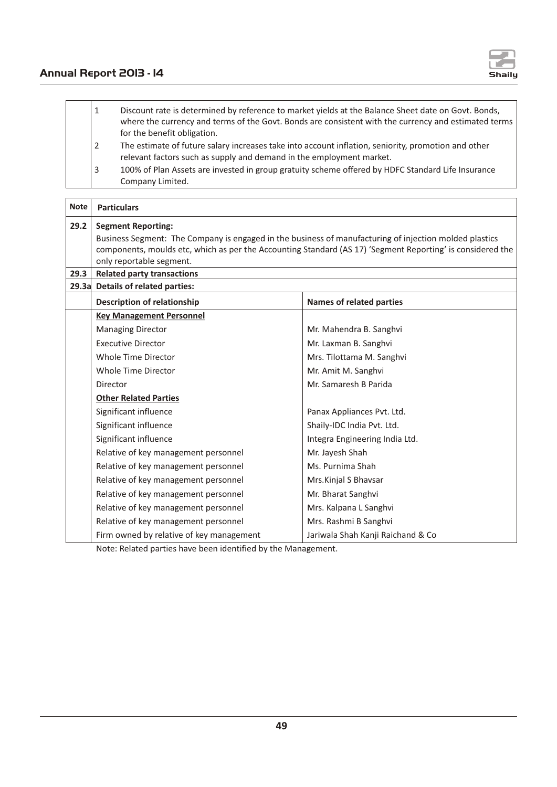# **Annual Report 2013 - 14 Shaily Annual Report 2013 - 14 Shaily**



| 1              | Discount rate is determined by reference to market yields at the Balance Sheet date on Govt. Bonds,<br>where the currency and terms of the Govt. Bonds are consistent with the currency and estimated terms<br>for the benefit obligation. |
|----------------|--------------------------------------------------------------------------------------------------------------------------------------------------------------------------------------------------------------------------------------------|
| $\overline{2}$ | The estimate of future salary increases take into account inflation, seniority, promotion and other<br>relevant factors such as supply and demand in the employment market.                                                                |
| 3              | 100% of Plan Assets are invested in group gratuity scheme offered by HDFC Standard Life Insurance<br>Company Limited.                                                                                                                      |

| <b>Particulars</b>                                                                                     |                                                                                                                                                                                                                                                         |
|--------------------------------------------------------------------------------------------------------|---------------------------------------------------------------------------------------------------------------------------------------------------------------------------------------------------------------------------------------------------------|
| <b>Segment Reporting:</b>                                                                              |                                                                                                                                                                                                                                                         |
| Business Segment: The Company is engaged in the business of manufacturing of injection molded plastics |                                                                                                                                                                                                                                                         |
|                                                                                                        |                                                                                                                                                                                                                                                         |
|                                                                                                        |                                                                                                                                                                                                                                                         |
|                                                                                                        |                                                                                                                                                                                                                                                         |
|                                                                                                        |                                                                                                                                                                                                                                                         |
| <b>Description of relationship</b>                                                                     | <b>Names of related parties</b>                                                                                                                                                                                                                         |
| <b>Key Management Personnel</b>                                                                        |                                                                                                                                                                                                                                                         |
| <b>Managing Director</b>                                                                               | Mr. Mahendra B. Sanghvi                                                                                                                                                                                                                                 |
| <b>Executive Director</b>                                                                              | Mr. Laxman B. Sanghvi                                                                                                                                                                                                                                   |
| Whole Time Director                                                                                    | Mrs. Tilottama M. Sanghvi                                                                                                                                                                                                                               |
| Whole Time Director                                                                                    | Mr. Amit M. Sanghvi                                                                                                                                                                                                                                     |
| Director                                                                                               | Mr. Samaresh B Parida                                                                                                                                                                                                                                   |
| <b>Other Related Parties</b>                                                                           |                                                                                                                                                                                                                                                         |
| Significant influence                                                                                  | Panax Appliances Pvt. Ltd.                                                                                                                                                                                                                              |
| Significant influence                                                                                  | Shaily-IDC India Pvt. Ltd.                                                                                                                                                                                                                              |
| Significant influence                                                                                  | Integra Engineering India Ltd.                                                                                                                                                                                                                          |
| Relative of key management personnel                                                                   | Mr. Jayesh Shah                                                                                                                                                                                                                                         |
| Relative of key management personnel                                                                   | Ms. Purnima Shah                                                                                                                                                                                                                                        |
| Relative of key management personnel                                                                   | Mrs.Kinjal S Bhavsar                                                                                                                                                                                                                                    |
| Relative of key management personnel                                                                   | Mr. Bharat Sanghvi                                                                                                                                                                                                                                      |
| Relative of key management personnel                                                                   | Mrs. Kalpana L Sanghvi                                                                                                                                                                                                                                  |
| Relative of key management personnel                                                                   | Mrs. Rashmi B Sanghvi                                                                                                                                                                                                                                   |
| Firm owned by relative of key management                                                               | Jariwala Shah Kanji Raichand & Co                                                                                                                                                                                                                       |
|                                                                                                        | components, moulds etc, which as per the Accounting Standard (AS 17) 'Segment Reporting' is considered the<br>only reportable segment.<br><b>Related party transactions</b><br>29.3a Details of related parties:<br>ALL BLUE LILL I LILL IN THE LILL AT |

Note: Related parties have been identified by the Management.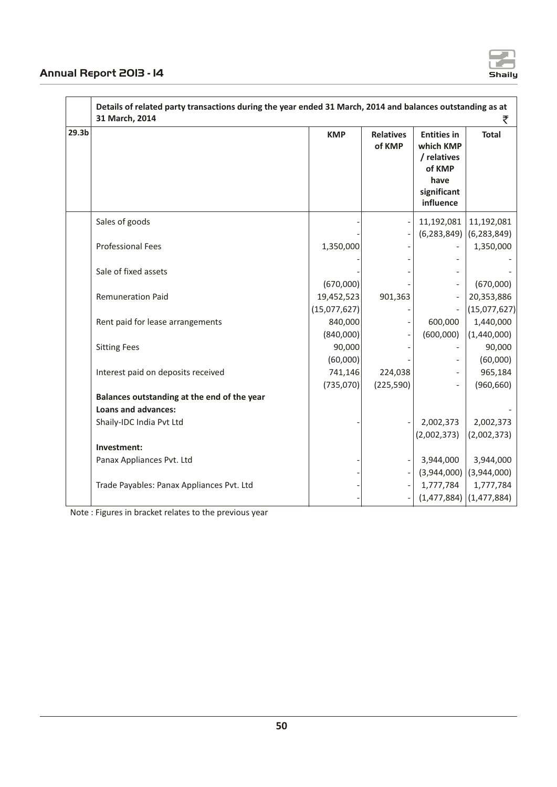

|                   | Details of related party transactions during the year ended 31 March, 2014 and balances outstanding as at<br>31 March, 2014 |              |                            |                                                                                              | ₹             |
|-------------------|-----------------------------------------------------------------------------------------------------------------------------|--------------|----------------------------|----------------------------------------------------------------------------------------------|---------------|
| 29.3 <sub>b</sub> |                                                                                                                             | <b>KMP</b>   | <b>Relatives</b><br>of KMP | <b>Entities in</b><br>which KMP<br>/ relatives<br>of KMP<br>have<br>significant<br>influence | <b>Total</b>  |
|                   | Sales of goods                                                                                                              |              |                            | 11,192,081                                                                                   | 11,192,081    |
|                   |                                                                                                                             |              |                            | (6, 283, 849)                                                                                | (6, 283, 849) |
|                   | <b>Professional Fees</b>                                                                                                    | 1,350,000    |                            |                                                                                              | 1,350,000     |
|                   |                                                                                                                             |              |                            |                                                                                              |               |
|                   | Sale of fixed assets                                                                                                        |              |                            |                                                                                              |               |
|                   |                                                                                                                             | (670,000)    |                            |                                                                                              | (670,000)     |
|                   | <b>Remuneration Paid</b>                                                                                                    | 19,452,523   | 901,363                    |                                                                                              | 20,353,886    |
|                   |                                                                                                                             | (15,077,627) |                            |                                                                                              | (15,077,627)  |
|                   | Rent paid for lease arrangements                                                                                            | 840,000      |                            | 600,000                                                                                      | 1,440,000     |
|                   |                                                                                                                             | (840,000)    |                            | (600,000)                                                                                    | (1,440,000)   |
|                   | <b>Sitting Fees</b>                                                                                                         | 90,000       |                            |                                                                                              | 90,000        |
|                   |                                                                                                                             | (60,000)     |                            |                                                                                              | (60,000)      |
|                   | Interest paid on deposits received                                                                                          | 741,146      | 224,038                    |                                                                                              | 965,184       |
|                   |                                                                                                                             | (735,070)    | (225, 590)                 |                                                                                              | (960, 660)    |
|                   | Balances outstanding at the end of the year                                                                                 |              |                            |                                                                                              |               |
|                   | <b>Loans and advances:</b>                                                                                                  |              |                            |                                                                                              |               |
|                   | Shaily-IDC India Pvt Ltd                                                                                                    |              |                            | 2,002,373                                                                                    | 2,002,373     |
|                   |                                                                                                                             |              |                            | (2,002,373)                                                                                  | (2,002,373)   |
|                   | Investment:                                                                                                                 |              |                            |                                                                                              |               |
|                   | Panax Appliances Pvt. Ltd                                                                                                   |              |                            | 3,944,000                                                                                    | 3,944,000     |
|                   |                                                                                                                             |              |                            | (3,944,000)                                                                                  | (3,944,000)   |
|                   | Trade Payables: Panax Appliances Pvt. Ltd                                                                                   |              |                            | 1,777,784                                                                                    | 1,777,784     |
|                   |                                                                                                                             |              |                            | (1,477,884)                                                                                  | (1,477,884)   |

Note : Figures in bracket relates to the previous year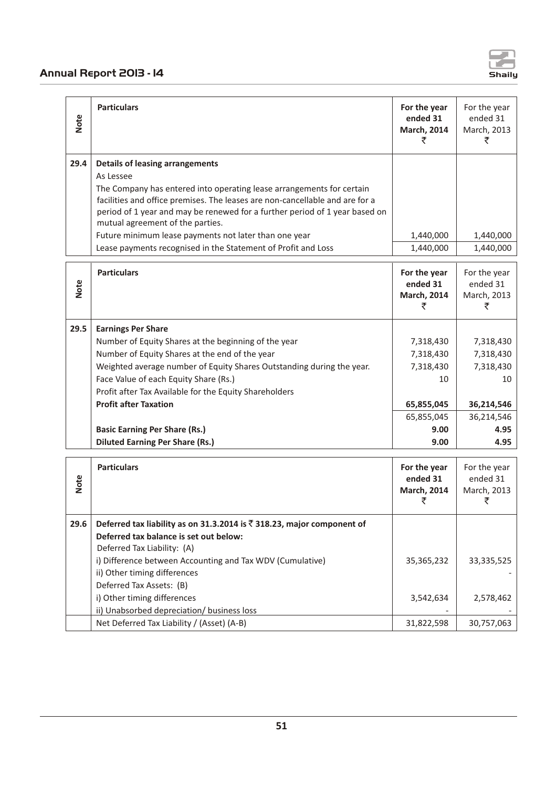

| <b>Note</b>     | <b>Particulars</b>                                                                                                                                                                                                                                                       | For the year<br>ended 31<br><b>March, 2014</b><br>₹ | For the year<br>ended 31<br>March, 2013<br>₹ |
|-----------------|--------------------------------------------------------------------------------------------------------------------------------------------------------------------------------------------------------------------------------------------------------------------------|-----------------------------------------------------|----------------------------------------------|
| 29.4            | <b>Details of leasing arrangements</b>                                                                                                                                                                                                                                   |                                                     |                                              |
|                 | As Lessee                                                                                                                                                                                                                                                                |                                                     |                                              |
|                 | The Company has entered into operating lease arrangements for certain<br>facilities and office premises. The leases are non-cancellable and are for a<br>period of 1 year and may be renewed for a further period of 1 year based on<br>mutual agreement of the parties. |                                                     |                                              |
|                 | Future minimum lease payments not later than one year                                                                                                                                                                                                                    | 1,440,000                                           | 1,440,000                                    |
|                 | Lease payments recognised in the Statement of Profit and Loss                                                                                                                                                                                                            | 1,440,000                                           | 1,440,000                                    |
|                 |                                                                                                                                                                                                                                                                          |                                                     |                                              |
| <b>Note</b>     | <b>Particulars</b>                                                                                                                                                                                                                                                       | For the year<br>ended 31<br><b>March, 2014</b>      | For the year<br>ended 31<br>March, 2013      |
|                 |                                                                                                                                                                                                                                                                          | ₹                                                   | ₹                                            |
| 29.5            | <b>Earnings Per Share</b>                                                                                                                                                                                                                                                |                                                     |                                              |
|                 | Number of Equity Shares at the beginning of the year                                                                                                                                                                                                                     | 7,318,430                                           | 7,318,430                                    |
|                 | Number of Equity Shares at the end of the year                                                                                                                                                                                                                           | 7,318,430                                           | 7,318,430                                    |
|                 | Weighted average number of Equity Shares Outstanding during the year.                                                                                                                                                                                                    | 7,318,430                                           | 7,318,430                                    |
|                 | Face Value of each Equity Share (Rs.)                                                                                                                                                                                                                                    | $10 \,$                                             | 10                                           |
|                 | Profit after Tax Available for the Equity Shareholders                                                                                                                                                                                                                   |                                                     |                                              |
|                 | <b>Profit after Taxation</b>                                                                                                                                                                                                                                             | 65,855,045                                          | 36,214,546                                   |
|                 |                                                                                                                                                                                                                                                                          | 65,855,045                                          | 36,214,546                                   |
|                 | <b>Basic Earning Per Share (Rs.)</b>                                                                                                                                                                                                                                     | 9.00                                                | 4.95                                         |
|                 | <b>Diluted Earning Per Share (Rs.)</b>                                                                                                                                                                                                                                   | 9.00                                                | 4.95                                         |
|                 |                                                                                                                                                                                                                                                                          |                                                     |                                              |
|                 | <b>Particulars</b>                                                                                                                                                                                                                                                       | For the year                                        | For the year                                 |
| <b>Note</b>     |                                                                                                                                                                                                                                                                          | ended 31<br><b>March, 2014</b>                      | ended 31<br>March, 2013                      |
|                 |                                                                                                                                                                                                                                                                          | ₹                                                   | ₹                                            |
| 20 <sub>6</sub> | Deferred tay liability as an 31,3,2014 is $\overline{2}$ 318,23, major component of                                                                                                                                                                                      |                                                     |                                              |

| 29.6 | Deferred tax liability as on 31.3.2014 is $\bar{z}$ 318.23, major component of |            |            |
|------|--------------------------------------------------------------------------------|------------|------------|
|      | Deferred tax balance is set out below:                                         |            |            |
|      | Deferred Tax Liability: (A)                                                    |            |            |
|      | i) Difference between Accounting and Tax WDV (Cumulative)                      | 35,365,232 | 33,335,525 |
|      | ii) Other timing differences                                                   |            |            |
|      | Deferred Tax Assets: (B)                                                       |            |            |
|      | i) Other timing differences                                                    | 3,542,634  | 2,578,462  |
|      | ii) Unabsorbed depreciation/ business loss                                     |            |            |
|      | Net Deferred Tax Liability / (Asset) (A-B)                                     | 31,822,598 | 30,757,063 |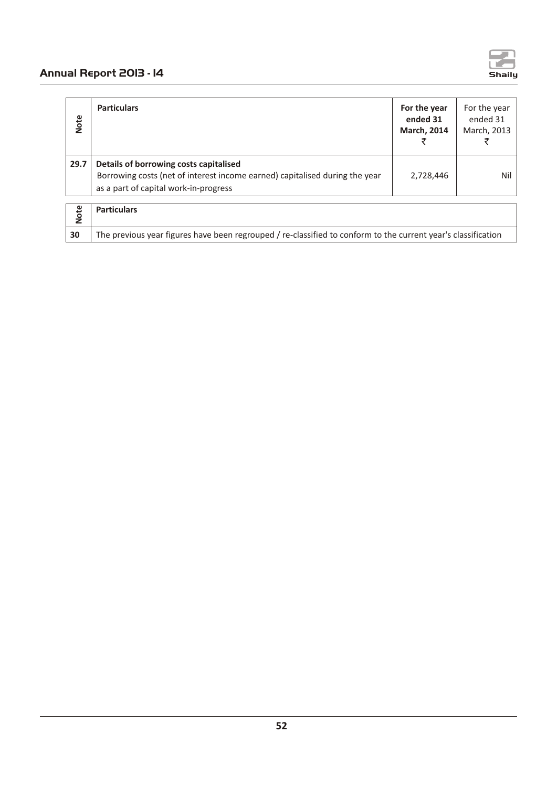

| <b>Note</b> | <b>Particulars</b>                                                                                                                                             | For the year<br>ended 31<br><b>March, 2014</b> | For the year<br>ended 31<br>March, 2013 |
|-------------|----------------------------------------------------------------------------------------------------------------------------------------------------------------|------------------------------------------------|-----------------------------------------|
| 29.7        | Details of borrowing costs capitalised<br>Borrowing costs (net of interest income earned) capitalised during the year<br>as a part of capital work-in-progress | 2,728,446                                      | Nil                                     |
| <b>Note</b> | <b>Particulars</b>                                                                                                                                             |                                                |                                         |

**30** The previous year figures have been regrouped / re-classified to conform to the current year's classification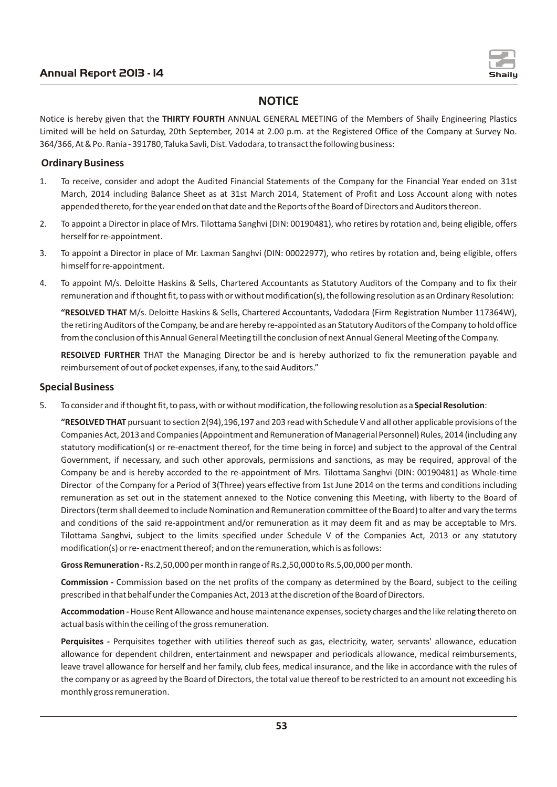

## **NOTICE**

Notice is hereby given that the **THIRTY FOURTH** ANNUAL GENERAL MEETING of the Members of Shaily Engineering Plastics Limited will be held on Saturday, 20th September, 2014 at 2.00 p.m. at the Registered Office of the Company at Survey No. 364/366, At & Po. Rania - 391780, Taluka Savli, Dist. Vadodara, to transact the following business:

#### **Ordinary Business**

- 1. To receive, consider and adopt the Audited Financial Statements of the Company for the Financial Year ended on 31st March, 2014 including Balance Sheet as at 31st March 2014, Statement of Profit and Loss Account along with notes appended thereto, for the year ended on that date and the Reports of the Board of Directors and Auditors thereon.
- 2. To appoint a Director in place of Mrs. Tilottama Sanghvi (DIN: 00190481), who retires by rotation and, being eligible, offers herself for re-appointment.
- 3. To appoint a Director in place of Mr. Laxman Sanghvi (DIN: 00022977), who retires by rotation and, being eligible, offers himself for re-appointment.
- 4. To appoint M/s. Deloitte Haskins & Sells, Chartered Accountants as Statutory Auditors of the Company and to fix their remuneration and if thought fit, to pass with or without modification(s), the following resolution as an Ordinary Resolution:

**"RESOLVED THAT** M/s. Deloitte Haskins & Sells, Chartered Accountants, Vadodara (Firm Registration Number 117364W), the retiring Auditors of the Company, be and are hereby re-appointed as an Statutory Auditors of the Company to hold office from the conclusion of this Annual General Meeting till the conclusion of next Annual General Meeting of the Company.

**RESOLVED FURTHER** THAT the Managing Director be and is hereby authorized to fix the remuneration payable and reimbursement of out of pocket expenses, if any, to the said Auditors."

#### **Special Business**

5. To consider and if thought fit, to pass, with or without modification, the following resolution as a **Special Resolution**:

**"RESOLVED THAT** pursuant to section 2(94),196,197 and 203 read with Schedule V and all other applicable provisions of the Companies Act, 2013 and Companies (Appointment and Remuneration of Managerial Personnel) Rules, 2014 (including any statutory modification(s) or re-enactment thereof, for the time being in force) and subject to the approval of the Central Government, if necessary, and such other approvals, permissions and sanctions, as may be required, approval of the Company be and is hereby accorded to the re-appointment of Mrs. Tilottama Sanghvi (DIN: 00190481) as Whole-time Director of the Company for a Period of 3(Three) years effective from 1st June 2014 on the terms and conditions including remuneration as set out in the statement annexed to the Notice convening this Meeting, with liberty to the Board of Directors (term shall deemed to include Nomination and Remuneration committee of the Board) to alter and vary the terms and conditions of the said re-appointment and/or remuneration as it may deem fit and as may be acceptable to Mrs. Tilottama Sanghvi, subject to the limits specified under Schedule V of the Companies Act, 2013 or any statutory modification(s) or re- enactment thereof; and on the remuneration, which is as follows:

**Gross Remuneration -** Rs.2,50,000 per month in range of Rs.2,50,000 to Rs.5,00,000 per month.

**Commission -** Commission based on the net profits of the company as determined by the Board, subject to the ceiling prescribed in that behalf under the Companies Act, 2013 at the discretion of the Board of Directors.

**Accommodation -** House Rent Allowance and house maintenance expenses, society charges and the like relating thereto on actual basis within the ceiling of the gross remuneration.

**Perquisites -** Perquisites together with utilities thereof such as gas, electricity, water, servants' allowance, education allowance for dependent children, entertainment and newspaper and periodicals allowance, medical reimbursements, leave travel allowance for herself and her family, club fees, medical insurance, and the like in accordance with the rules of the company or as agreed by the Board of Directors, the total value thereof to be restricted to an amount not exceeding his monthly gross remuneration.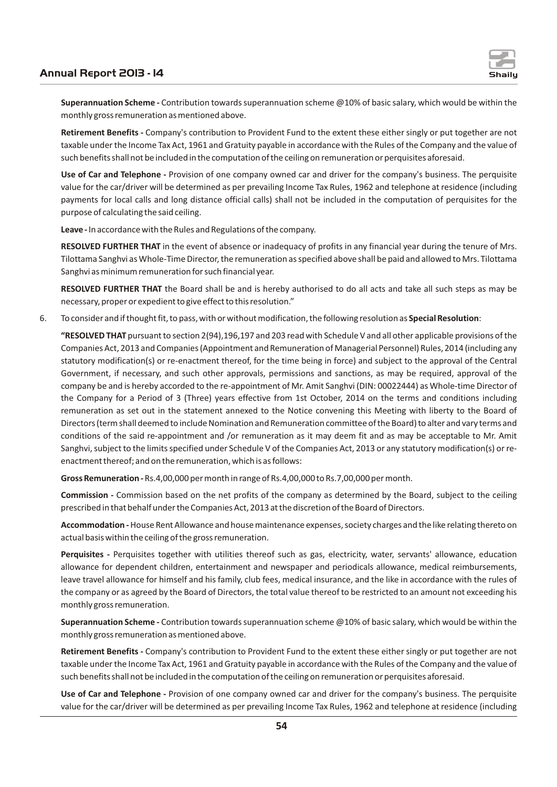

**Superannuation Scheme -** Contribution towards superannuation scheme @10% of basic salary, which would be within the monthly gross remuneration as mentioned above.

**Retirement Benefits -** Company's contribution to Provident Fund to the extent these either singly or put together are not taxable under the Income Tax Act, 1961 and Gratuity payable in accordance with the Rules of the Company and the value of such benefits shall not be included in the computation of the ceiling on remuneration or perquisites aforesaid.

**Use of Car and Telephone -** Provision of one company owned car and driver for the company's business. The perquisite value for the car/driver will be determined as per prevailing Income Tax Rules, 1962 and telephone at residence (including payments for local calls and long distance official calls) shall not be included in the computation of perquisites for the purpose of calculating the said ceiling.

**Leave -**In accordance with the Rules and Regulations of the company.

**RESOLVED FURTHER THAT** in the event of absence or inadequacy of profits in any financial year during the tenure of Mrs. Tilottama Sanghvi as Whole-Time Director, the remuneration as specified above shall be paid and allowed to Mrs. Tilottama Sanghvi as minimum remuneration for such financial year.

**RESOLVED FURTHER THAT** the Board shall be and is hereby authorised to do all acts and take all such steps as may be necessary, proper or expedient to give effect to this resolution."

6. To consider and if thought fit, to pass, with or without modification, the following resolution as **Special Resolution**:

**"RESOLVED THAT** pursuant to section 2(94),196,197 and 203 read with Schedule V and all other applicable provisions of the Companies Act, 2013 and Companies (Appointment and Remuneration of Managerial Personnel) Rules, 2014 (including any statutory modification(s) or re-enactment thereof, for the time being in force) and subject to the approval of the Central Government, if necessary, and such other approvals, permissions and sanctions, as may be required, approval of the company be and is hereby accorded to the re-appointment of Mr. Amit Sanghvi (DIN: 00022444) as Whole-time Director of the Company for a Period of 3 (Three) years effective from 1st October, 2014 on the terms and conditions including remuneration as set out in the statement annexed to the Notice convening this Meeting with liberty to the Board of Directors (term shall deemed to include Nomination and Remuneration committee of the Board) to alter and vary terms and conditions of the said re-appointment and /or remuneration as it may deem fit and as may be acceptable to Mr. Amit Sanghvi, subject to the limits specified under Schedule V of the Companies Act, 2013 or any statutory modification(s) or reenactment thereof; and on the remuneration, which is as follows:

**Gross Remuneration -**Rs.4,00,000 per month in range of Rs.4,00,000 to Rs.7,00,000 per month.

**Commission -** Commission based on the net profits of the company as determined by the Board, subject to the ceiling prescribed in that behalf under the Companies Act, 2013 at the discretion of the Board of Directors.

**Accommodation -** House Rent Allowance and house maintenance expenses, society charges and the like relating thereto on actual basis within the ceiling of the gross remuneration.

**Perquisites -** Perquisites together with utilities thereof such as gas, electricity, water, servants' allowance, education allowance for dependent children, entertainment and newspaper and periodicals allowance, medical reimbursements, leave travel allowance for himself and his family, club fees, medical insurance, and the like in accordance with the rules of the company or as agreed by the Board of Directors, the total value thereof to be restricted to an amount not exceeding his monthly gross remuneration.

**Superannuation Scheme -** Contribution towards superannuation scheme @10% of basic salary, which would be within the monthly gross remuneration as mentioned above.

**Retirement Benefits -** Company's contribution to Provident Fund to the extent these either singly or put together are not taxable under the Income Tax Act, 1961 and Gratuity payable in accordance with the Rules of the Company and the value of such benefits shall not be included in the computation of the ceiling on remuneration or perquisites aforesaid.

**Use of Car and Telephone -** Provision of one company owned car and driver for the company's business. The perquisite value for the car/driver will be determined as per prevailing Income Tax Rules, 1962 and telephone at residence (including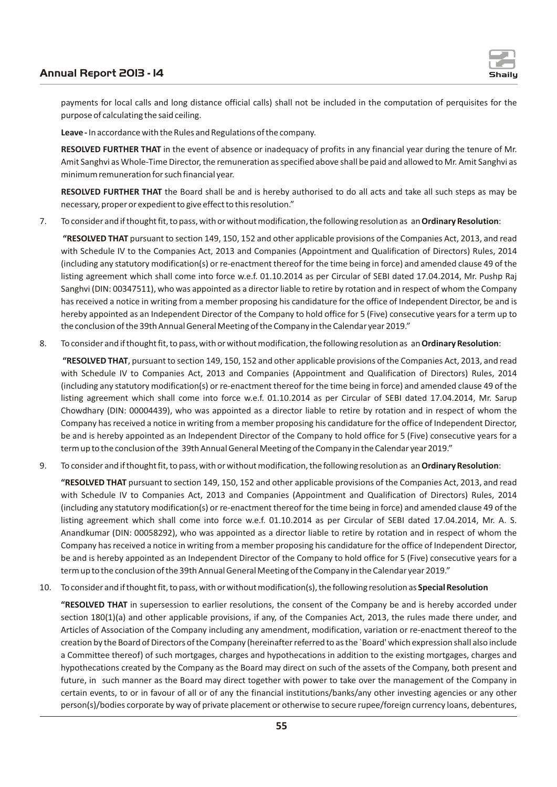

payments for local calls and long distance official calls) shall not be included in the computation of perquisites for the purpose of calculating the said ceiling.

**Leave -**In accordance with the Rules and Regulations of the company.

**RESOLVED FURTHER THAT** in the event of absence or inadequacy of profits in any financial year during the tenure of Mr. Amit Sanghvi as Whole-Time Director, the remuneration as specified above shall be paid and allowed to Mr. Amit Sanghvi as minimum remuneration for such financial year.

**RESOLVED FURTHER THAT** the Board shall be and is hereby authorised to do all acts and take all such steps as may be necessary, proper or expedient to give effect to this resolution."

7. To consider and if thought fit, to pass, with or without modification, the following resolution as an **Ordinary Resolution**:

**"RESOLVED THAT** pursuant to section 149, 150, 152 and other applicable provisions of the Companies Act, 2013, and read with Schedule IV to the Companies Act, 2013 and Companies (Appointment and Qualification of Directors) Rules, 2014 (including any statutory modification(s) or re-enactment thereof for the time being in force) and amended clause 49 of the listing agreement which shall come into force w.e.f. 01.10.2014 as per Circular of SEBI dated 17.04.2014, Mr. Pushp Raj Sanghvi (DIN: 00347511), who was appointed as a director liable to retire by rotation and in respect of whom the Company has received a notice in writing from a member proposing his candidature for the office of Independent Director, be and is hereby appointed as an Independent Director of the Company to hold office for 5 (Five) consecutive years for a term up to the conclusion of the 39th Annual General Meeting of the Company in the Calendar year 2019."

8. To consider and if thought fit, to pass, with or without modification, the following resolution as an **Ordinary Resolution**:

**"RESOLVED THAT**, pursuant to section 149, 150, 152 and other applicable provisions of the Companies Act, 2013, and read with Schedule IV to Companies Act, 2013 and Companies (Appointment and Qualification of Directors) Rules, 2014 (including any statutory modification(s) or re-enactment thereof for the time being in force) and amended clause 49 of the listing agreement which shall come into force w.e.f. 01.10.2014 as per Circular of SEBI dated 17.04.2014, Mr. Sarup Chowdhary (DIN: 00004439), who was appointed as a director liable to retire by rotation and in respect of whom the Company has received a notice in writing from a member proposing his candidature for the office of Independent Director, be and is hereby appointed as an Independent Director of the Company to hold office for 5 (Five) consecutive years for a term up to the conclusion of the 39th Annual General Meeting of the Company in the Calendar year 2019."

9. To consider and if thought fit, to pass, with or without modification, the following resolution as an **Ordinary Resolution**:

**"RESOLVED THAT** pursuant to section 149, 150, 152 and other applicable provisions of the Companies Act, 2013, and read with Schedule IV to Companies Act, 2013 and Companies (Appointment and Qualification of Directors) Rules, 2014 (including any statutory modification(s) or re-enactment thereof for the time being in force) and amended clause 49 of the listing agreement which shall come into force w.e.f. 01.10.2014 as per Circular of SEBI dated 17.04.2014, Mr. A. S. Anandkumar (DIN: 00058292), who was appointed as a director liable to retire by rotation and in respect of whom the Company has received a notice in writing from a member proposing his candidature for the office of Independent Director, be and is hereby appointed as an Independent Director of the Company to hold office for 5 (Five) consecutive years for a term up to the conclusion of the 39th Annual General Meeting of the Company in the Calendar year 2019."

10. To consider and if thought fit, to pass, with or without modification(s), the following resolution as **Special Resolution**

**"RESOLVED THAT** in supersession to earlier resolutions, the consent of the Company be and is hereby accorded under section 180(1)(a) and other applicable provisions, if any, of the Companies Act, 2013, the rules made there under, and Articles of Association of the Company including any amendment, modification, variation or re-enactment thereof to the creation by the Board of Directors of the Company (hereinafter referred to as the `Board' which expression shall also include a Committee thereof) of such mortgages, charges and hypothecations in addition to the existing mortgages, charges and hypothecations created by the Company as the Board may direct on such of the assets of the Company, both present and future, in such manner as the Board may direct together with power to take over the management of the Company in certain events, to or in favour of all or of any the financial institutions/banks/any other investing agencies or any other person(s)/bodies corporate by way of private placement or otherwise to secure rupee/foreign currency loans, debentures,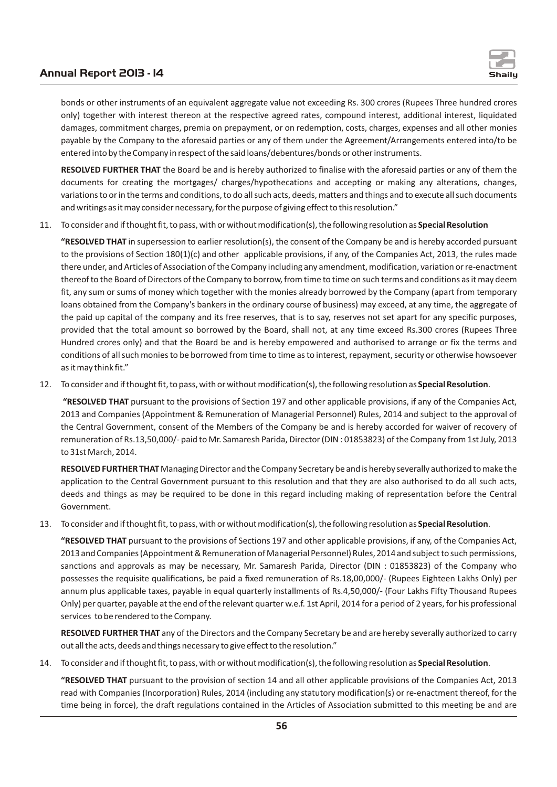bonds or other instruments of an equivalent aggregate value not exceeding Rs. 300 crores (Rupees Three hundred crores only) together with interest thereon at the respective agreed rates, compound interest, additional interest, liquidated damages, commitment charges, premia on prepayment, or on redemption, costs, charges, expenses and all other monies payable by the Company to the aforesaid parties or any of them under the Agreement/Arrangements entered into/to be entered into by the Company in respect of the said loans/debentures/bonds or other instruments.

**RESOLVED FURTHER THAT** the Board be and is hereby authorized to finalise with the aforesaid parties or any of them the documents for creating the mortgages/ charges/hypothecations and accepting or making any alterations, changes, variations to or in the terms and conditions, to do all such acts, deeds, matters and things and to execute all such documents and writings as it may consider necessary, for the purpose of giving effect to this resolution."

11. To consider and if thought fit, to pass, with or without modification(s), the following resolution as **Special Resolution**

**"RESOLVED THAT** in supersession to earlier resolution(s), the consent of the Company be and is hereby accorded pursuant to the provisions of Section 180(1)(c) and other applicable provisions, if any, of the Companies Act, 2013, the rules made there under, and Articles of Association of the Company including any amendment, modification, variation or re-enactment thereof to the Board of Directors of the Company to borrow, from time to time on such terms and conditions as it may deem fit, any sum or sums of money which together with the monies already borrowed by the Company (apart from temporary loans obtained from the Company's bankers in the ordinary course of business) may exceed, at any time, the aggregate of the paid up capital of the company and its free reserves, that is to say, reserves not set apart for any specific purposes, provided that the total amount so borrowed by the Board, shall not, at any time exceed Rs.300 crores (Rupees Three Hundred crores only) and that the Board be and is hereby empowered and authorised to arrange or fix the terms and conditions of all such monies to be borrowed from time to time as to interest, repayment, security or otherwise howsoever as it may think fit."

12. To consider and if thought fit, to pass, with or without modification(s), the following resolution as **Special Resolution**.

**"RESOLVED THAT** pursuant to the provisions of Section 197 and other applicable provisions, if any of the Companies Act, 2013 and Companies (Appointment & Remuneration of Managerial Personnel) Rules, 2014 and subject to the approval of the Central Government, consent of the Members of the Company be and is hereby accorded for waiver of recovery of remuneration of Rs.13,50,000/- paid to Mr. Samaresh Parida, Director (DIN : 01853823) of the Company from 1st July, 2013 to 31st March, 2014.

**RESOLVED FURTHER THAT**Managing Director and the Company Secretary be and is hereby severally authorized to make the application to the Central Government pursuant to this resolution and that they are also authorised to do all such acts, deeds and things as may be required to be done in this regard including making of representation before the Central Government.

13. To consider and if thought fit, to pass, with or without modification(s), the following resolution as **Special Resolution**.

**"RESOLVED THAT** pursuant to the provisions of Sections 197 and other applicable provisions, if any, of the Companies Act, 2013 and Companies (Appointment & Remuneration of Managerial Personnel) Rules, 2014 and subject to such permissions, sanctions and approvals as may be necessary, Mr. Samaresh Parida, Director (DIN: 01853823) of the Company who possesses the requisite qualifications, be paid a fixed remuneration of Rs.18,00,000/- (Rupees Eighteen Lakhs Only) per annum plus applicable taxes, payable in equal quarterly installments of Rs.4,50,000/- (Four Lakhs Fifty Thousand Rupees Only) per quarter, payable at the end of the relevant quarter w.e.f. 1st April, 2014 for a period of 2 years, for his professional services to be rendered to the Company.

**RESOLVED FURTHER THAT** any of the Directors and the Company Secretary be and are hereby severally authorized to carry out all the acts, deeds and things necessary to give effect to the resolution."

14. To consider and if thought fit, to pass, with or without modification(s), the following resolution as **Special Resolution**.

**"RESOLVED THAT** pursuant to the provision of section 14 and all other applicable provisions of the Companies Act, 2013 read with Companies (Incorporation) Rules, 2014 (including any statutory modification(s) or re-enactment thereof, for the time being in force), the draft regulations contained in the Articles of Association submitted to this meeting be and are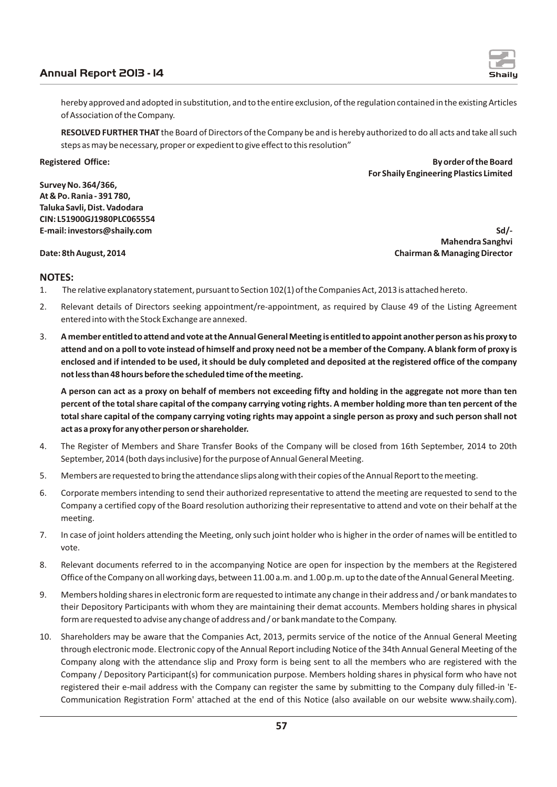

hereby approved and adopted in substitution, and to the entire exclusion, of the regulation contained in the existing Articles of Association of the Company.

**RESOLVED FURTHER THAT** the Board of Directors of the Company be and is hereby authorized to do all acts and take all such steps as may be necessary, proper or expedient to give effect to this resolution"

**Survey No. 364/366, At & Po. Rania - 391 780, Taluka Savli, Dist. Vadodara CIN: L51900GJ1980PLC065554 E-mail: investors@shaily.com Sd/-**

**Registered Office: By order of the Board For Shaily Engineering Plastics Limited**

**Mahendra Sanghvi Date: 8th August, 2014 Chairman & Managing Director**

#### **NOTES:**

- 1. The relative explanatory statement, pursuant to Section 102(1) of the Companies Act, 2013 is attached hereto.
- 2. Relevant details of Directors seeking appointment/re-appointment, as required by Clause 49 of the Listing Agreement entered into with the Stock Exchange are annexed.
- 3. **A member entitled to attend and vote at the Annual General Meeting is entitled to appoint another person as his proxy to attend and on a poll to vote instead of himself and proxy need not be a member of the Company. A blank form of proxy is enclosed and if intended to be used, it should be duly completed and deposited at the registered office of the company not less than 48 hours before the scheduled time of the meeting.**

**A person can act as a proxy on behalf of members not exceeding fifty and holding in the aggregate not more than ten percent of the total share capital of the company carrying voting rights. A member holding more than ten percent of the total share capital of the company carrying voting rights may appoint a single person as proxy and such person shall not act as a proxy for any other person or shareholder.**

- 4. The Register of Members and Share Transfer Books of the Company will be closed from 16th September, 2014 to 20th September, 2014 (both days inclusive) for the purpose of Annual General Meeting.
- 5. Members are requested to bring the attendance slips along with their copies of the Annual Report to the meeting.
- 6. Corporate members intending to send their authorized representative to attend the meeting are requested to send to the Company a certified copy of the Board resolution authorizing their representative to attend and vote on their behalf at the meeting.
- 7. In case of joint holders attending the Meeting, only such joint holder who is higher in the order of names will be entitled to vote.
- 8. Relevant documents referred to in the accompanying Notice are open for inspection by the members at the Registered Office of the Company on all working days, between 11.00 a.m. and 1.00 p.m. up to the date of the Annual General Meeting.
- 9. Members holding shares in electronic form are requested to intimate any change in their address and / or bank mandates to their Depository Participants with whom they are maintaining their demat accounts. Members holding shares in physical form are requested to advise any change of address and / or bank mandate to the Company.
- 10. Shareholders may be aware that the Companies Act, 2013, permits service of the notice of the Annual General Meeting through electronic mode. Electronic copy of the Annual Report including Notice of the 34th Annual General Meeting of the Company along with the attendance slip and Proxy form is being sent to all the members who are registered with the Company / Depository Participant(s) for communication purpose. Members holding shares in physical form who have not registered their e-mail address with the Company can register the same by submitting to the Company duly filled-in 'E-Communication Registration Form' attached at the end of this Notice (also available on our website www.shaily.com).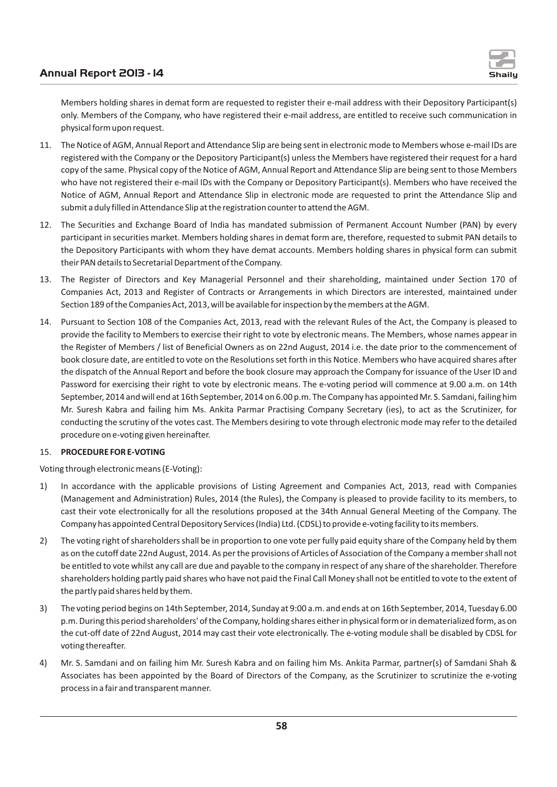

Members holding shares in demat form are requested to register their e-mail address with their Depository Participant(s) only. Members of the Company, who have registered their e-mail address, are entitled to receive such communication in physical form upon request.

- 11. The Notice of AGM, Annual Report and Attendance Slip are being sent in electronic mode to Members whose e-mail IDs are registered with the Company or the Depository Participant(s) unless the Members have registered their request for a hard copy of the same. Physical copy of the Notice of AGM, Annual Report and Attendance Slip are being sent to those Members who have not registered their e-mail IDs with the Company or Depository Participant(s). Members who have received the Notice of AGM, Annual Report and Attendance Slip in electronic mode are requested to print the Attendance Slip and submit a duly filled in Attendance Slip at the registration counter to attend the AGM.
- 12. The Securities and Exchange Board of India has mandated submission of Permanent Account Number (PAN) by every participant in securities market. Members holding shares in demat form are, therefore, requested to submit PAN details to the Depository Participants with whom they have demat accounts. Members holding shares in physical form can submit their PAN details to Secretarial Department of the Company.
- 13. The Register of Directors and Key Managerial Personnel and their shareholding, maintained under Section 170 of Companies Act, 2013 and Register of Contracts or Arrangements in which Directors are interested, maintained under Section 189 of the Companies Act, 2013, will be available for inspection by the members at the AGM.
- 14. Pursuant to Section 108 of the Companies Act, 2013, read with the relevant Rules of the Act, the Company is pleased to provide the facility to Members to exercise their right to vote by electronic means. The Members, whose names appear in the Register of Members / list of Beneficial Owners as on 22nd August, 2014 i.e. the date prior to the commencement of book closure date, are entitled to vote on the Resolutions set forth in this Notice. Members who have acquired shares after the dispatch of the Annual Report and before the book closure may approach the Company for issuance of the User ID and Password for exercising their right to vote by electronic means. The e-voting period will commence at 9.00 a.m. on 14th September, 2014 and will end at 16th September, 2014 on 6.00 p.m. The Company has appointed Mr. S. Samdani, failing him Mr. Suresh Kabra and failing him Ms. Ankita Parmar Practising Company Secretary (ies), to act as the Scrutinizer, for conducting the scrutiny of the votes cast. The Members desiring to vote through electronic mode may refer to the detailed procedure on e-voting given hereinafter.

#### 15. **PROCEDURE FOR E-VOTING**

Voting through electronic means (E-Voting):

- 1) In accordance with the applicable provisions of Listing Agreement and Companies Act, 2013, read with Companies (Management and Administration) Rules, 2014 (the Rules), the Company is pleased to provide facility to its members, to cast their vote electronically for all the resolutions proposed at the 34th Annual General Meeting of the Company. The Company has appointed Central Depository Services (India) Ltd. (CDSL) to provide e-voting facility to its members.
- 2) The voting right of shareholders shall be in proportion to one vote per fully paid equity share of the Company held by them as on the cutoff date 22nd August, 2014. As per the provisions of Articles of Association of the Company a member shall not be entitled to vote whilst any call are due and payable to the company in respect of any share of the shareholder. Therefore shareholders holding partly paid shares who have not paid the Final Call Money shall not be entitled to vote to the extent of the partly paid shares held by them.
- 3) The voting period begins on 14th September, 2014, Sunday at 9:00 a.m. and ends at on 16th September, 2014, Tuesday 6.00 p.m. During this period shareholders' of the Company, holding shares either in physical form or in dematerialized form, as on the cut-off date of 22nd August, 2014 may cast their vote electronically. The e-voting module shall be disabled by CDSL for voting thereafter.
- 4) Mr. S. Samdani and on failing him Mr. Suresh Kabra and on failing him Ms. Ankita Parmar, partner(s) of Samdani Shah & Associates has been appointed by the Board of Directors of the Company, as the Scrutinizer to scrutinize the e-voting process in a fair and transparent manner.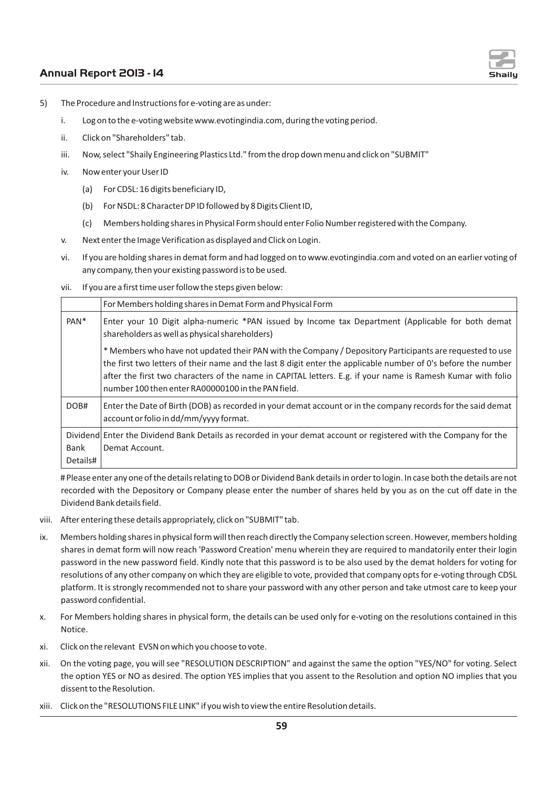

- 5) The Procedure and Instructions for e-voting are as under:
	- i. Log on to the e-voting website www.evotingindia.com, during the voting period.
	- ii. Click on "Shareholders" tab.
	- iii. Now, select "Shaily Engineering Plastics Ltd." from the drop down menu and click on "SUBMIT"
	- iv. Now enter your User ID
		- (a) For CDSL: 16 digits beneficiary ID,
		- (b) For NSDL: 8 Character DP ID followed by 8 Digits Client ID,
		- (c) Members holding shares in Physical Form should enter Folio Number registered with the Company.
	- v. Next enter the Image Verification as displayed and Click on Login.
	- vi. If you are holding shares in demat form and had logged on to www.evotingindia.com and voted on an earlier voting of any company, then your existing password is to be used.
	- vii. If you are a first time user follow the steps given below:

|                  | For Members holding shares in Demat Form and Physical Form                                                                                                                                                                                                                                                                                                                                     |
|------------------|------------------------------------------------------------------------------------------------------------------------------------------------------------------------------------------------------------------------------------------------------------------------------------------------------------------------------------------------------------------------------------------------|
| PAN <sup>*</sup> | Enter your 10 Digit alpha-numeric *PAN issued by Income tax Department (Applicable for both demat<br>shareholders as well as physical shareholders)                                                                                                                                                                                                                                            |
|                  | * Members who have not updated their PAN with the Company / Depository Participants are requested to use<br>the first two letters of their name and the last 8 digit enter the applicable number of 0's before the number<br>after the first two characters of the name in CAPITAL letters. E.g. if your name is Ramesh Kumar with folio<br>number 100 then enter RA00000100 in the PAN field. |
| DOB#             | Enter the Date of Birth (DOB) as recorded in your demat account or in the company records for the said demat<br>account or folio in dd/mm/yyyy format.                                                                                                                                                                                                                                         |
| Bank<br>Details# | Dividend Enter the Dividend Bank Details as recorded in your demat account or registered with the Company for the<br>Demat Account.                                                                                                                                                                                                                                                            |

# Please enter any one of the details relating to DOB or Dividend Bank details in order to login. In case both the details are not recorded with the Depository or Company please enter the number of shares held by you as on the cut off date in the Dividend Bank details field.

- viii. After entering these details appropriately, click on "SUBMIT" tab.
- ix. Members holding shares in physical form will then reach directly the Company selection screen. However, members holding shares in demat form will now reach 'Password Creation' menu wherein they are required to mandatorily enter their login password in the new password field. Kindly note that this password is to be also used by the demat holders for voting for resolutions of any other company on which they are eligible to vote, provided that company opts for e-voting through CDSL platform. It is strongly recommended not to share your password with any other person and take utmost care to keep your password confidential.
- x. For Members holding shares in physical form, the details can be used only for e-voting on the resolutions contained in this Notice.
- xi. Click on the relevant EVSN on which you choose to vote.
- xii. On the voting page, you will see "RESOLUTION DESCRIPTION" and against the same the option "YES/NO" for voting. Select the option YES or NO as desired. The option YES implies that you assent to the Resolution and option NO implies that you dissent to the Resolution.
- xiii. Click on the "RESOLUTIONS FILE LINK" if you wish to view the entire Resolution details.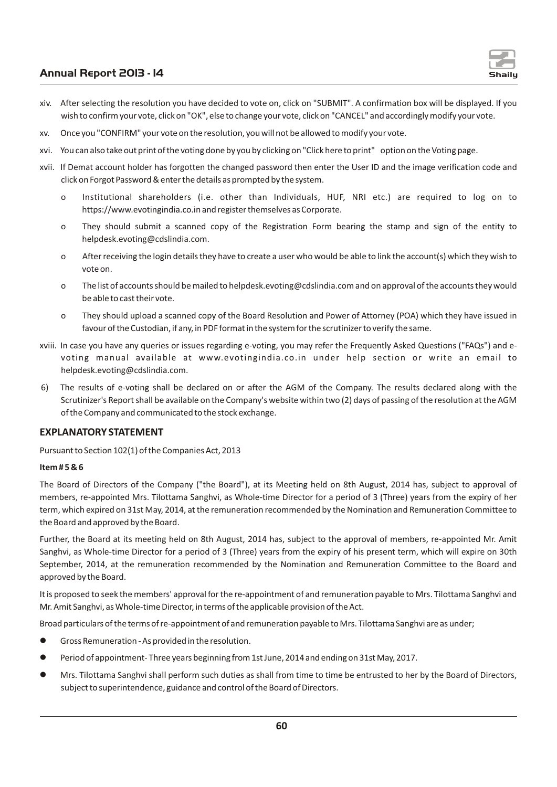

- xiv. After selecting the resolution you have decided to vote on, click on "SUBMIT". A confirmation box will be displayed. If you wish to confirm your vote, click on "OK", else to change your vote, click on "CANCEL" and accordingly modify your vote.
- xv. Once you "CONFIRM" your vote on the resolution, you will not be allowed to modify your vote.
- xvi. You can also take out print of the voting done by you by clicking on "Click here to print" option on the Voting page.
- xvii. If Demat account holder has forgotten the changed password then enter the User ID and the image verification code and click on Forgot Password & enter the details as prompted by the system.
	- o Institutional shareholders (i.e. other than Individuals, HUF, NRI etc.) are required to log on to https://www.evotingindia.co.in and register themselves as Corporate.
	- o They should submit a scanned copy of the Registration Form bearing the stamp and sign of the entity to helpdesk.evoting@cdslindia.com.
	- o After receiving the login details they have to create a user who would be able to link the account(s) which they wish to vote on.
	- o The list of accounts should be mailed to helpdesk.evoting@cdslindia.com and on approval of the accounts they would be able to cast their vote.
	- o They should upload a scanned copy of the Board Resolution and Power of Attorney (POA) which they have issued in favour of the Custodian, if any, in PDF format in the system for the scrutinizer to verify the same.
- xviii. In case you have any queries or issues regarding e-voting, you may refer the Frequently Asked Questions ("FAQs") and evoting manual available at www.evotingindia.co.in under help section or write an email to helpdesk.evoting@cdslindia.com.
- 6) The results of e-voting shall be declared on or after the AGM of the Company. The results declared along with the Scrutinizer's Report shall be available on the Company's website within two (2) days of passing of the resolution at the AGM of the Company and communicated to the stock exchange.

#### **EXPLANATORY STATEMENT**

Pursuant to Section 102(1) of the Companies Act, 2013

#### **Item # 5 & 6**

The Board of Directors of the Company ("the Board"), at its Meeting held on 8th August, 2014 has, subject to approval of members, re-appointed Mrs. Tilottama Sanghvi, as Whole-time Director for a period of 3 (Three) years from the expiry of her term, which expired on 31st May, 2014, at the remuneration recommended by the Nomination and Remuneration Committee to the Board and approved by the Board.

Further, the Board at its meeting held on 8th August, 2014 has, subject to the approval of members, re-appointed Mr. Amit Sanghvi, as Whole-time Director for a period of 3 (Three) years from the expiry of his present term, which will expire on 30th September, 2014, at the remuneration recommended by the Nomination and Remuneration Committee to the Board and approved by the Board.

It is proposed to seek the members' approval for the re-appointment of and remuneration payable to Mrs. Tilottama Sanghvi and Mr. Amit Sanghvi, as Whole-time Director, in terms of the applicable provision of the Act.

Broad particulars of the terms of re-appointment of and remuneration payable to Mrs. Tilottama Sanghvi are as under;

- **•** Gross Remuneration As provided in the resolution.
- l Period of appointment- Three years beginning from 1st June, 2014 and ending on 31st May, 2017.
- l Mrs. Tilottama Sanghvi shall perform such duties as shall from time to time be entrusted to her by the Board of Directors, subject to superintendence, guidance and control of the Board of Directors.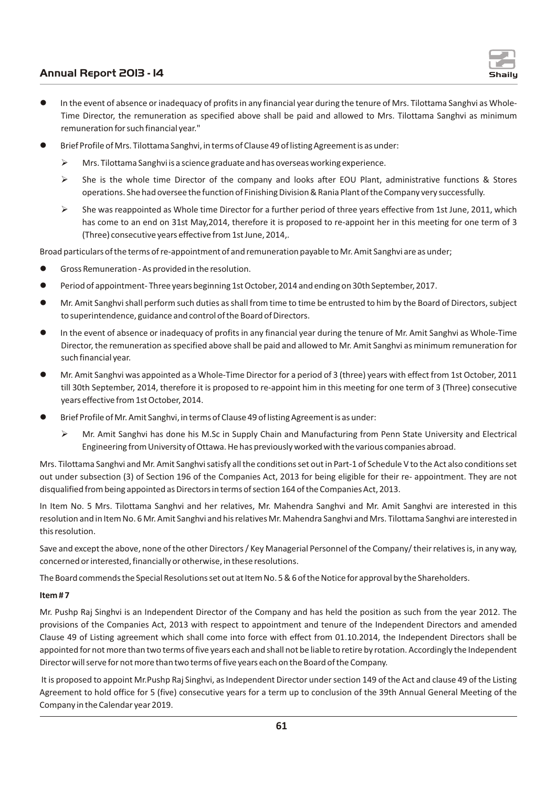- In the event of absence or inadequacy of profits in any financial year during the tenure of Mrs. Tilottama Sanghvi as Whole-Time Director, the remuneration as specified above shall be paid and allowed to Mrs. Tilottama Sanghvi as minimum remuneration for such financial year."
- Brief Profile of Mrs. Tilottama Sanghvi, in terms of Clause 49 of listing Agreement is as under:
	- $\triangleright$  Mrs. Tilottama Sanghvi is a science graduate and has overseas working experience.
	- Ø She is the whole time Director of the company and looks after EOU Plant, administrative functions & Stores operations. She had oversee the function of Finishing Division & Rania Plant of the Company very successfully.
	- Ø She was reappointed as Whole time Director for a further period of three years effective from 1st June, 2011, which has come to an end on 31st May, 2014, therefore it is proposed to re-appoint her in this meeting for one term of 3 (Three) consecutive years effective from 1st June, 2014,.

Broad particulars of the terms of re-appointment of and remuneration payable to Mr. Amit Sanghvi are as under;

- **•** Gross Remuneration As provided in the resolution.
- l Period of appointment- Three years beginning 1st October, 2014 and ending on 30th September, 2017.
- l Mr. Amit Sanghvi shall perform such duties as shall from time to time be entrusted to him by the Board of Directors, subject to superintendence, guidance and control of the Board of Directors.
- l In the event of absence or inadequacy of profits in any financial year during the tenure of Mr. Amit Sanghvi as Whole-Time Director, the remuneration as specified above shall be paid and allowed to Mr. Amit Sanghvi as minimum remuneration for such financial year.
- Mr. Amit Sanghvi was appointed as a Whole-Time Director for a period of 3 (three) years with effect from 1st October, 2011 till 30th September, 2014, therefore it is proposed to re-appoint him in this meeting for one term of 3 (Three) consecutive years effective from 1st October, 2014.
- l Brie f Profile of Mr. Amit Sanghvi, in terms of Clause 49 of listing Agreement is as under:
	- Ø Mr. Amit Sanghvi has done his M.Sc in Supply Chain and Manufacturing from Penn State University and Electrical Engineering from University of Ottawa. He has previously worked with the various companies abroad.

Mrs. Tilottama Sanghvi and Mr. Amit Sanghvi satisfy all the conditions set out in Part-1 of Schedule V to the Act also conditions set out under subsection (3) of Section 196 of the Companies Act, 2013 for being eligible for their re- appointment. They are not disqualified from being appointed as Directors in terms of section 164 of the Companies Act, 2013.

In Item No. 5 Mrs. Tilottama Sanghvi and her relatives, Mr. Mahendra Sanghvi and Mr. Amit Sanghvi are interested in this resolution and in Item No. 6 Mr. Amit Sanghvi and his relatives Mr. Mahendra Sanghvi and Mrs. Tilottama Sanghvi are interested in this resolution.

Save and except the above, none of the other Directors / Key Managerial Personnel of the Company/ their relatives is, in any way, concerned or interested, financially or otherwise, in these resolutions.

The Board commends the Special Resolutions set out at Item No. 5 & 6 of the Notice for approval by the Shareholders.

#### **Item # 7**

Mr. Pushp Raj Singhvi is an Independent Director of the Company and has held the position as such from the year 2012. The provisions of the Companies Act, 2013 with respect to appointment and tenure of the Independent Directors and amended Clause 49 of Listing agreement which shall come into force with effect from 01.10.2014, the Independent Directors shall be appointed for not more than two terms of five years each and shall not be liable to retire by rotation. Accordingly the Independent Director will serve for not more than two terms of five years each on the Board of the Company.

It is proposed to appoint Mr.Pushp Raj Singhvi, as Independent Director under section 149 of the Act and clause 49 of the Listing Agreement to hold office for 5 (five) consecutive years for a term up to conclusion of the 39th Annual General Meeting of the Company in the Calendar year 2019.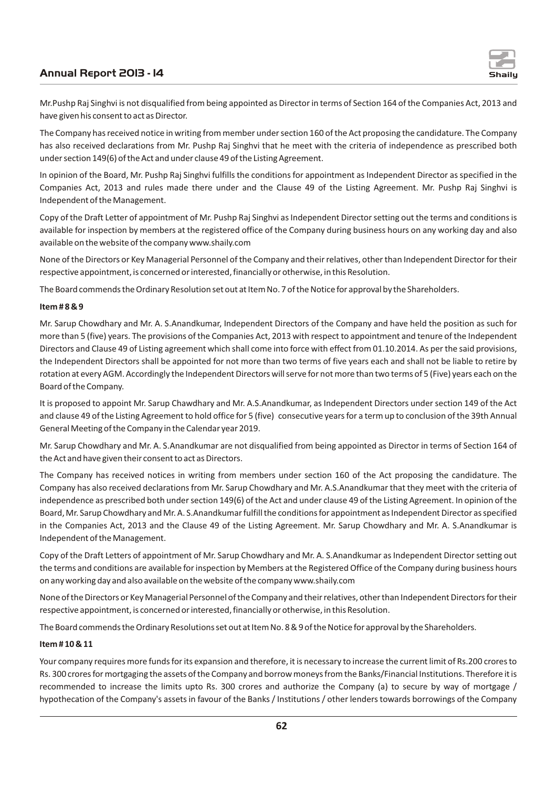

Mr.Pushp Raj Singhvi is not disqualified from being appointed as Director in terms of Section 164 of the Companies Act, 2013 and have given his consent to act as Director.

The Company has received notice in writing from member under section 160 of the Act proposing the candidature. The Company has also received declarations from Mr. Pushp Raj Singhvi that he meet with the criteria of independence as prescribed both under section 149(6) of the Act and under clause 49 of the Listing Agreement.

In opinion of the Board, Mr. Pushp Raj Singhvi fulfills the conditions for appointment as Independent Director as specified in the Companies Act, 2013 and rules made there under and the Clause 49 of the Listing Agreement. Mr. Pushp Raj Singhvi is Independent of the Management.

Copy of the Draft Letter of appointment of Mr. Pushp Raj Singhvi as Independent Director setting out the terms and conditions is available for inspection by members at the registered office of the Company during business hours on any working day and also available on the website of the company www.shaily.com

None of the Directors or Key Managerial Personnel of the Company and their relatives, other than Independent Director for their respective appointment, is concerned or interested, financially or otherwise, in this Resolution.

The Board commends the Ordinary Resolution set out at Item No. 7 of the Notice for approval by the Shareholders.

#### **Item # 8 & 9**

Mr. Sarup Chowdhary and Mr. A. S.Anandkumar, Independent Directors of the Company and have held the position as such for more than 5 (five) years. The provisions of the Companies Act, 2013 with respect to appointment and tenure of the Independent Directors and Clause 49 of Listing agreement which shall come into force with effect from 01.10.2014. As per the said provisions, the Independent Directors shall be appointed for not more than two terms of five years each and shall not be liable to retire by rotation at every AGM. Accordingly the Independent Directors will serve for not more than two terms of 5 (Five) years each on the Board of the Company.

It is proposed to appoint Mr. Sarup Chawdhary and Mr. A.S.Anandkumar, as Independent Directors under section 149 of the Act and clause 49 of the Listing Agreement to hold office for 5 (five) consecutive years for a term up to conclusion of the 39th Annual General Meeting of the Company in the Calendar year 2019.

Mr. Sarup Chowdhary and Mr. A. S.Anandkumar are not disqualified from being appointed as Director in terms of Section 164 of the Act and have given their consent to act as Directors.

The Company has received notices in writing from members under section 160 of the Act proposing the candidature. The Company has also received declarations from Mr. Sarup Chowdhary and Mr. A.S.Anandkumar that they meet with the criteria of independence as prescribed both under section 149(6) of the Act and under clause 49 of the Listing Agreement. In opinion of the Board, Mr. Sarup Chowdhary and Mr. A. S.Anandkumar fulfill the conditions for appointment as Independent Director as specified in the Companies Act, 2013 and the Clause 49 of the Listing Agreement. Mr. Sarup Chowdhary and Mr. A. S.Anandkumar is Independent of the Management.

Copy of the Draft Letters of appointment of Mr. Sarup Chowdhary and Mr. A. S.Anandkumar as Independent Director setting out the terms and conditions are available for inspection by Members at the Registered Office of the Company during business hours on any working day and also available on the website of the company www.shaily.com

None of the Directors or Key Managerial Personnel of the Company and their relatives, other than Independent Directors for their respective appointment, is concerned or interested, financially or otherwise, in this Resolution.

The Board commends the Ordinary Resolutions set out at Item No. 8 & 9 of the Notice for approval by the Shareholders.

#### **Item # 10 & 11**

Your company requires more funds for its expansion and therefore, it is necessary to increase the current limit of Rs.200 crores to Rs. 300 crores for mortgaging the assets of the Company and borrow moneys from the Banks/Financial Institutions. Therefore it is recommended to increase the limits upto Rs. 300 crores and authorize the Company (a) to secure by way of mortgage / hypothecation of the Company's assets in favour of the Banks / Institutions / other lenders towards borrowings of the Company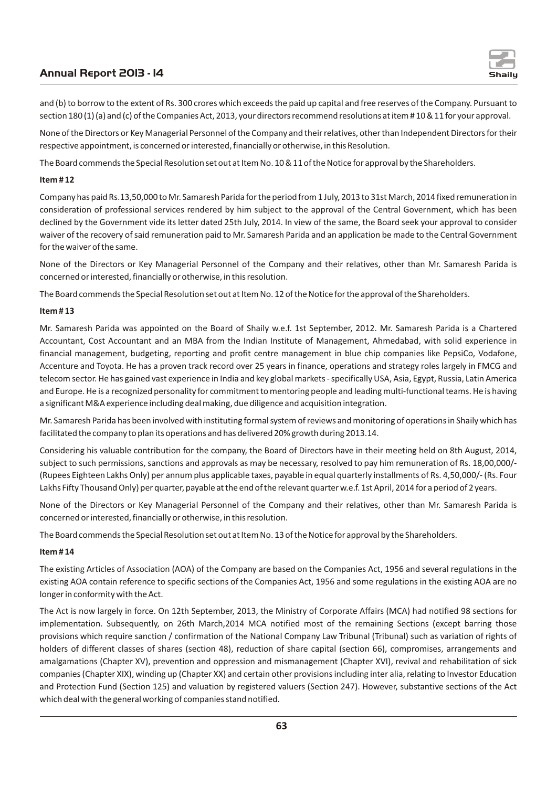

and (b) to borrow to the extent of Rs. 300 crores which exceeds the paid up capital and free reserves of the Company. Pursuant to section 180 (1) (a) and (c) of the Companies Act, 2013, your directors recommend resolutions at item # 10 & 11 for your approval.

None of the Directors or Key Managerial Personnel of the Company and their relatives, other than Independent Directors for their respective appointment, is concerned or interested, financially or otherwise, in this Resolution.

The Board commends the Special Resolution set out at Item No. 10 & 11 of the Notice for approval by the Shareholders.

#### **Item # 12**

Company has paid Rs.13,50,000 to Mr. Samaresh Parida for the period from 1 July, 2013 to 31st March, 2014 fixed remuneration in consideration of professional services rendered by him subject to the approval of the Central Government, which has been declined by the Government vide its letter dated 25th July, 2014. In view of the same, the Board seek your approval to consider waiver of the recovery of said remuneration paid to Mr. Samaresh Parida and an application be made to the Central Government for the waiver of the same.

None of the Directors or Key Managerial Personnel of the Company and their relatives, other than Mr. Samaresh Parida is concerned or interested, financially or otherwise, in this resolution.

The Board commends the Special Resolution set out at Item No. 12 of the Notice for the approval of the Shareholders.

#### **Item # 13**

Mr. Samaresh Parida was appointed on the Board of Shaily w.e.f. 1st September, 2012. Mr. Samaresh Parida is a Chartered Accountant, Cost Accountant and an MBA from the Indian Institute of Management, Ahmedabad, with solid experience in financial management, budgeting, reporting and profit centre management in blue chip companies like PepsiCo, Vodafone, Accenture and Toyota. He has a proven track record over 25 years in finance, operations and strategy roles largely in FMCG and telecom sector. He has gained vast experience in India and key global markets - specifically USA, Asia, Egypt, Russia, Latin America and Europe. He is a recognized personality for commitment to mentoring people and leading multi-functional teams. He is having a significant M&A experience including deal making, due diligence and acquisition integration.

Mr. Samaresh Parida has been involved with instituting formal system of reviews and monitoring of operations in Shaily which has facilitated the company to plan its operations and has delivered 20% growth during 2013.14.

Considering his valuable contribution for the company, the Board of Directors have in their meeting held on 8th August, 2014, subject to such permissions, sanctions and approvals as may be necessary, resolved to pay him remuneration of Rs. 18,00,000/- (Rupees Eighteen Lakhs Only) per annum plus applicable taxes, payable in equal quarterly installments of Rs. 4,50,000/- (Rs. Four Lakhs Fifty Thousand Only) per quarter, payable at the end of the relevant quarter w.e.f. 1st April, 2014 for a period of 2 years.

None of the Directors or Key Managerial Personnel of the Company and their relatives, other than Mr. Samaresh Parida is concerned or interested, financially or otherwise, in this resolution.

The Board commends the Special Resolution set out at Item No. 13 of the Notice for approval by the Shareholders.

#### **Item # 14**

The existing Articles of Association (AOA) of the Company are based on the Companies Act, 1956 and several regulations in the existing AOA contain reference to specific sections of the Companies Act, 1956 and some regulations in the existing AOA are no longer in conformity with the Act.

The Act is now largely in force. On 12th September, 2013, the Ministry of Corporate Affairs (MCA) had notified 98 sections for implementation. Subsequently, on 26th March,2014 MCA notified most of the remaining Sections (except barring those provisions which require sanction / confirmation of the National Company Law Tribunal (Tribunal) such as variation of rights of holders of different classes of shares (section 48), reduction of share capital (section 66), compromises, arrangements and amalgamations (Chapter XV), prevention and oppression and mismanagement (Chapter XVI), revival and rehabilitation of sick companies (Chapter XIX), winding up (Chapter XX) and certain other provisions including inter alia, relating to Investor Education and Protection Fund (Section 125) and valuation by registered valuers (Section 247). However, substantive sections of the Act which deal with the general working of companies stand notified.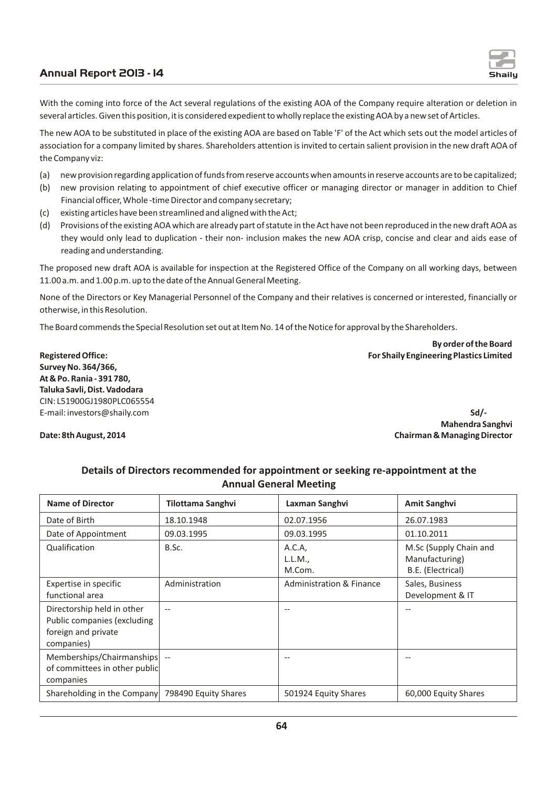

With the coming into force of the Act several regulations of the existing AOA of the Company require alteration or deletion in several articles. Given this position, it is considered expedient to wholly replace the existing AOA by a new set of Articles.

The new AOA to be substituted in place of the existing AOA are based on Table 'F' of the Act which sets out the model articles of association for a company limited by shares. Shareholders attention is invited to certain salient provision in the new draft AOA of the Company viz:

- (a) new provision regarding application of funds from reserve accounts when amounts in reserve accounts are to be capitalized;
- (b) new provision relating to appointment of chief executive officer or managing director or manager in addition to Chief Financial officer, Whole -time Director and company secretary;
- (c) existing articles have been streamlined and aligned with the Act;
- (d) Provisions of the existing AOA which are already part of statute in the Act have not been reproduced in the new draft AOA as they would only lead to duplication - their non- inclusion makes the new AOA crisp, concise and clear and aids ease of reading and understanding.

The proposed new draft AOA is available for inspection at the Registered Office of the Company on all working days, between 11.00 a.m. and 1.00 p.m. up to the date of the Annual General Meeting.

None of the Directors or Key Managerial Personnel of the Company and their relatives is concerned or interested, financially or otherwise, in this Resolution.

The Board commends the Special Resolution set out at Item No. 14 of the Notice for approval by the Shareholders.

**By order of the Board Registered Office: For Shaily Engineering Plastics Limited**

**Survey No. 364/366, At & Po. Rania - 391 780, Taluka Savli, Dist. Vadodara**  CIN: L51900GJ1980PLC065554

E-mail: investors@shaily.com **Sd/- Mahendra Sanghvi Date: 8th August, 2014 Chairman & Managing Director**

#### **Details of Directors recommended for appointment or seeking re-appointment at the Annual General Meeting**

| <b>Name of Director</b>                                                                        | <b>Tilottama Sanghvi</b> | Laxman Sanghvi                      | <b>Amit Sanghvi</b>                                           |
|------------------------------------------------------------------------------------------------|--------------------------|-------------------------------------|---------------------------------------------------------------|
| Date of Birth                                                                                  | 18.10.1948               | 02.07.1956                          | 26.07.1983                                                    |
| Date of Appointment                                                                            | 09.03.1995               | 09.03.1995                          | 01.10.2011                                                    |
| Qualification                                                                                  | B.Sc.                    | A.C.A,<br>L.L.M.,<br>M.Com.         | M.Sc (Supply Chain and<br>Manufacturing)<br>B.E. (Electrical) |
| Expertise in specific<br>functional area                                                       | Administration           | <b>Administration &amp; Finance</b> | Sales, Business<br>Development & IT                           |
| Directorship held in other<br>Public companies (excluding<br>foreign and private<br>companies) | --                       | $- -$                               |                                                               |
| Memberships/Chairmanships<br>of committees in other public<br>companies                        | $ -$                     | $-$                                 |                                                               |
| Shareholding in the Company                                                                    | 798490 Equity Shares     | 501924 Equity Shares                | 60,000 Equity Shares                                          |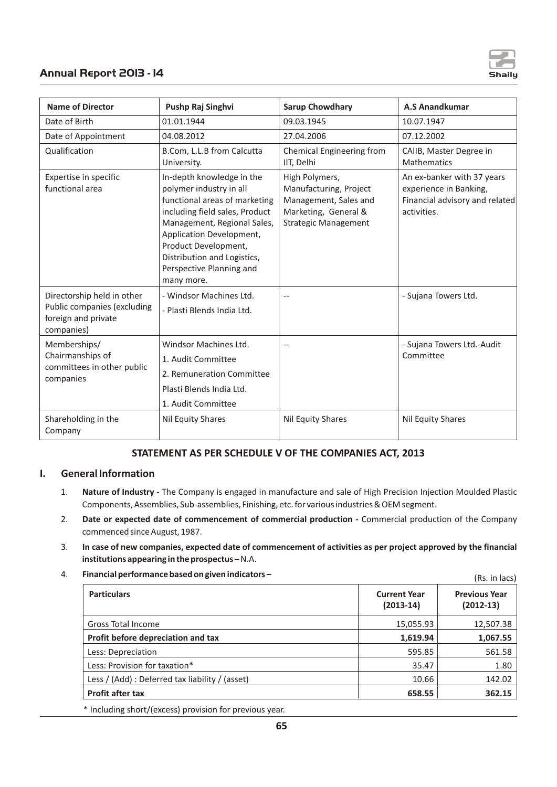

| <b>Name of Director</b>                                                                        | Pushp Raj Singhvi                                                                                                                                                                                                                                                                   | <b>Sarup Chowdhary</b>                                                                                                   | <b>A.S Anandkumar</b>                                                                                 |
|------------------------------------------------------------------------------------------------|-------------------------------------------------------------------------------------------------------------------------------------------------------------------------------------------------------------------------------------------------------------------------------------|--------------------------------------------------------------------------------------------------------------------------|-------------------------------------------------------------------------------------------------------|
| Date of Birth                                                                                  | 01.01.1944                                                                                                                                                                                                                                                                          | 09.03.1945                                                                                                               | 10.07.1947                                                                                            |
| Date of Appointment                                                                            | 04.08.2012                                                                                                                                                                                                                                                                          | 27.04.2006                                                                                                               | 07.12.2002                                                                                            |
| Qualification                                                                                  | B.Com, L.L.B from Calcutta<br>University.                                                                                                                                                                                                                                           | Chemical Engineering from<br>IIT, Delhi                                                                                  | CAIIB, Master Degree in<br>Mathematics                                                                |
| Expertise in specific<br>functional area                                                       | In-depth knowledge in the<br>polymer industry in all<br>functional areas of marketing<br>including field sales, Product<br>Management, Regional Sales,<br>Application Development,<br>Product Development,<br>Distribution and Logistics,<br>Perspective Planning and<br>many more. | High Polymers,<br>Manufacturing, Project<br>Management, Sales and<br>Marketing, General &<br><b>Strategic Management</b> | An ex-banker with 37 years<br>experience in Banking,<br>Financial advisory and related<br>activities. |
| Directorship held in other<br>Public companies (excluding<br>foreign and private<br>companies) | - Windsor Machines Ltd.<br>- Plasti Blends India Ltd.                                                                                                                                                                                                                               | $-$                                                                                                                      | - Sujana Towers Ltd.                                                                                  |
| Memberships/<br>Chairmanships of<br>committees in other public<br>companies                    | Windsor Machines Ltd.<br>1. Audit Committee<br>2. Remuneration Committee<br>Plasti Blends India Ltd.<br>1. Audit Committee                                                                                                                                                          | $-$                                                                                                                      | - Sujana Towers Ltd.-Audit<br>Committee                                                               |
| Shareholding in the<br>Company                                                                 | Nil Equity Shares                                                                                                                                                                                                                                                                   | <b>Nil Equity Shares</b>                                                                                                 | <b>Nil Equity Shares</b>                                                                              |

#### **STATEMENT AS PER SCHEDULE V OF THE COMPANIES ACT, 2013**

#### **I. General Information**

- 1. **Nature of Industry -** The Company is engaged in manufacture and sale of High Precision Injection Moulded Plastic Components, Assemblies, Sub-assemblies, Finishing, etc. for various industries & OEM segment.
- 2. **Date or expected date of commencement of commercial production** Commercial production of the Company commenced since August, 1987.
- 3. **In case of new companies, expected date of commencement of activities as per project approved by the financial institutions appearing in the prospectus –**N.A.
- 4. **Financial performance based on given indicators –**

|                                    | (Rs. in lacs)                       |
|------------------------------------|-------------------------------------|
| <b>Current Year</b><br>$(2013-14)$ | <b>Previous Year</b><br>$(2012-13)$ |
| 15,055.93                          | 12,507.38                           |
| 1,619.94                           | 1,067.55                            |
| 595.85                             | 561.58                              |
| 35.47                              | 1.80                                |
| 10.66                              | 142.02                              |
| 658.55                             | 362.15                              |
|                                    |                                     |

\* Including short/(excess) provision for previous year.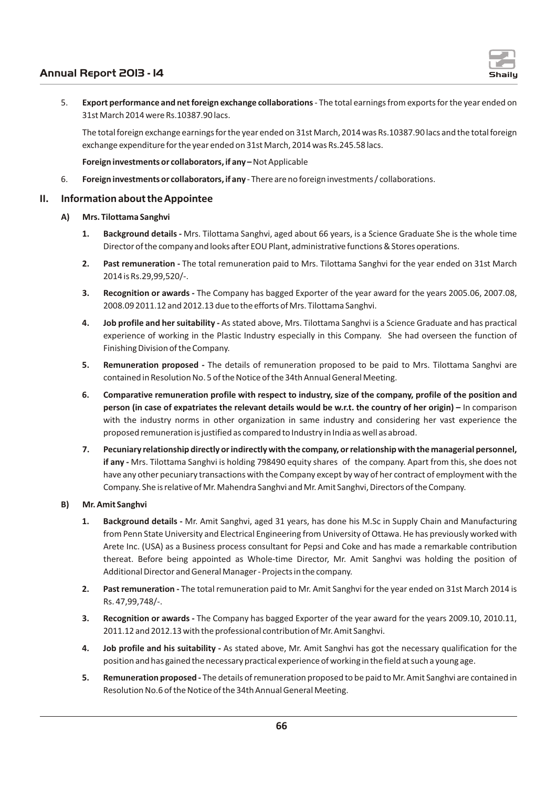

5. **Export performance and net foreign exchange collaborations**- The total earnings from exports for the year ended on 31st March 2014 were Rs.10387.90 lacs.

The total foreign exchange earnings for the year ended on 31st March, 2014 was Rs.10387.90 lacs and the total foreign exchange expenditure for the year ended on 31st March, 2014 was Rs.245.58 lacs.

**Foreign investments or collaborators, if any –**Not Applicable

6. **Foreign investments or collaborators, if any** - There are no foreign investments / collaborations.

#### **II. Information about the Appointee**

- **A) Mrs. Tilottama Sanghvi**
	- **1. Background details** Mrs. Tilottama Sanghvi, aged about 66 years, is a Science Graduate She is the whole time Director of the company and looks after EOU Plant, administrative functions & Stores operations.
	- **2. Past remuneration** The total remuneration paid to Mrs. Tilottama Sanghvi for the year ended on 31st March 2014 is Rs.29,99,520/-.
	- **3. Recognition or awards -** The Company has bagged Exporter of the year award for the years 2005.06, 2007.08, 2008.09 2011.12 and 2012.13 due to the efforts of Mrs. Tilottama Sanghvi.
	- **4. Job profile and her suitability** As stated above, Mrs. Tilottama Sanghvi is a Science Graduate and has practical experience of working in the Plastic Industry especially in this Company. She had overseen the function of Finishing Division of the Company.
	- **5. Remuneration proposed** The details of remuneration proposed to be paid to Mrs. Tilottama Sanghvi are contained in Resolution No. 5 of the Notice of the 34th Annual General Meeting.
	- **6. Comparative remuneration profile with respect to industry, size of the company, profile of the position and person (in case of expatriates the relevant details would be w.r.t. the country of her origin) –** In comparison with the industry norms in other organization in same industry and considering her vast experience the proposed remuneration is justified as compared to Industry in India as well as abroad.
	- **7. Pecuniary relationship directly or indirectly with the company, or relationship with the managerial personnel, if any -** Mrs. Tilottama Sanghvi is holding 798490 equity shares of the company. Apart from this, she does not have any other pecuniary transactions with the Company except by way of her contract of employment with the Company. She is relative of Mr. Mahendra Sanghvi and Mr. Amit Sanghvi, Directors of the Company.

#### **B) Mr. Amit Sanghvi**

- **1. Background details** Mr. Amit Sanghvi, aged 31 years, has done his M.Sc in Supply Chain and Manufacturing from Penn State University and Electrical Engineering from University of Ottawa. He has previously worked with Arete Inc. (USA) as a Business process consultant for Pepsi and Coke and has made a remarkable contribution thereat. Before being appointed as Whole-time Director, Mr. Amit Sanghvi was holding the position of Additional Director and General Manager - Projects in the company.
- **2. Past remuneration -** The total remuneration paid to Mr. Amit Sanghvi for the year ended on 31st March 2014 is Rs. 47,99,748/-.
- **3. Recognition or awards -** The Company has bagged Exporter of the year award for the years 2009.10, 2010.11, 2011.12 and 2012.13 with the professional contribution of Mr. Amit Sanghvi.
- **4. Job profile and his suitability** As stated above, Mr. Amit Sanghvi has got the necessary qualification for the position and has gained the necessary practical experience of working in the field at such a young age.
- **5. Remuneration proposed** The details of remuneration proposed to be paid to Mr. Amit Sanghvi are contained in Resolution No.6 of the Notice of the 34th Annual General Meeting.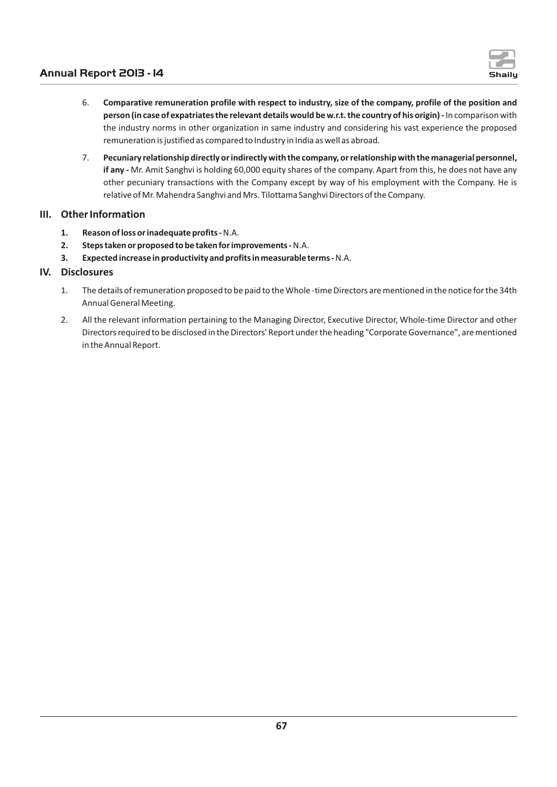

- 6. **Comparative remuneration profile with respect to industry, size of the company, profile of the position and person (in case of expatriates the relevant details would be w.r.t. the country of his origin) -**In comparison with the industry norms in other organization in same industry and considering his vast experience the proposed remuneration is justified as compared to Industry in India as well as abroad.
- 7. **Pecuniary relationship directly or indirectly with the company, or relationship with the managerial personnel, if any -** Mr. Amit Sanghvi is holding 60,000 equity shares of the company. Apart from this, he does not have any other pecuniary transactions with the Company except by way of his employment with the Company. He is relative of Mr. Mahendra Sanghvi and Mrs. Tilottama Sanghvi Directors of the Company.

#### **III. Other Information**

- **1. Reason of loss or inadequate profits** N.A.
- **2. Steps taken or proposed to be taken for improvements** N.A.
- **3. Expected increase in productivity and profits in measurable terms -**N.A.

#### **IV. Disclosures**

- 1. The details of remuneration proposed to be paid to the Whole -time Directors are mentioned in the notice for the 34th Annual General Meeting.
- 2. All the relevant information pertaining to the Managing Director, Executive Director, Whole-time Director and other Directors required to be disclosed in the Directors' Report under the heading "Corporate Governance", are mentioned in the Annual Report.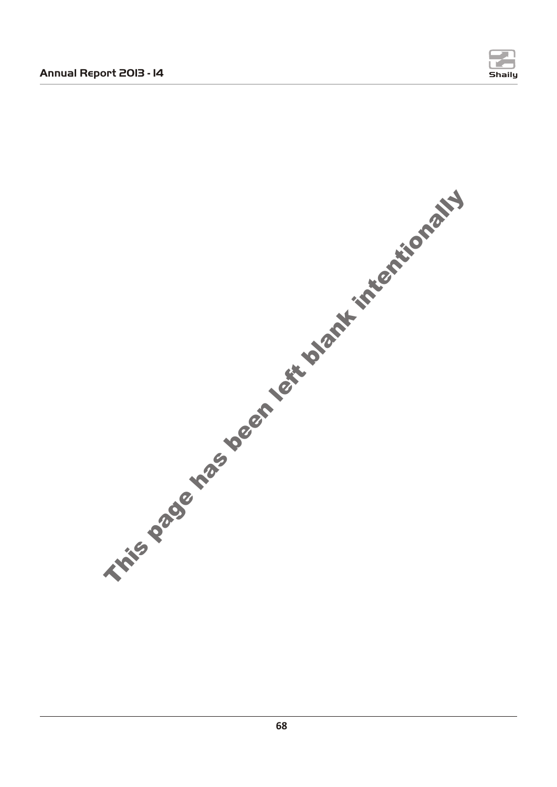

This page thas been left blank intentionally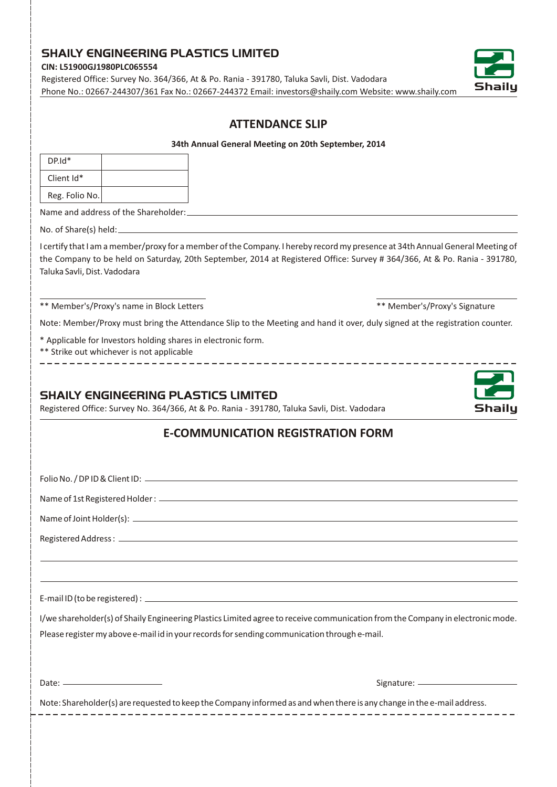|                                                                                                            | <b>Shaily</b><br>Phone No.: 02667-244307/361 Fax No.: 02667-244372 Email: investors@shaily.com Website: www.shaily.com                                                                                                                                     |
|------------------------------------------------------------------------------------------------------------|------------------------------------------------------------------------------------------------------------------------------------------------------------------------------------------------------------------------------------------------------------|
|                                                                                                            | <b>ATTENDANCE SLIP</b>                                                                                                                                                                                                                                     |
|                                                                                                            | 34th Annual General Meeting on 20th September, 2014                                                                                                                                                                                                        |
| DP.Id*                                                                                                     |                                                                                                                                                                                                                                                            |
| Client Id*                                                                                                 |                                                                                                                                                                                                                                                            |
| Reg. Folio No.                                                                                             |                                                                                                                                                                                                                                                            |
|                                                                                                            |                                                                                                                                                                                                                                                            |
|                                                                                                            |                                                                                                                                                                                                                                                            |
| Taluka Savli, Dist. Vadodara                                                                               | I certify that I am a member/proxy for a member of the Company. I hereby record my presence at 34th Annual General Meeting of<br>the Company to be held on Saturday, 20th September, 2014 at Registered Office: Survey # 364/366, At & Po. Rania - 391780, |
| ** Member's/Proxy's name in Block Letters                                                                  | ** Member's/Proxy's Signature                                                                                                                                                                                                                              |
|                                                                                                            | Note: Member/Proxy must bring the Attendance Slip to the Meeting and hand it over, duly signed at the registration counter.                                                                                                                                |
| * Applicable for Investors holding shares in electronic form.<br>** Strike out whichever is not applicable |                                                                                                                                                                                                                                                            |
| <b>SHAILY ENGINEERING PLASTICS LIMITED</b>                                                                 |                                                                                                                                                                                                                                                            |
| Registered Office: Survey No. 364/366, At & Po. Rania - 391780, Taluka Savli, Dist. Vadodara               | <b>Shaily</b><br><b>E-COMMUNICATION REGISTRATION FORM</b>                                                                                                                                                                                                  |
|                                                                                                            |                                                                                                                                                                                                                                                            |
|                                                                                                            |                                                                                                                                                                                                                                                            |
|                                                                                                            |                                                                                                                                                                                                                                                            |
|                                                                                                            |                                                                                                                                                                                                                                                            |
|                                                                                                            |                                                                                                                                                                                                                                                            |
| Please register my above e-mail id in your records for sending communication through e-mail.               |                                                                                                                                                                                                                                                            |
| Date: $\overline{\phantom{a}}$                                                                             | I/we shareholder(s) of Shaily Engineering Plastics Limited agree to receive communication from the Company in electronic mode.                                                                                                                             |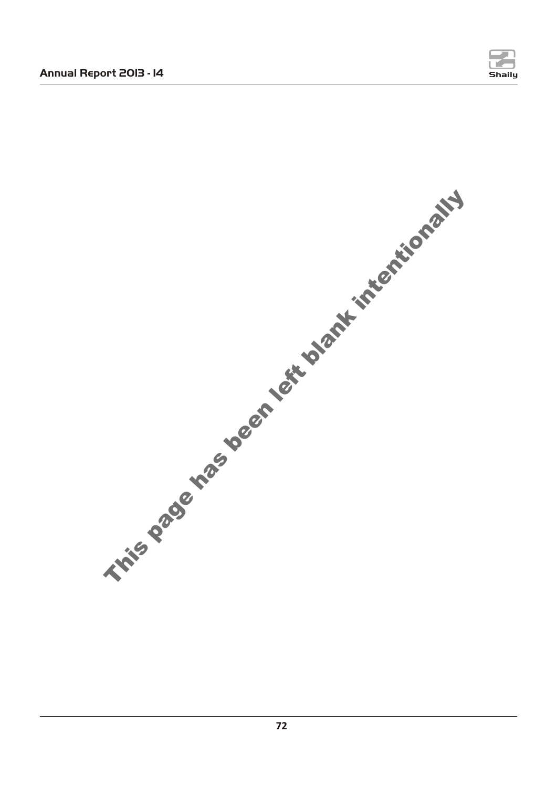

This page thas been left blank intentionally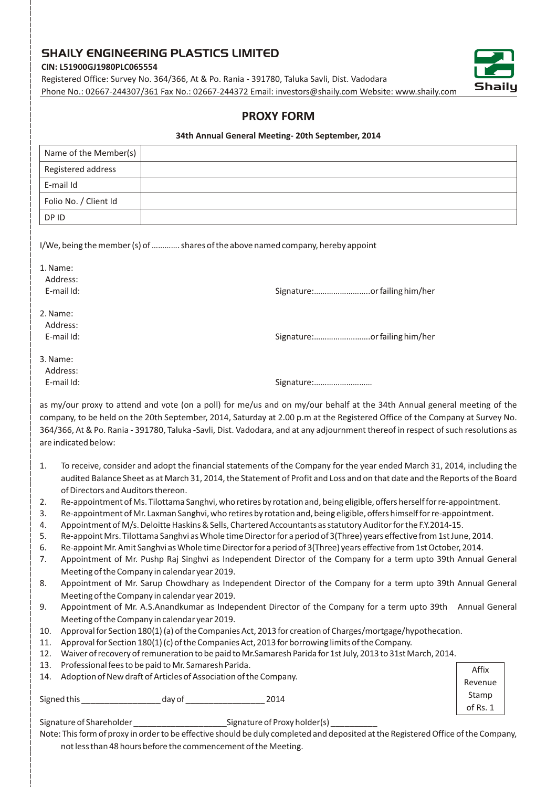## **SHAILY ENGINEERING PLASTICS LIMITED**

### **CIN: L51900GJ1980PLC065554**

Registered Office: Survey No. 364/366, At & Po. Rania - 391780, Taluka Savli, Dist. Vadodara Phone No.: 02667-244307/361 Fax No.: 02667-244372 Email: investors@shaily.com Website: www.shaily.com **Shaily** 



# **PROXY FORM**

### **34th Annual General Meeting- 20th September, 2014**

| Name of the Member(s)                                                                                                                                                                                                                                                                             |                                                                                                                                                             |                                                                                                                                                                                                                                               |          |  |  |  |  |
|---------------------------------------------------------------------------------------------------------------------------------------------------------------------------------------------------------------------------------------------------------------------------------------------------|-------------------------------------------------------------------------------------------------------------------------------------------------------------|-----------------------------------------------------------------------------------------------------------------------------------------------------------------------------------------------------------------------------------------------|----------|--|--|--|--|
| Registered address                                                                                                                                                                                                                                                                                |                                                                                                                                                             |                                                                                                                                                                                                                                               |          |  |  |  |  |
| E-mail Id                                                                                                                                                                                                                                                                                         |                                                                                                                                                             |                                                                                                                                                                                                                                               |          |  |  |  |  |
|                                                                                                                                                                                                                                                                                                   |                                                                                                                                                             |                                                                                                                                                                                                                                               |          |  |  |  |  |
| Folio No. / Client Id                                                                                                                                                                                                                                                                             |                                                                                                                                                             |                                                                                                                                                                                                                                               |          |  |  |  |  |
| DP ID                                                                                                                                                                                                                                                                                             |                                                                                                                                                             |                                                                                                                                                                                                                                               |          |  |  |  |  |
| I/We, being the member (s) of  shares of the above named company, hereby appoint                                                                                                                                                                                                                  |                                                                                                                                                             |                                                                                                                                                                                                                                               |          |  |  |  |  |
| 1. Name:                                                                                                                                                                                                                                                                                          |                                                                                                                                                             |                                                                                                                                                                                                                                               |          |  |  |  |  |
| Address:                                                                                                                                                                                                                                                                                          |                                                                                                                                                             |                                                                                                                                                                                                                                               |          |  |  |  |  |
| E-mail Id:                                                                                                                                                                                                                                                                                        |                                                                                                                                                             | Signature:or failing him/her                                                                                                                                                                                                                  |          |  |  |  |  |
| 2. Name:                                                                                                                                                                                                                                                                                          |                                                                                                                                                             |                                                                                                                                                                                                                                               |          |  |  |  |  |
| Address:                                                                                                                                                                                                                                                                                          |                                                                                                                                                             |                                                                                                                                                                                                                                               |          |  |  |  |  |
| E-mail Id:                                                                                                                                                                                                                                                                                        |                                                                                                                                                             | Signature:or failing him/her                                                                                                                                                                                                                  |          |  |  |  |  |
| 3. Name:                                                                                                                                                                                                                                                                                          |                                                                                                                                                             |                                                                                                                                                                                                                                               |          |  |  |  |  |
| Address:                                                                                                                                                                                                                                                                                          |                                                                                                                                                             |                                                                                                                                                                                                                                               |          |  |  |  |  |
| E-mail Id:                                                                                                                                                                                                                                                                                        |                                                                                                                                                             | Signature:                                                                                                                                                                                                                                    |          |  |  |  |  |
| company, to be held on the 20th September, 2014, Saturday at 2.00 p.m at the Registered Office of the Company at Survey No.<br>364/366, At & Po. Rania - 391780, Taluka -Savli, Dist. Vadodara, and at any adjournment thereof in respect of such resolutions as<br>are indicated below:          |                                                                                                                                                             |                                                                                                                                                                                                                                               |          |  |  |  |  |
| To receive, consider and adopt the financial statements of the Company for the year ended March 31, 2014, including the<br>1.<br>audited Balance Sheet as at March 31, 2014, the Statement of Profit and Loss and on that date and the Reports of the Board<br>of Directors and Auditors thereon. |                                                                                                                                                             |                                                                                                                                                                                                                                               |          |  |  |  |  |
| 2.                                                                                                                                                                                                                                                                                                |                                                                                                                                                             | Re-appointment of Ms. Tilottama Sanghvi, who retires by rotation and, being eligible, offers herself for re-appointment.                                                                                                                      |          |  |  |  |  |
| 3.                                                                                                                                                                                                                                                                                                |                                                                                                                                                             | Re-appointment of Mr. Laxman Sanghvi, who retires by rotation and, being eligible, offers himself for re-appointment.                                                                                                                         |          |  |  |  |  |
| 4.                                                                                                                                                                                                                                                                                                |                                                                                                                                                             | Appointment of M/s. Deloitte Haskins & Sells, Chartered Accountants as statutory Auditor for the F.Y.2014-15.                                                                                                                                 |          |  |  |  |  |
| 5.<br>6.                                                                                                                                                                                                                                                                                          |                                                                                                                                                             | Re-appoint Mrs. Tilottama Sanghvi as Whole time Director for a period of 3(Three) years effective from 1st June, 2014.<br>Re-appoint Mr. Amit Sanghvi as Whole time Director for a period of 3(Three) years effective from 1st October, 2014. |          |  |  |  |  |
| 7.                                                                                                                                                                                                                                                                                                |                                                                                                                                                             | Appointment of Mr. Pushp Raj Singhvi as Independent Director of the Company for a term upto 39th Annual General                                                                                                                               |          |  |  |  |  |
| Meeting of the Company in calendar year 2019.                                                                                                                                                                                                                                                     |                                                                                                                                                             |                                                                                                                                                                                                                                               |          |  |  |  |  |
| 8.                                                                                                                                                                                                                                                                                                |                                                                                                                                                             | Appointment of Mr. Sarup Chowdhary as Independent Director of the Company for a term upto 39th Annual General                                                                                                                                 |          |  |  |  |  |
| Meeting of the Company in calendar year 2019.                                                                                                                                                                                                                                                     |                                                                                                                                                             |                                                                                                                                                                                                                                               |          |  |  |  |  |
| 9.                                                                                                                                                                                                                                                                                                |                                                                                                                                                             | Appointment of Mr. A.S.Anandkumar as Independent Director of the Company for a term upto 39th Annual General                                                                                                                                  |          |  |  |  |  |
| 10.                                                                                                                                                                                                                                                                                               | Meeting of the Company in calendar year 2019.<br>Approval for Section 180(1) (a) of the Companies Act, 2013 for creation of Charges/mortgage/hypothecation. |                                                                                                                                                                                                                                               |          |  |  |  |  |
| 11.                                                                                                                                                                                                                                                                                               | Approval for Section 180(1) (c) of the Companies Act, 2013 for borrowing limits of the Company.                                                             |                                                                                                                                                                                                                                               |          |  |  |  |  |
| 12.                                                                                                                                                                                                                                                                                               |                                                                                                                                                             | Waiver of recovery of remuneration to be paid to Mr. Samaresh Parida for 1st July, 2013 to 31st March, 2014.                                                                                                                                  |          |  |  |  |  |
| Professional fees to be paid to Mr. Samaresh Parida.<br>13.<br>14.                                                                                                                                                                                                                                |                                                                                                                                                             | Adoption of New draft of Articles of Association of the Company.                                                                                                                                                                              | Affix    |  |  |  |  |
|                                                                                                                                                                                                                                                                                                   |                                                                                                                                                             |                                                                                                                                                                                                                                               | Revenue  |  |  |  |  |
|                                                                                                                                                                                                                                                                                                   |                                                                                                                                                             |                                                                                                                                                                                                                                               | Stamp    |  |  |  |  |
|                                                                                                                                                                                                                                                                                                   |                                                                                                                                                             |                                                                                                                                                                                                                                               | of Rs. 1 |  |  |  |  |
| Signature of Shareholder ____________________________Signature of Proxy holder(s) __________<br>Note: This form of proxy in order to be effective should be duly completed and deposited at the Registered Office of the Company,                                                                 |                                                                                                                                                             |                                                                                                                                                                                                                                               |          |  |  |  |  |

not less than 48 hours before the commencement of the Meeting.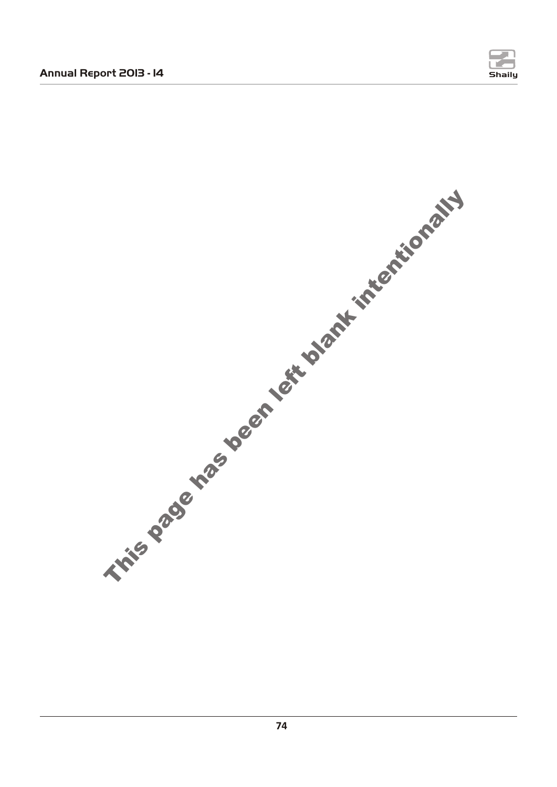

This page thas been left blank intentionally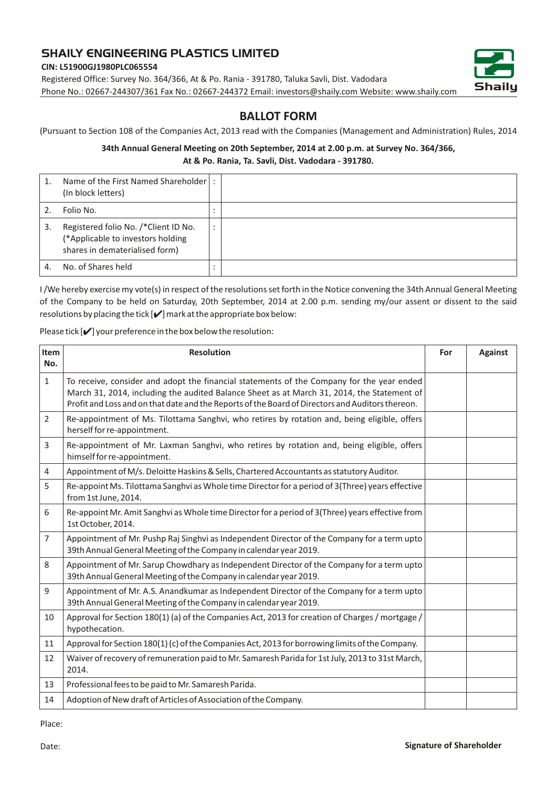# **SHAILY ENGINEERING PLASTICS LIMITED**

### **CIN: L51900GJ1980PLC065554**

Registered Office: Survey No. 364/366, At & Po. Rania - 391780, Taluka Savli, Dist. Vadodara Phone No.: 02667-244307/361 Fax No.: 02667-244372 Email: investors@shaily.com Website: www.shaily.com **Shaily** 



# **BALLOT FORM**

(Pursuant to Section 108 of the Companies Act, 2013 read with the Companies (Management and Administration) Rules, 2014

### **34th Annual General Meeting on 20th September, 2014 at 2.00 p.m. at Survey No. 364/366, At & Po. Rania, Ta. Savli, Dist. Vadodara - 391780.**

|    | Name of the First Named Shareholder  :<br>(In block letters)                                                |           |  |
|----|-------------------------------------------------------------------------------------------------------------|-----------|--|
|    | Folio No.                                                                                                   |           |  |
| 3. | Registered folio No. /*Client ID No.<br>(*Applicable to investors holding<br>shares in dematerialised form) | $\bullet$ |  |
|    | No. of Shares held                                                                                          |           |  |

I /We hereby exercise my vote(s) in respect of the resolutions set forth in the Notice convening the 34th Annual General Meeting of the Company to be held on Saturday, 20th September, 2014 at 2.00 p.m. sending my/our assent or dissent to the said resolutions by placing the tick  $[\mathcal{V}]$  mark at the appropriate box below:

Please tick  $[\mathcal{V}]$  your preference in the box below the resolution:

| Item<br>No.    | <b>Resolution</b>                                                                                                                                                                                                                                                                           | For | <b>Against</b> |
|----------------|---------------------------------------------------------------------------------------------------------------------------------------------------------------------------------------------------------------------------------------------------------------------------------------------|-----|----------------|
| $\mathbf{1}$   | To receive, consider and adopt the financial statements of the Company for the year ended<br>March 31, 2014, including the audited Balance Sheet as at March 31, 2014, the Statement of<br>Profit and Loss and on that date and the Reports of the Board of Directors and Auditors thereon. |     |                |
| $\overline{2}$ | Re-appointment of Ms. Tilottama Sanghvi, who retires by rotation and, being eligible, offers<br>herself for re-appointment.                                                                                                                                                                 |     |                |
| 3              | Re-appointment of Mr. Laxman Sanghvi, who retires by rotation and, being eligible, offers<br>himself for re-appointment.                                                                                                                                                                    |     |                |
| 4              | Appointment of M/s. Deloitte Haskins & Sells, Chartered Accountants as statutory Auditor.                                                                                                                                                                                                   |     |                |
| 5              | Re-appoint Ms. Tilottama Sanghvi as Whole time Director for a period of 3(Three) years effective<br>from 1st June, 2014.                                                                                                                                                                    |     |                |
| 6              | Re-appoint Mr. Amit Sanghvi as Whole time Director for a period of 3(Three) years effective from<br>1st October, 2014.                                                                                                                                                                      |     |                |
| $\overline{7}$ | Appointment of Mr. Pushp Raj Singhvi as Independent Director of the Company for a term upto<br>39th Annual General Meeting of the Company in calendar year 2019.                                                                                                                            |     |                |
| 8              | Appointment of Mr. Sarup Chowdhary as Independent Director of the Company for a term upto<br>39th Annual General Meeting of the Company in calendar year 2019.                                                                                                                              |     |                |
| 9              | Appointment of Mr. A.S. Anandkumar as Independent Director of the Company for a term upto<br>39th Annual General Meeting of the Company in calendar year 2019.                                                                                                                              |     |                |
| 10             | Approval for Section 180(1) (a) of the Companies Act, 2013 for creation of Charges / mortgage /<br>hypothecation.                                                                                                                                                                           |     |                |
| 11             | Approval for Section 180(1) (c) of the Companies Act, 2013 for borrowing limits of the Company.                                                                                                                                                                                             |     |                |
| 12             | Waiver of recovery of remuneration paid to Mr. Samaresh Parida for 1st July, 2013 to 31st March,<br>2014.                                                                                                                                                                                   |     |                |
| 13             | Professional fees to be paid to Mr. Samaresh Parida.                                                                                                                                                                                                                                        |     |                |
| 14             | Adoption of New draft of Articles of Association of the Company.                                                                                                                                                                                                                            |     |                |

Place: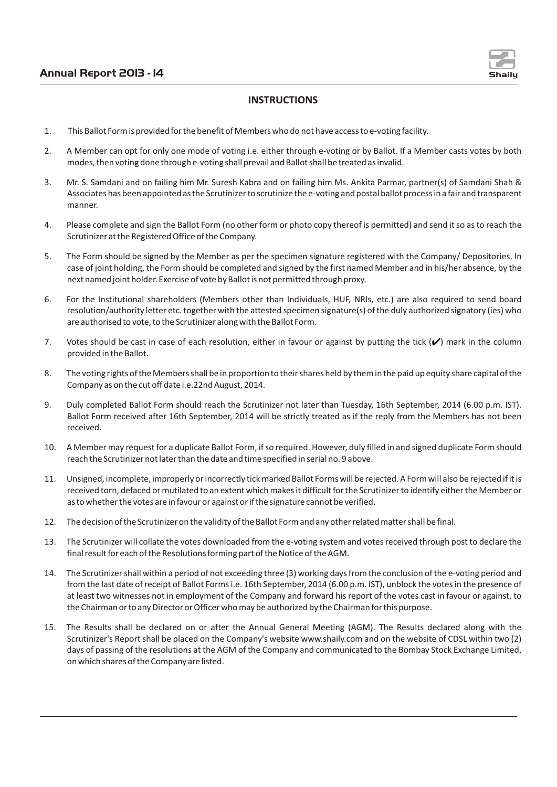

### **INSTRUCTIONS**

- 1. This Ballot Form is provided for the benefit of Members who do not have access to e-voting facility.
- 2. A Member can opt for only one mode of voting i.e. either through e-voting or by Ballot. If a Member casts votes by both modes, then voting done through e-voting shall prevail and Ballot shall be treated as invalid.
- 3. Mr. S. Samdani and on failing him Mr. Suresh Kabra and on failing him Ms. Ankita Parmar, partner(s) of Samdani Shah & Associates has been appointed as the Scrutinizer to scrutinize the e-voting and postal ballot process in a fair and transparent manner.
- 4. Please complete and sign the Ballot Form (no other form or photo copy thereof is permitted) and send it so as to reach the Scrutinizer at the Registered Office of the Company.
- 5. The Form should be signed by the Member as per the specimen signature registered with the Company/ Depositories. In case of joint holding, the Form should be completed and signed by the first named Member and in his/her absence, by the next named joint holder. Exercise of vote by Ballot is not permitted through proxy.
- 6. For the Institutional shareholders (Members other than Individuals, HUF, NRIs, etc.) are also required to send board resolution/authority letter etc. together with the attested specimen signature(s) of the duly authorized signatory (ies) who are authorised to vote, to the Scrutinizer along with the Ballot Form.
- 7. Votes should be cast in case of each resolution, either in favour or against by putting the tick  $(\vee)$  mark in the column provided in the Ballot.
- 8. The voting rights of the Members shall be in proportion to their shares held by them in the paid up equity share capital of the Company as on the cut off date i.e.22nd August, 2014.
- 9. Duly completed Ballot Form should reach the Scrutinizer not later than Tuesday, 16th September, 2014 (6.00 p.m. IST). Ballot Form received after 16th September, 2014 will be strictly treated as if the reply from the Members has not been received.
- 10. A Member may request for a duplicate Ballot Form, if so required. However, duly filled in and signed duplicate Form should reach the Scrutinizer not later than the date and time specified in serial no. 9 above.
- 11. Unsigned, incomplete, improperly or incorrectly tick marked Ballot Forms will be rejected. A Form will also be rejected if it is received torn, defaced or mutilated to an extent which makes it difficult for the Scrutinizer to identify either the Member or as to whether the votes are in favour or against or if the signature cannot be verified.
- 12. The decision of the Scrutinizer on the validity of the Ballot Form and any other related matter shall be final.
- 13. The Scrutinizer will collate the votes downloaded from the e-voting system and votes received through post to declare the final result for each of the Resolutions forming part of the Notice of the AGM.
- 14. The Scrutinizer shall within a period of not exceeding three (3) working days from the conclusion of the e-voting period and from the last date of receipt of Ballot Forms i.e. 16th September, 2014 (6.00 p.m. IST), unblock the votes in the presence of at least two witnesses not in employment of the Company and forward his report of the votes cast in favour or against, to the Chairman or to any Director or Officer who may be authorized by the Chairman for this purpose.
- 15. The Results shall be declared on or after the Annual General Meeting (AGM). The Results declared along with the Scrutinizer's Report shall be placed on the Company's website www.shaily.com and on the website of CDSL within two (2) days of passing of the resolutions at the AGM of the Company and communicated to the Bombay Stock Exchange Limited, on which shares of the Company are listed.